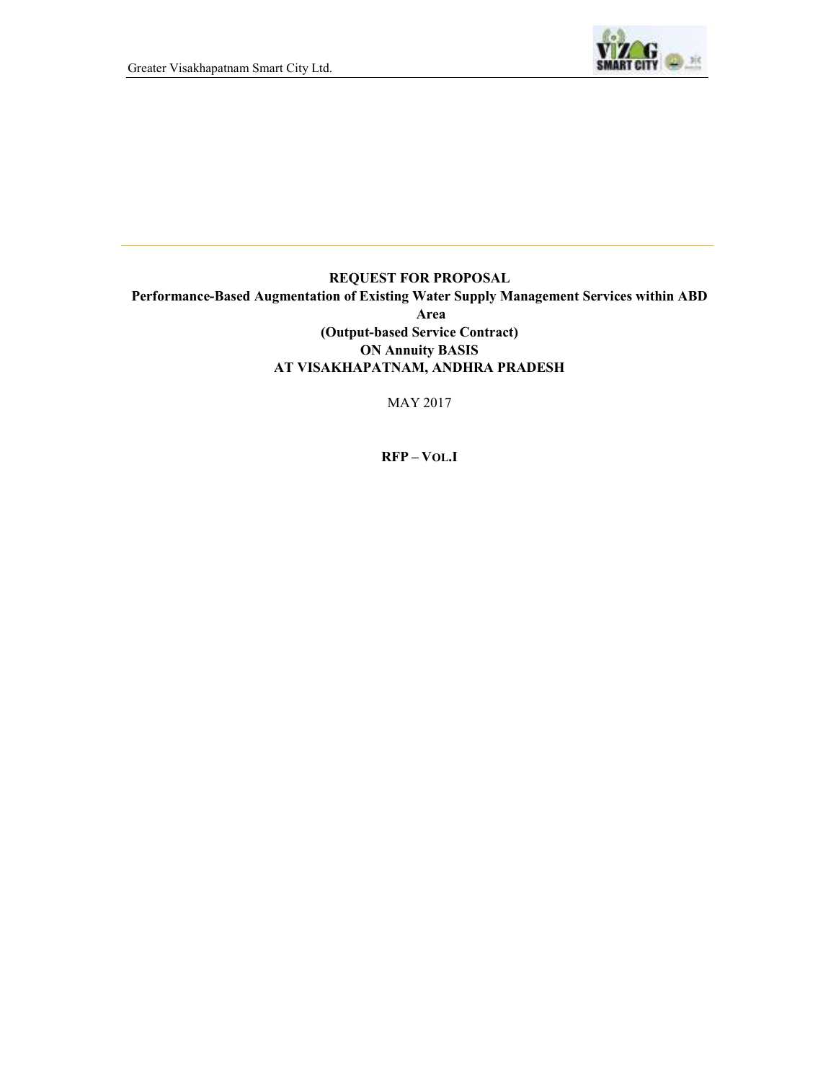

# **REQUEST FOR PROPOSAL Performance-Based Augmentation of Existing Water Supply Management Services within ABD Area (Output-based Service Contract) ON Annuity BASIS AT VISAKHAPATNAM, ANDHRA PRADESH**

MAY 2017

**RFP – VOL.I**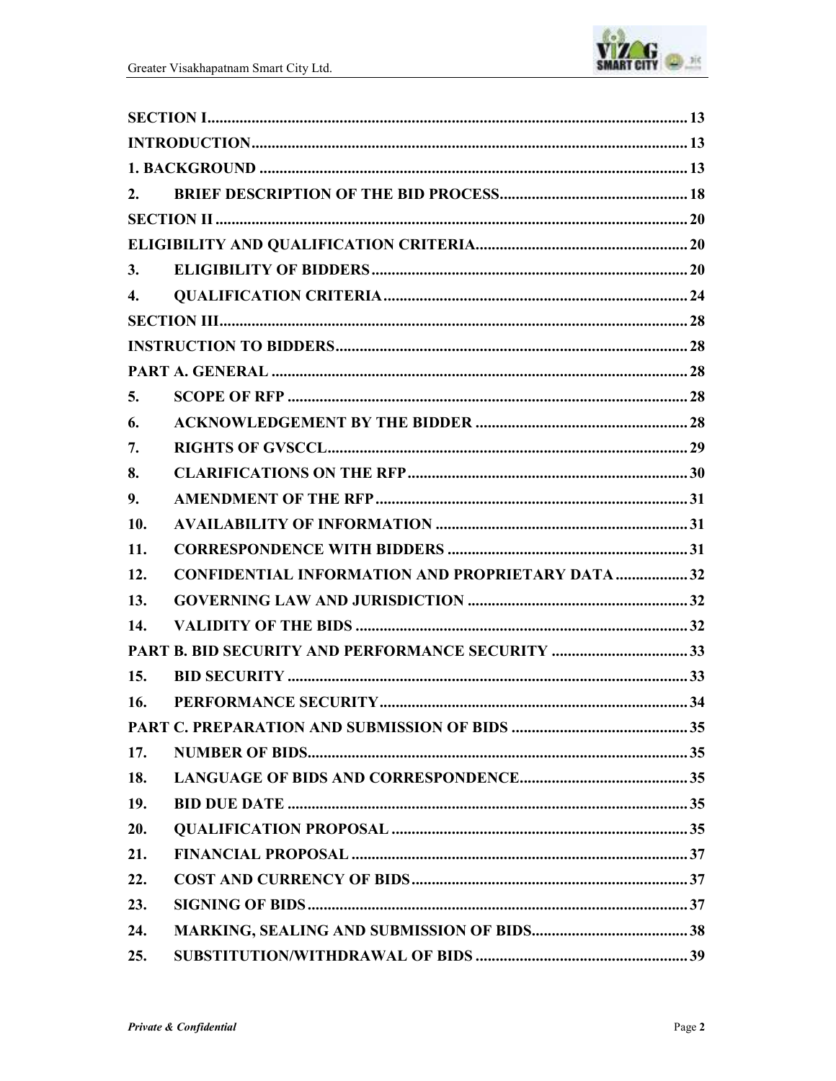

| 2.                 |                                                         |  |  |  |
|--------------------|---------------------------------------------------------|--|--|--|
|                    |                                                         |  |  |  |
|                    |                                                         |  |  |  |
| 3.                 |                                                         |  |  |  |
| $\boldsymbol{4}$ . |                                                         |  |  |  |
|                    |                                                         |  |  |  |
|                    |                                                         |  |  |  |
|                    |                                                         |  |  |  |
| 5.                 |                                                         |  |  |  |
| 6.                 |                                                         |  |  |  |
| 7.                 |                                                         |  |  |  |
| 8.                 |                                                         |  |  |  |
| 9.                 |                                                         |  |  |  |
| 10.                |                                                         |  |  |  |
| 11.                |                                                         |  |  |  |
| 12.                | <b>CONFIDENTIAL INFORMATION AND PROPRIETARY DATA 32</b> |  |  |  |
| 13.                |                                                         |  |  |  |
| 14.                |                                                         |  |  |  |
|                    |                                                         |  |  |  |
| 15.                |                                                         |  |  |  |
| 16.                |                                                         |  |  |  |
|                    |                                                         |  |  |  |
| 17.                |                                                         |  |  |  |
| 18.                |                                                         |  |  |  |
| 19.                |                                                         |  |  |  |
| 20.                |                                                         |  |  |  |
| 21.                |                                                         |  |  |  |
| 22.                |                                                         |  |  |  |
| 23.                |                                                         |  |  |  |
| 24.                |                                                         |  |  |  |
| 25.                |                                                         |  |  |  |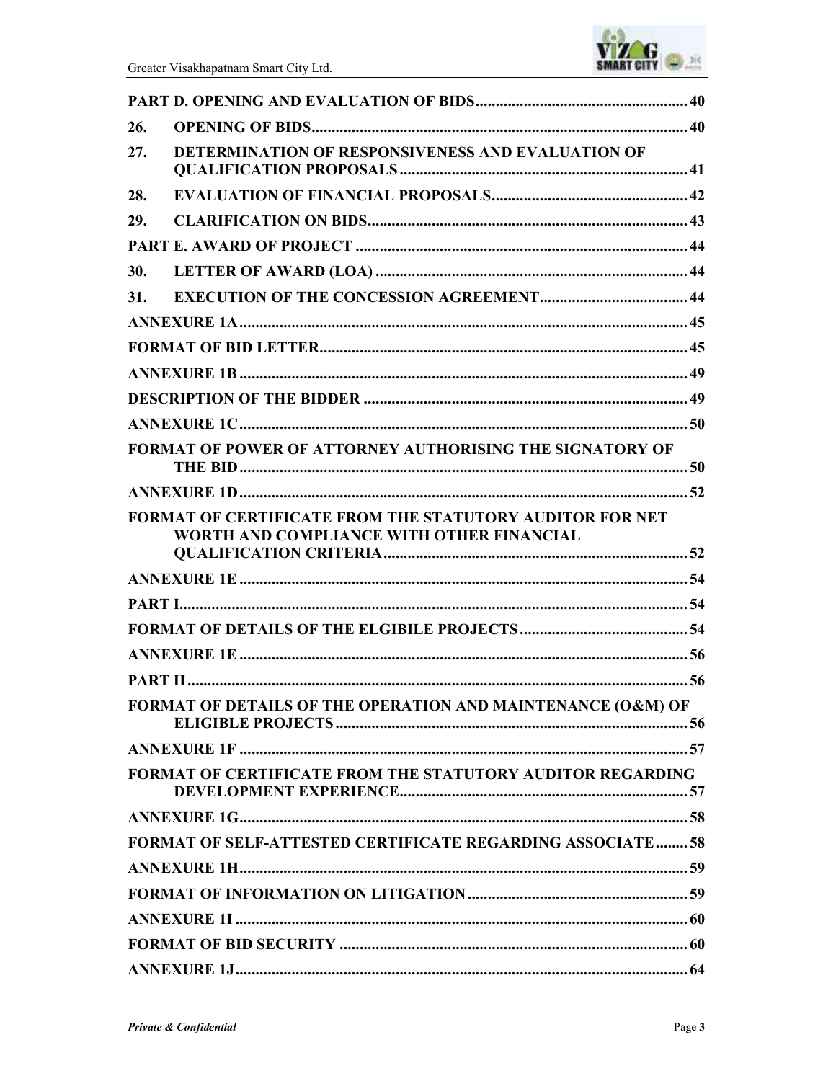

| 26. |                                                                                                       |  |
|-----|-------------------------------------------------------------------------------------------------------|--|
| 27. | DETERMINATION OF RESPONSIVENESS AND EVALUATION OF                                                     |  |
| 28. |                                                                                                       |  |
| 29. |                                                                                                       |  |
|     |                                                                                                       |  |
| 30. |                                                                                                       |  |
| 31. |                                                                                                       |  |
|     |                                                                                                       |  |
|     |                                                                                                       |  |
|     |                                                                                                       |  |
|     |                                                                                                       |  |
|     |                                                                                                       |  |
|     | FORMAT OF POWER OF ATTORNEY AUTHORISING THE SIGNATORY OF                                              |  |
|     |                                                                                                       |  |
|     | FORMAT OF CERTIFICATE FROM THE STATUTORY AUDITOR FOR NET<br>WORTH AND COMPLIANCE WITH OTHER FINANCIAL |  |
|     |                                                                                                       |  |
|     |                                                                                                       |  |
|     |                                                                                                       |  |
|     |                                                                                                       |  |
|     |                                                                                                       |  |
|     | FORMAT OF DETAILS OF THE OPERATION AND MAINTENANCE (O&M) OF                                           |  |
|     |                                                                                                       |  |
|     | FORMAT OF CERTIFICATE FROM THE STATUTORY AUDITOR REGARDING                                            |  |
|     |                                                                                                       |  |
|     | <b>FORMAT OF SELF-ATTESTED CERTIFICATE REGARDING ASSOCIATE58</b>                                      |  |
|     |                                                                                                       |  |
|     |                                                                                                       |  |
|     |                                                                                                       |  |
|     |                                                                                                       |  |
|     |                                                                                                       |  |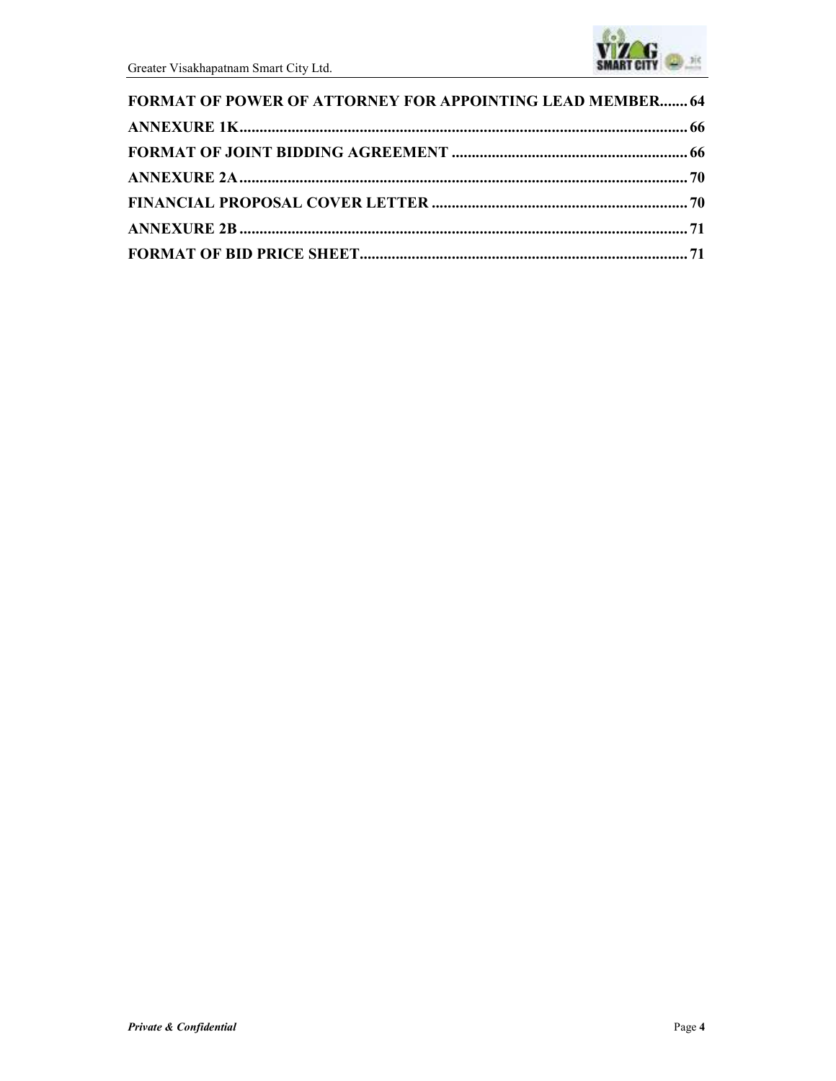

| <b>FORMAT OF POWER OF ATTORNEY FOR APPOINTING LEAD MEMBER 64</b> |  |
|------------------------------------------------------------------|--|
|                                                                  |  |
|                                                                  |  |
|                                                                  |  |
|                                                                  |  |
|                                                                  |  |
|                                                                  |  |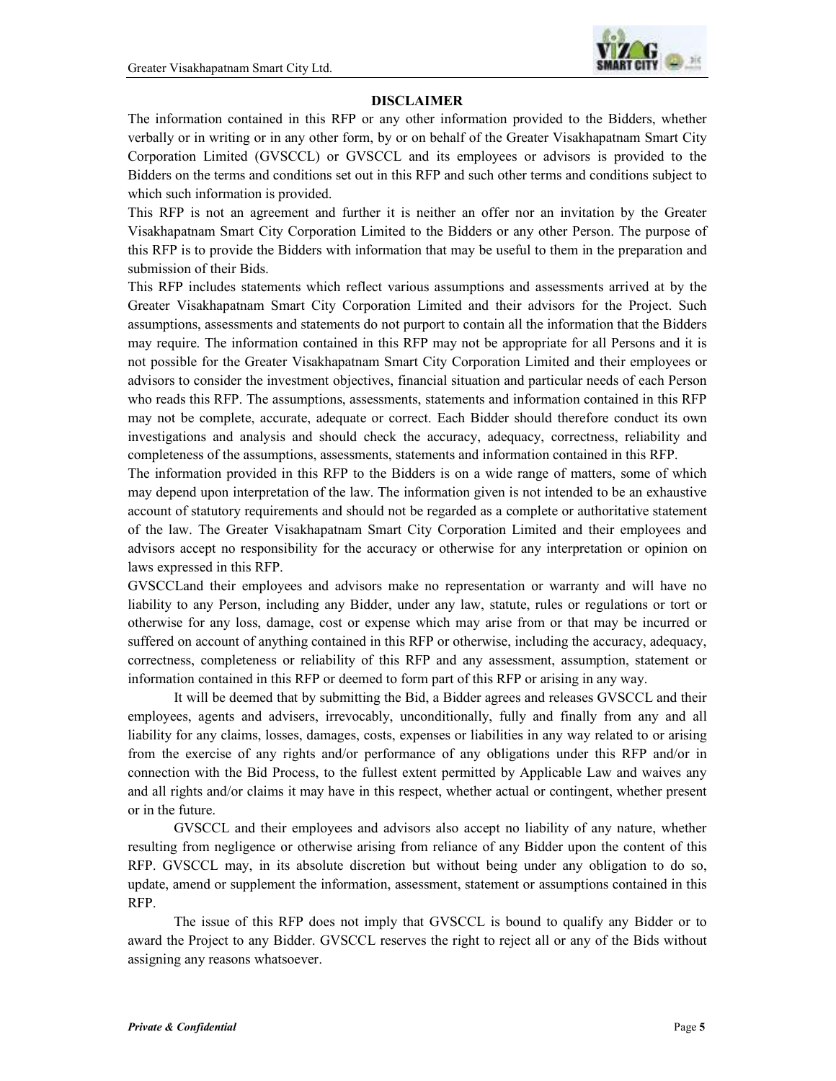

#### **DISCLAIMER**

The information contained in this RFP or any other information provided to the Bidders, whether verbally or in writing or in any other form, by or on behalf of the Greater Visakhapatnam Smart City Corporation Limited (GVSCCL) or GVSCCL and its employees or advisors is provided to the Bidders on the terms and conditions set out in this RFP and such other terms and conditions subject to which such information is provided.

This RFP is not an agreement and further it is neither an offer nor an invitation by the Greater Visakhapatnam Smart City Corporation Limited to the Bidders or any other Person. The purpose of this RFP is to provide the Bidders with information that may be useful to them in the preparation and submission of their Bids.

This RFP includes statements which reflect various assumptions and assessments arrived at by the Greater Visakhapatnam Smart City Corporation Limited and their advisors for the Project. Such assumptions, assessments and statements do not purport to contain all the information that the Bidders may require. The information contained in this RFP may not be appropriate for all Persons and it is not possible for the Greater Visakhapatnam Smart City Corporation Limited and their employees or advisors to consider the investment objectives, financial situation and particular needs of each Person who reads this RFP. The assumptions, assessments, statements and information contained in this RFP may not be complete, accurate, adequate or correct. Each Bidder should therefore conduct its own investigations and analysis and should check the accuracy, adequacy, correctness, reliability and completeness of the assumptions, assessments, statements and information contained in this RFP.

The information provided in this RFP to the Bidders is on a wide range of matters, some of which may depend upon interpretation of the law. The information given is not intended to be an exhaustive account of statutory requirements and should not be regarded as a complete or authoritative statement of the law. The Greater Visakhapatnam Smart City Corporation Limited and their employees and advisors accept no responsibility for the accuracy or otherwise for any interpretation or opinion on laws expressed in this RFP.

GVSCCLand their employees and advisors make no representation or warranty and will have no liability to any Person, including any Bidder, under any law, statute, rules or regulations or tort or otherwise for any loss, damage, cost or expense which may arise from or that may be incurred or suffered on account of anything contained in this RFP or otherwise, including the accuracy, adequacy, correctness, completeness or reliability of this RFP and any assessment, assumption, statement or information contained in this RFP or deemed to form part of this RFP or arising in any way.

 It will be deemed that by submitting the Bid, a Bidder agrees and releases GVSCCL and their employees, agents and advisers, irrevocably, unconditionally, fully and finally from any and all liability for any claims, losses, damages, costs, expenses or liabilities in any way related to or arising from the exercise of any rights and/or performance of any obligations under this RFP and/or in connection with the Bid Process, to the fullest extent permitted by Applicable Law and waives any and all rights and/or claims it may have in this respect, whether actual or contingent, whether present or in the future.

 GVSCCL and their employees and advisors also accept no liability of any nature, whether resulting from negligence or otherwise arising from reliance of any Bidder upon the content of this RFP. GVSCCL may, in its absolute discretion but without being under any obligation to do so, update, amend or supplement the information, assessment, statement or assumptions contained in this RFP.

 The issue of this RFP does not imply that GVSCCL is bound to qualify any Bidder or to award the Project to any Bidder. GVSCCL reserves the right to reject all or any of the Bids without assigning any reasons whatsoever.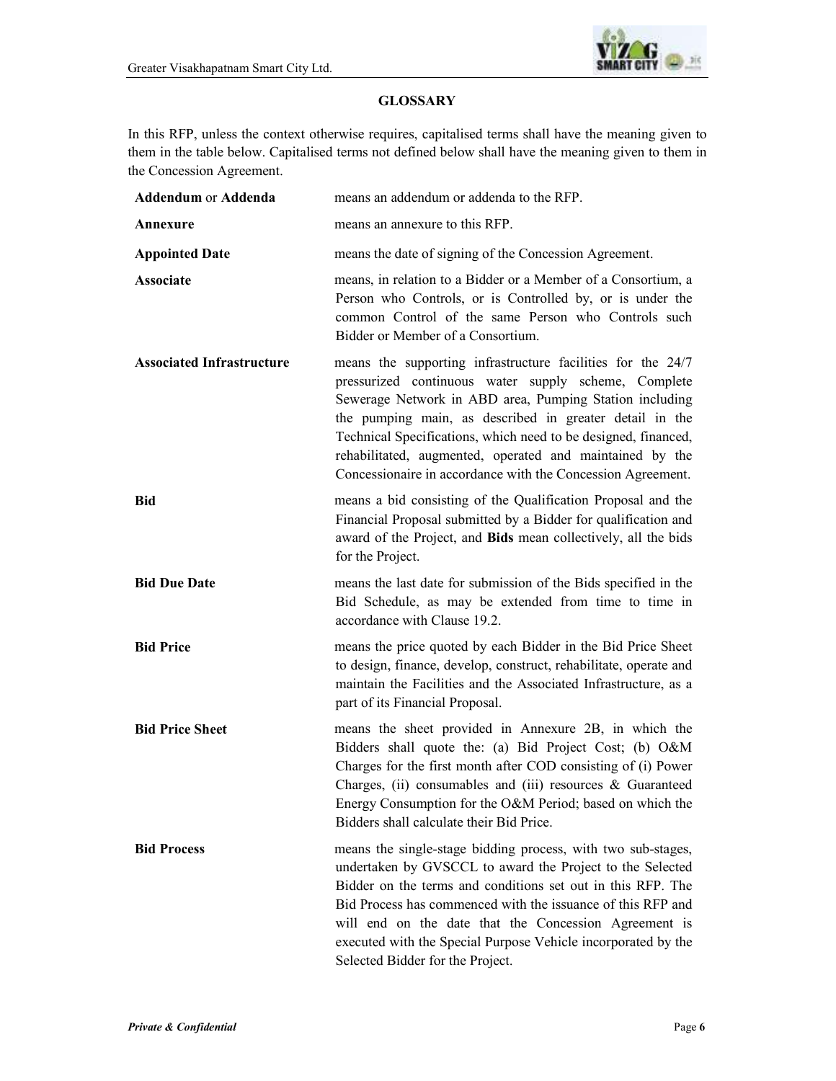

## **GLOSSARY**

In this RFP, unless the context otherwise requires, capitalised terms shall have the meaning given to them in the table below. Capitalised terms not defined below shall have the meaning given to them in the Concession Agreement.

| <b>Addendum or Addenda</b>       | means an addendum or addenda to the RFP.                                                                                                                                                                                                                                                                                                                                                                                               |
|----------------------------------|----------------------------------------------------------------------------------------------------------------------------------------------------------------------------------------------------------------------------------------------------------------------------------------------------------------------------------------------------------------------------------------------------------------------------------------|
| Annexure                         | means an annexure to this RFP.                                                                                                                                                                                                                                                                                                                                                                                                         |
| <b>Appointed Date</b>            | means the date of signing of the Concession Agreement.                                                                                                                                                                                                                                                                                                                                                                                 |
| <b>Associate</b>                 | means, in relation to a Bidder or a Member of a Consortium, a<br>Person who Controls, or is Controlled by, or is under the<br>common Control of the same Person who Controls such<br>Bidder or Member of a Consortium.                                                                                                                                                                                                                 |
| <b>Associated Infrastructure</b> | means the supporting infrastructure facilities for the 24/7<br>pressurized continuous water supply scheme, Complete<br>Sewerage Network in ABD area, Pumping Station including<br>the pumping main, as described in greater detail in the<br>Technical Specifications, which need to be designed, financed,<br>rehabilitated, augmented, operated and maintained by the<br>Concessionaire in accordance with the Concession Agreement. |
| <b>Bid</b>                       | means a bid consisting of the Qualification Proposal and the<br>Financial Proposal submitted by a Bidder for qualification and<br>award of the Project, and Bids mean collectively, all the bids<br>for the Project.                                                                                                                                                                                                                   |
| <b>Bid Due Date</b>              | means the last date for submission of the Bids specified in the<br>Bid Schedule, as may be extended from time to time in<br>accordance with Clause 19.2.                                                                                                                                                                                                                                                                               |
| <b>Bid Price</b>                 | means the price quoted by each Bidder in the Bid Price Sheet<br>to design, finance, develop, construct, rehabilitate, operate and<br>maintain the Facilities and the Associated Infrastructure, as a<br>part of its Financial Proposal.                                                                                                                                                                                                |
| <b>Bid Price Sheet</b>           | means the sheet provided in Annexure 2B, in which the<br>Bidders shall quote the: (a) Bid Project Cost; (b) O&M<br>Charges for the first month after COD consisting of (i) Power<br>Charges, $(ii)$ consumables and $(iii)$ resources $\&$ Guaranteed<br>Energy Consumption for the O&M Period; based on which the<br>Bidders shall calculate their Bid Price.                                                                         |
| <b>Bid Process</b>               | means the single-stage bidding process, with two sub-stages,<br>undertaken by GVSCCL to award the Project to the Selected<br>Bidder on the terms and conditions set out in this RFP. The<br>Bid Process has commenced with the issuance of this RFP and<br>will end on the date that the Concession Agreement is<br>executed with the Special Purpose Vehicle incorporated by the<br>Selected Bidder for the Project.                  |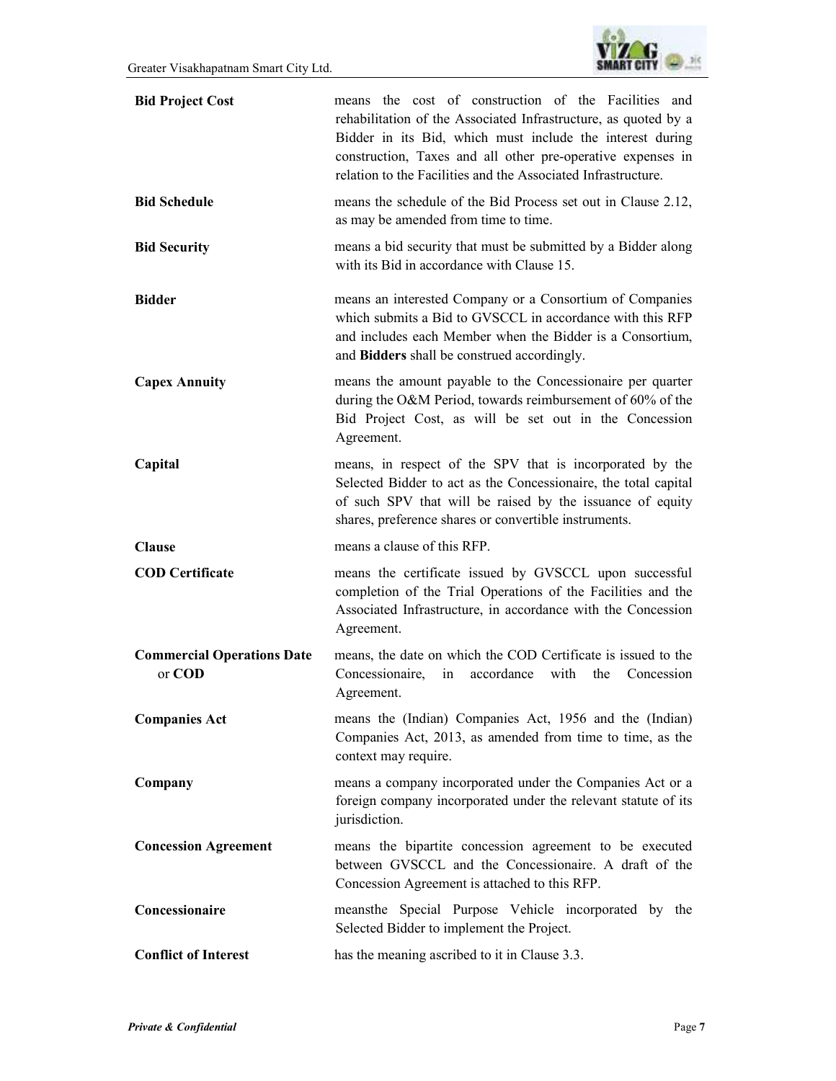

| <b>Bid Project Cost</b>                     | means the cost of construction of the Facilities and<br>rehabilitation of the Associated Infrastructure, as quoted by a<br>Bidder in its Bid, which must include the interest during<br>construction, Taxes and all other pre-operative expenses in<br>relation to the Facilities and the Associated Infrastructure. |  |  |  |  |  |
|---------------------------------------------|----------------------------------------------------------------------------------------------------------------------------------------------------------------------------------------------------------------------------------------------------------------------------------------------------------------------|--|--|--|--|--|
| <b>Bid Schedule</b>                         | means the schedule of the Bid Process set out in Clause 2.12,<br>as may be amended from time to time.                                                                                                                                                                                                                |  |  |  |  |  |
| <b>Bid Security</b>                         | means a bid security that must be submitted by a Bidder along<br>with its Bid in accordance with Clause 15.                                                                                                                                                                                                          |  |  |  |  |  |
| <b>Bidder</b>                               | means an interested Company or a Consortium of Companies<br>which submits a Bid to GVSCCL in accordance with this RFP<br>and includes each Member when the Bidder is a Consortium,<br>and <b>Bidders</b> shall be construed accordingly.                                                                             |  |  |  |  |  |
| <b>Capex Annuity</b>                        | means the amount payable to the Concessionaire per quarter<br>during the O&M Period, towards reimbursement of 60% of the<br>Bid Project Cost, as will be set out in the Concession<br>Agreement.                                                                                                                     |  |  |  |  |  |
| Capital                                     | means, in respect of the SPV that is incorporated by the<br>Selected Bidder to act as the Concessionaire, the total capital<br>of such SPV that will be raised by the issuance of equity<br>shares, preference shares or convertible instruments.                                                                    |  |  |  |  |  |
| <b>Clause</b>                               | means a clause of this RFP.                                                                                                                                                                                                                                                                                          |  |  |  |  |  |
| <b>COD Certificate</b>                      | means the certificate issued by GVSCCL upon successful<br>completion of the Trial Operations of the Facilities and the<br>Associated Infrastructure, in accordance with the Concession<br>Agreement.                                                                                                                 |  |  |  |  |  |
| <b>Commercial Operations Date</b><br>or COD | means, the date on which the COD Certificate is issued to the<br>Concessionaire,<br>in<br>accordance<br>with<br>the<br>Concession<br>Agreement.                                                                                                                                                                      |  |  |  |  |  |
| <b>Companies Act</b>                        | means the (Indian) Companies Act, 1956 and the (Indian)<br>Companies Act, 2013, as amended from time to time, as the<br>context may require.                                                                                                                                                                         |  |  |  |  |  |
| Company                                     | means a company incorporated under the Companies Act or a<br>foreign company incorporated under the relevant statute of its<br>jurisdiction.                                                                                                                                                                         |  |  |  |  |  |
| <b>Concession Agreement</b>                 | means the bipartite concession agreement to be executed<br>between GVSCCL and the Concessionaire. A draft of the<br>Concession Agreement is attached to this RFP.                                                                                                                                                    |  |  |  |  |  |
| Concessionaire                              | meansthe Special Purpose Vehicle incorporated by the<br>Selected Bidder to implement the Project.                                                                                                                                                                                                                    |  |  |  |  |  |
| <b>Conflict of Interest</b>                 | has the meaning ascribed to it in Clause 3.3.                                                                                                                                                                                                                                                                        |  |  |  |  |  |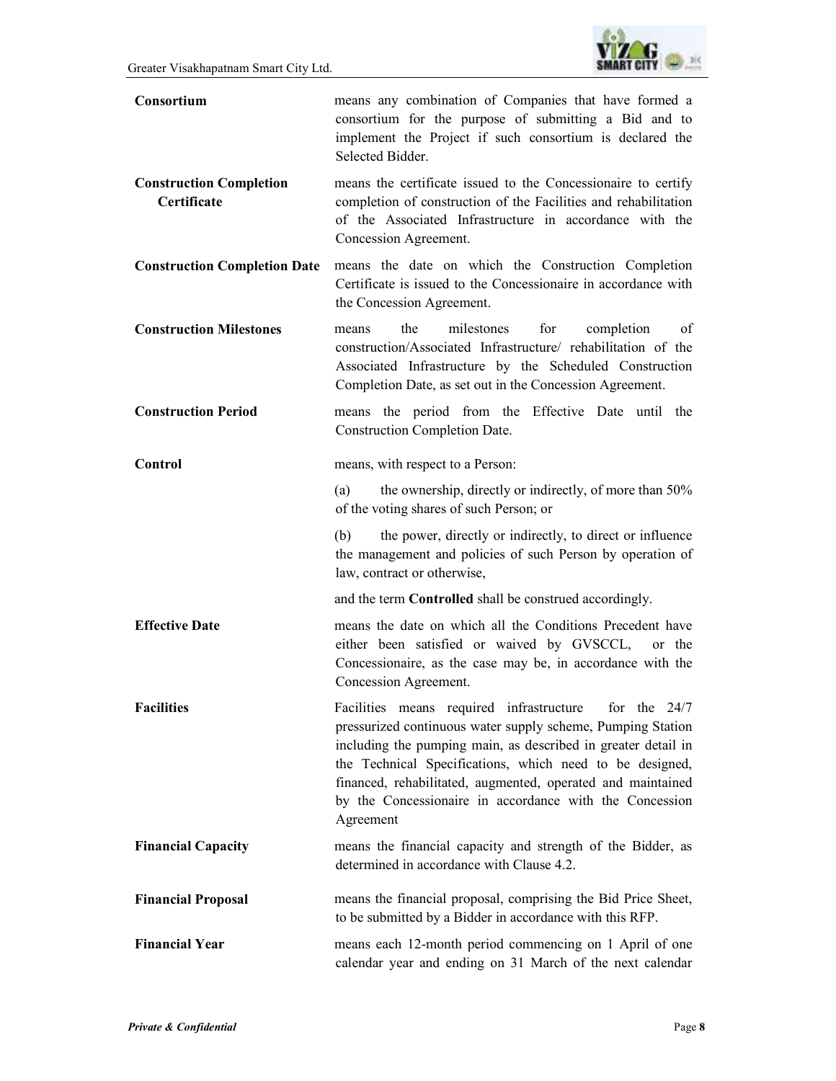

| Consortium                                    | means any combination of Companies that have formed a<br>consortium for the purpose of submitting a Bid and to<br>implement the Project if such consortium is declared the<br>Selected Bidder.                                                                                                                                                                                                |  |  |  |  |
|-----------------------------------------------|-----------------------------------------------------------------------------------------------------------------------------------------------------------------------------------------------------------------------------------------------------------------------------------------------------------------------------------------------------------------------------------------------|--|--|--|--|
| <b>Construction Completion</b><br>Certificate | means the certificate issued to the Concessionaire to certify<br>completion of construction of the Facilities and rehabilitation<br>of the Associated Infrastructure in accordance with the<br>Concession Agreement.                                                                                                                                                                          |  |  |  |  |
| <b>Construction Completion Date</b>           | means the date on which the Construction Completion<br>Certificate is issued to the Concessionaire in accordance with<br>the Concession Agreement.                                                                                                                                                                                                                                            |  |  |  |  |
| <b>Construction Milestones</b>                | the<br>milestones<br>for<br>completion<br>of<br>means<br>construction/Associated Infrastructure/ rehabilitation of the<br>Associated Infrastructure by the Scheduled Construction<br>Completion Date, as set out in the Concession Agreement.                                                                                                                                                 |  |  |  |  |
| <b>Construction Period</b>                    | means the period from the Effective Date until the<br><b>Construction Completion Date.</b>                                                                                                                                                                                                                                                                                                    |  |  |  |  |
| Control                                       | means, with respect to a Person:                                                                                                                                                                                                                                                                                                                                                              |  |  |  |  |
|                                               | the ownership, directly or indirectly, of more than 50%<br>(a)<br>of the voting shares of such Person; or                                                                                                                                                                                                                                                                                     |  |  |  |  |
|                                               | the power, directly or indirectly, to direct or influence<br>(b)<br>the management and policies of such Person by operation of<br>law, contract or otherwise,                                                                                                                                                                                                                                 |  |  |  |  |
|                                               | and the term Controlled shall be construed accordingly.                                                                                                                                                                                                                                                                                                                                       |  |  |  |  |
| <b>Effective Date</b>                         | means the date on which all the Conditions Precedent have<br>either been satisfied or waived by GVSCCL,<br>or the<br>Concessionaire, as the case may be, in accordance with the<br>Concession Agreement.                                                                                                                                                                                      |  |  |  |  |
| <b>Facilities</b>                             | Facilities means required infrastructure<br>for the $24/7$<br>pressurized continuous water supply scheme, Pumping Station<br>including the pumping main, as described in greater detail in<br>the Technical Specifications, which need to be designed,<br>financed, rehabilitated, augmented, operated and maintained<br>by the Concessionaire in accordance with the Concession<br>Agreement |  |  |  |  |
| <b>Financial Capacity</b>                     | means the financial capacity and strength of the Bidder, as<br>determined in accordance with Clause 4.2.                                                                                                                                                                                                                                                                                      |  |  |  |  |
| <b>Financial Proposal</b>                     | means the financial proposal, comprising the Bid Price Sheet,<br>to be submitted by a Bidder in accordance with this RFP.                                                                                                                                                                                                                                                                     |  |  |  |  |
| <b>Financial Year</b>                         | means each 12-month period commencing on 1 April of one<br>calendar year and ending on 31 March of the next calendar                                                                                                                                                                                                                                                                          |  |  |  |  |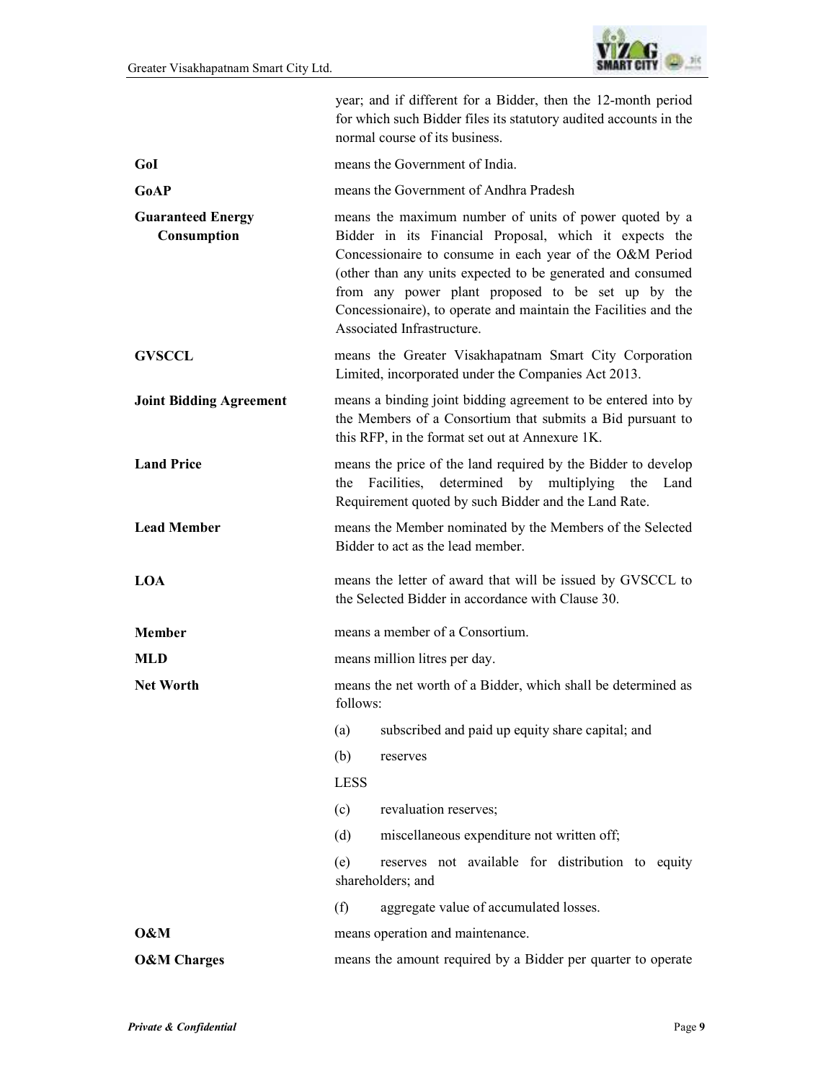

year; and if different for a Bidder, then the 12-month period for which such Bidder files its statutory audited accounts in the normal course of its business.

**GoI** means the Government of India.

**GoAP** means the Government of Andhra Pradesh

| <b>Guaranteed Energy</b><br>Consumption | means the maximum number of units of power quoted by a<br>Bidder in its Financial Proposal, which it expects the<br>Concessionaire to consume in each year of the O&M Period<br>(other than any units expected to be generated and consumed<br>from any power plant proposed to be set up by the<br>Concessionaire), to operate and maintain the Facilities and the<br>Associated Infrastructure. |  |  |  |  |  |
|-----------------------------------------|---------------------------------------------------------------------------------------------------------------------------------------------------------------------------------------------------------------------------------------------------------------------------------------------------------------------------------------------------------------------------------------------------|--|--|--|--|--|
| <b>GVSCCL</b>                           | means the Greater Visakhapatnam Smart City Corporation<br>Limited, incorporated under the Companies Act 2013.                                                                                                                                                                                                                                                                                     |  |  |  |  |  |
| <b>Joint Bidding Agreement</b>          | means a binding joint bidding agreement to be entered into by<br>the Members of a Consortium that submits a Bid pursuant to<br>this RFP, in the format set out at Annexure 1K.                                                                                                                                                                                                                    |  |  |  |  |  |
| <b>Land Price</b>                       | means the price of the land required by the Bidder to develop<br>Facilities, determined by multiplying the Land<br>the<br>Requirement quoted by such Bidder and the Land Rate.                                                                                                                                                                                                                    |  |  |  |  |  |
| <b>Lead Member</b>                      | means the Member nominated by the Members of the Selected<br>Bidder to act as the lead member.                                                                                                                                                                                                                                                                                                    |  |  |  |  |  |
| <b>LOA</b>                              | means the letter of award that will be issued by GVSCCL to<br>the Selected Bidder in accordance with Clause 30.                                                                                                                                                                                                                                                                                   |  |  |  |  |  |
| <b>Member</b>                           | means a member of a Consortium.                                                                                                                                                                                                                                                                                                                                                                   |  |  |  |  |  |
| <b>MLD</b>                              | means million litres per day.                                                                                                                                                                                                                                                                                                                                                                     |  |  |  |  |  |
| <b>Net Worth</b>                        | means the net worth of a Bidder, which shall be determined as<br>follows:                                                                                                                                                                                                                                                                                                                         |  |  |  |  |  |
|                                         | subscribed and paid up equity share capital; and<br>(a)                                                                                                                                                                                                                                                                                                                                           |  |  |  |  |  |
|                                         | (b)<br>reserves                                                                                                                                                                                                                                                                                                                                                                                   |  |  |  |  |  |
|                                         | <b>LESS</b>                                                                                                                                                                                                                                                                                                                                                                                       |  |  |  |  |  |
|                                         | revaluation reserves;<br>(c)                                                                                                                                                                                                                                                                                                                                                                      |  |  |  |  |  |
|                                         | miscellaneous expenditure not written off;<br>(d)                                                                                                                                                                                                                                                                                                                                                 |  |  |  |  |  |
|                                         | reserves not available for distribution to equity<br>(e)<br>shareholders; and                                                                                                                                                                                                                                                                                                                     |  |  |  |  |  |
|                                         | aggregate value of accumulated losses.<br>(f)                                                                                                                                                                                                                                                                                                                                                     |  |  |  |  |  |
| O&M                                     | means operation and maintenance.                                                                                                                                                                                                                                                                                                                                                                  |  |  |  |  |  |
| <b>O&amp;M</b> Charges                  | means the amount required by a Bidder per quarter to operate                                                                                                                                                                                                                                                                                                                                      |  |  |  |  |  |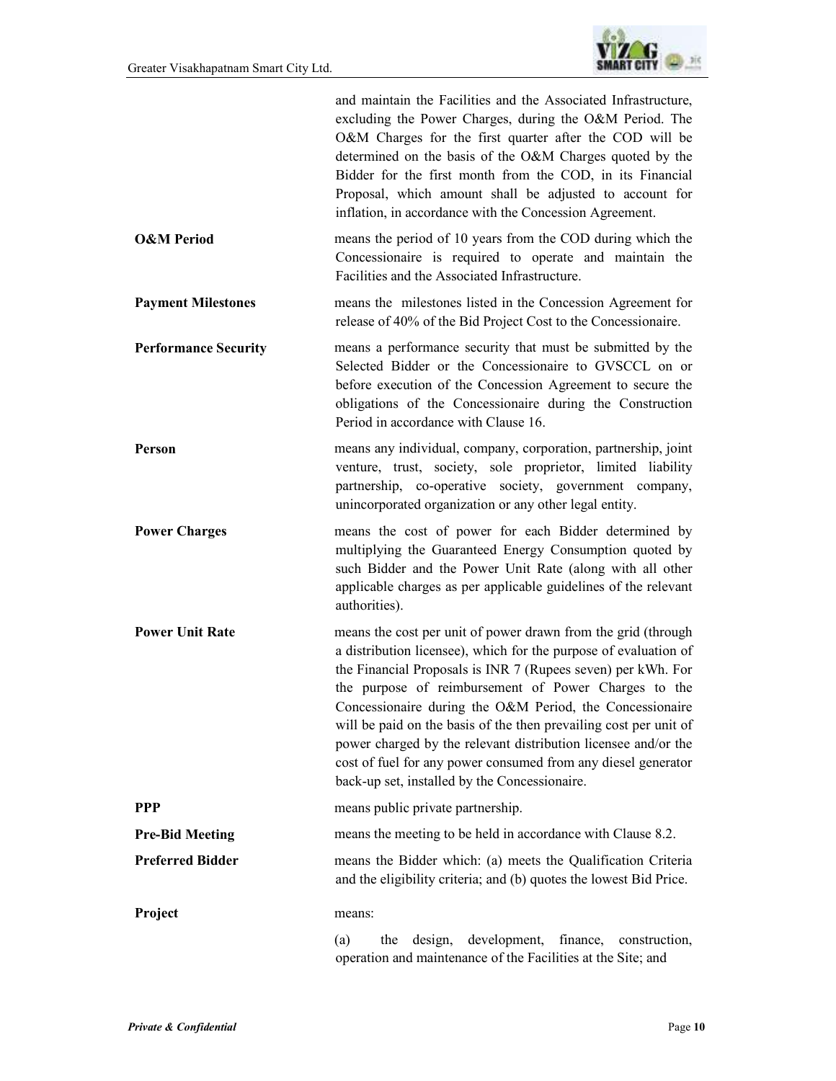

|                             | and maintain the Facilities and the Associated Infrastructure,<br>excluding the Power Charges, during the O&M Period. The<br>O&M Charges for the first quarter after the COD will be<br>determined on the basis of the O&M Charges quoted by the<br>Bidder for the first month from the COD, in its Financial<br>Proposal, which amount shall be adjusted to account for<br>inflation, in accordance with the Concession Agreement.                                                                                                                                            |  |  |  |  |
|-----------------------------|--------------------------------------------------------------------------------------------------------------------------------------------------------------------------------------------------------------------------------------------------------------------------------------------------------------------------------------------------------------------------------------------------------------------------------------------------------------------------------------------------------------------------------------------------------------------------------|--|--|--|--|
| <b>O&amp;M</b> Period       | means the period of 10 years from the COD during which the<br>Concessionaire is required to operate and maintain the<br>Facilities and the Associated Infrastructure.                                                                                                                                                                                                                                                                                                                                                                                                          |  |  |  |  |
| <b>Payment Milestones</b>   | means the milestones listed in the Concession Agreement for<br>release of 40% of the Bid Project Cost to the Concessionaire.                                                                                                                                                                                                                                                                                                                                                                                                                                                   |  |  |  |  |
| <b>Performance Security</b> | means a performance security that must be submitted by the<br>Selected Bidder or the Concessionaire to GVSCCL on or<br>before execution of the Concession Agreement to secure the<br>obligations of the Concessionaire during the Construction<br>Period in accordance with Clause 16.                                                                                                                                                                                                                                                                                         |  |  |  |  |
| Person                      | means any individual, company, corporation, partnership, joint<br>venture, trust, society, sole proprietor, limited liability<br>partnership, co-operative society, government company,<br>unincorporated organization or any other legal entity.                                                                                                                                                                                                                                                                                                                              |  |  |  |  |
| <b>Power Charges</b>        | means the cost of power for each Bidder determined by<br>multiplying the Guaranteed Energy Consumption quoted by<br>such Bidder and the Power Unit Rate (along with all other<br>applicable charges as per applicable guidelines of the relevant<br>authorities).                                                                                                                                                                                                                                                                                                              |  |  |  |  |
| <b>Power Unit Rate</b>      | means the cost per unit of power drawn from the grid (through<br>a distribution licensee), which for the purpose of evaluation of<br>the Financial Proposals is INR 7 (Rupees seven) per kWh. For<br>the purpose of reimbursement of Power Charges to the<br>Concessionaire during the O&M Period, the Concessionaire<br>will be paid on the basis of the then prevailing cost per unit of<br>power charged by the relevant distribution licensee and/or the<br>cost of fuel for any power consumed from any diesel generator<br>back-up set, installed by the Concessionaire. |  |  |  |  |
| <b>PPP</b>                  | means public private partnership.                                                                                                                                                                                                                                                                                                                                                                                                                                                                                                                                              |  |  |  |  |
| <b>Pre-Bid Meeting</b>      | means the meeting to be held in accordance with Clause 8.2.                                                                                                                                                                                                                                                                                                                                                                                                                                                                                                                    |  |  |  |  |
| <b>Preferred Bidder</b>     | means the Bidder which: (a) meets the Qualification Criteria<br>and the eligibility criteria; and (b) quotes the lowest Bid Price.                                                                                                                                                                                                                                                                                                                                                                                                                                             |  |  |  |  |
| Project                     | means:<br>development,<br>(a)<br>finance,<br>the<br>design,<br>construction,                                                                                                                                                                                                                                                                                                                                                                                                                                                                                                   |  |  |  |  |
|                             | operation and maintenance of the Facilities at the Site; and                                                                                                                                                                                                                                                                                                                                                                                                                                                                                                                   |  |  |  |  |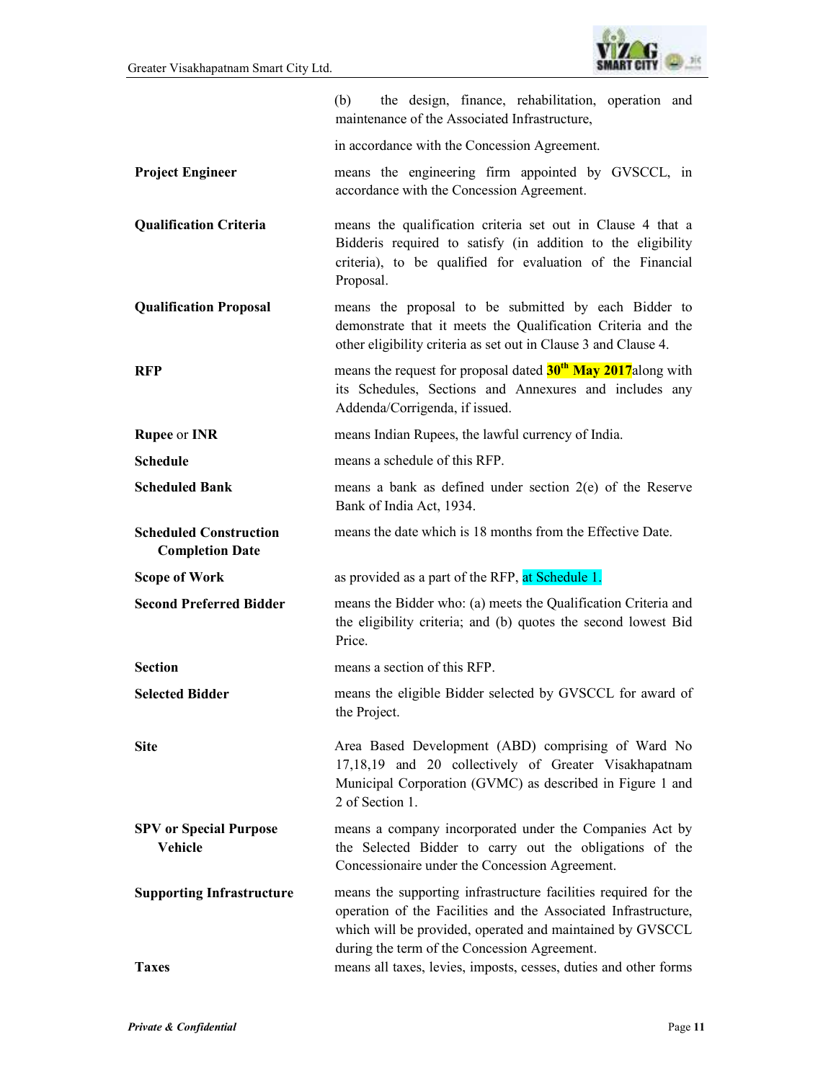

|                                                         | the design, finance, rehabilitation, operation and<br>(b)<br>maintenance of the Associated Infrastructure,                                                                                                                                     |  |  |  |  |  |  |  |
|---------------------------------------------------------|------------------------------------------------------------------------------------------------------------------------------------------------------------------------------------------------------------------------------------------------|--|--|--|--|--|--|--|
|                                                         | in accordance with the Concession Agreement.                                                                                                                                                                                                   |  |  |  |  |  |  |  |
| <b>Project Engineer</b>                                 | means the engineering firm appointed by GVSCCL, in<br>accordance with the Concession Agreement.                                                                                                                                                |  |  |  |  |  |  |  |
| <b>Qualification Criteria</b>                           | means the qualification criteria set out in Clause 4 that a<br>Bidderis required to satisfy (in addition to the eligibility<br>criteria), to be qualified for evaluation of the Financial<br>Proposal.                                         |  |  |  |  |  |  |  |
| <b>Qualification Proposal</b>                           | means the proposal to be submitted by each Bidder to<br>demonstrate that it meets the Qualification Criteria and the<br>other eligibility criteria as set out in Clause 3 and Clause 4.                                                        |  |  |  |  |  |  |  |
| <b>RFP</b>                                              | means the request for proposal dated 30 <sup>th</sup> May 2017along with<br>its Schedules, Sections and Annexures and includes any<br>Addenda/Corrigenda, if issued.                                                                           |  |  |  |  |  |  |  |
| <b>Rupee or INR</b>                                     | means Indian Rupees, the lawful currency of India.                                                                                                                                                                                             |  |  |  |  |  |  |  |
| <b>Schedule</b>                                         | means a schedule of this RFP.                                                                                                                                                                                                                  |  |  |  |  |  |  |  |
| <b>Scheduled Bank</b>                                   | means a bank as defined under section $2(e)$ of the Reserve<br>Bank of India Act, 1934.                                                                                                                                                        |  |  |  |  |  |  |  |
| <b>Scheduled Construction</b><br><b>Completion Date</b> | means the date which is 18 months from the Effective Date.                                                                                                                                                                                     |  |  |  |  |  |  |  |
| <b>Scope of Work</b>                                    | as provided as a part of the RFP, at Schedule 1.                                                                                                                                                                                               |  |  |  |  |  |  |  |
| <b>Second Preferred Bidder</b>                          | means the Bidder who: (a) meets the Qualification Criteria and<br>the eligibility criteria; and (b) quotes the second lowest Bid<br>Price.                                                                                                     |  |  |  |  |  |  |  |
| <b>Section</b>                                          | means a section of this RFP.                                                                                                                                                                                                                   |  |  |  |  |  |  |  |
| <b>Selected Bidder</b>                                  | means the eligible Bidder selected by GVSCCL for award of<br>the Project.                                                                                                                                                                      |  |  |  |  |  |  |  |
| <b>Site</b>                                             | Area Based Development (ABD) comprising of Ward No<br>17,18,19 and 20 collectively of Greater Visakhapatnam<br>Municipal Corporation (GVMC) as described in Figure 1 and<br>2 of Section 1.                                                    |  |  |  |  |  |  |  |
| <b>SPV or Special Purpose</b><br><b>Vehicle</b>         | means a company incorporated under the Companies Act by<br>the Selected Bidder to carry out the obligations of the<br>Concessionaire under the Concession Agreement.                                                                           |  |  |  |  |  |  |  |
| <b>Supporting Infrastructure</b>                        | means the supporting infrastructure facilities required for the<br>operation of the Facilities and the Associated Infrastructure,<br>which will be provided, operated and maintained by GVSCCL<br>during the term of the Concession Agreement. |  |  |  |  |  |  |  |
| <b>Taxes</b>                                            | means all taxes, levies, imposts, cesses, duties and other forms                                                                                                                                                                               |  |  |  |  |  |  |  |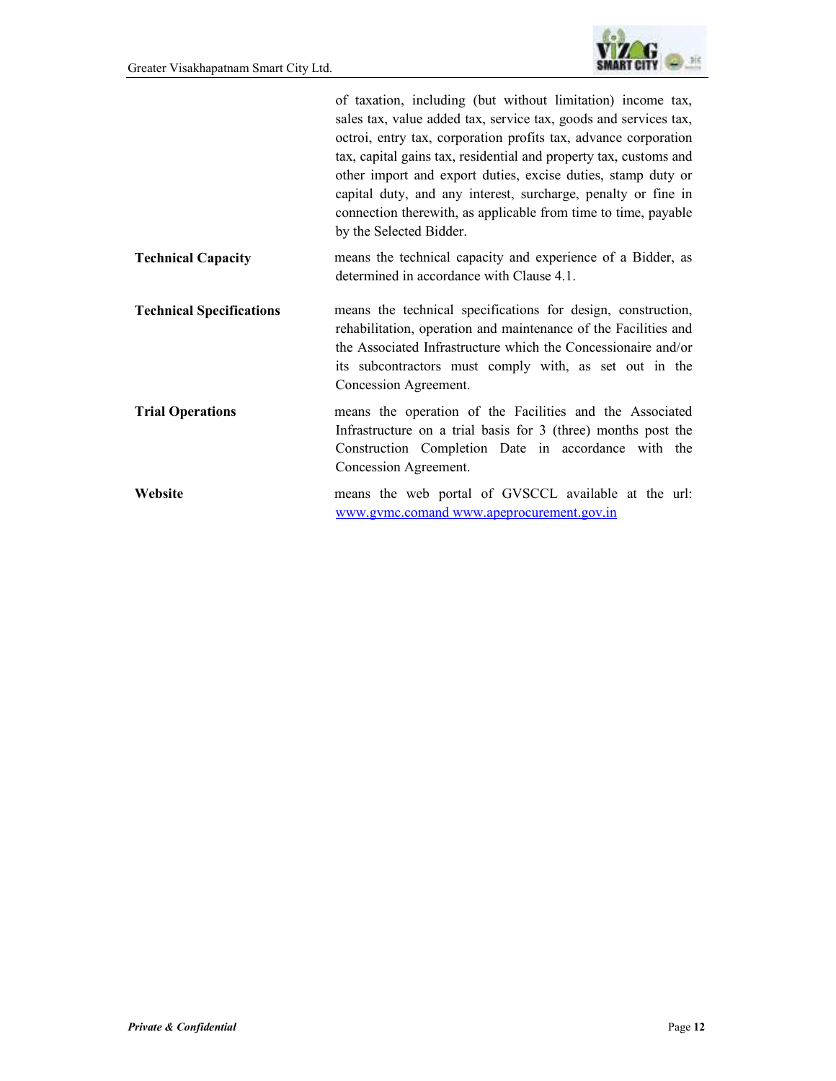

|                                 | of taxation, including (but without limitation) income tax,<br>sales tax, value added tax, service tax, goods and services tax,<br>octroi, entry tax, corporation profits tax, advance corporation<br>tax, capital gains tax, residential and property tax, customs and<br>other import and export duties, excise duties, stamp duty or<br>capital duty, and any interest, surcharge, penalty or fine in<br>connection therewith, as applicable from time to time, payable<br>by the Selected Bidder. |
|---------------------------------|-------------------------------------------------------------------------------------------------------------------------------------------------------------------------------------------------------------------------------------------------------------------------------------------------------------------------------------------------------------------------------------------------------------------------------------------------------------------------------------------------------|
| <b>Technical Capacity</b>       | means the technical capacity and experience of a Bidder, as<br>determined in accordance with Clause 4.1.                                                                                                                                                                                                                                                                                                                                                                                              |
| <b>Technical Specifications</b> | means the technical specifications for design, construction,<br>rehabilitation, operation and maintenance of the Facilities and<br>the Associated Infrastructure which the Concessionaire and/or<br>its subcontractors must comply with, as set out in the<br>Concession Agreement.                                                                                                                                                                                                                   |
| <b>Trial Operations</b>         | means the operation of the Facilities and the Associated<br>Infrastructure on a trial basis for 3 (three) months post the<br>Construction Completion Date in accordance with the<br>Concession Agreement.                                                                                                                                                                                                                                                                                             |
| Website                         | means the web portal of GVSCCL available at the url:<br>www.gymc.comand www.apeprocurement.gov.in                                                                                                                                                                                                                                                                                                                                                                                                     |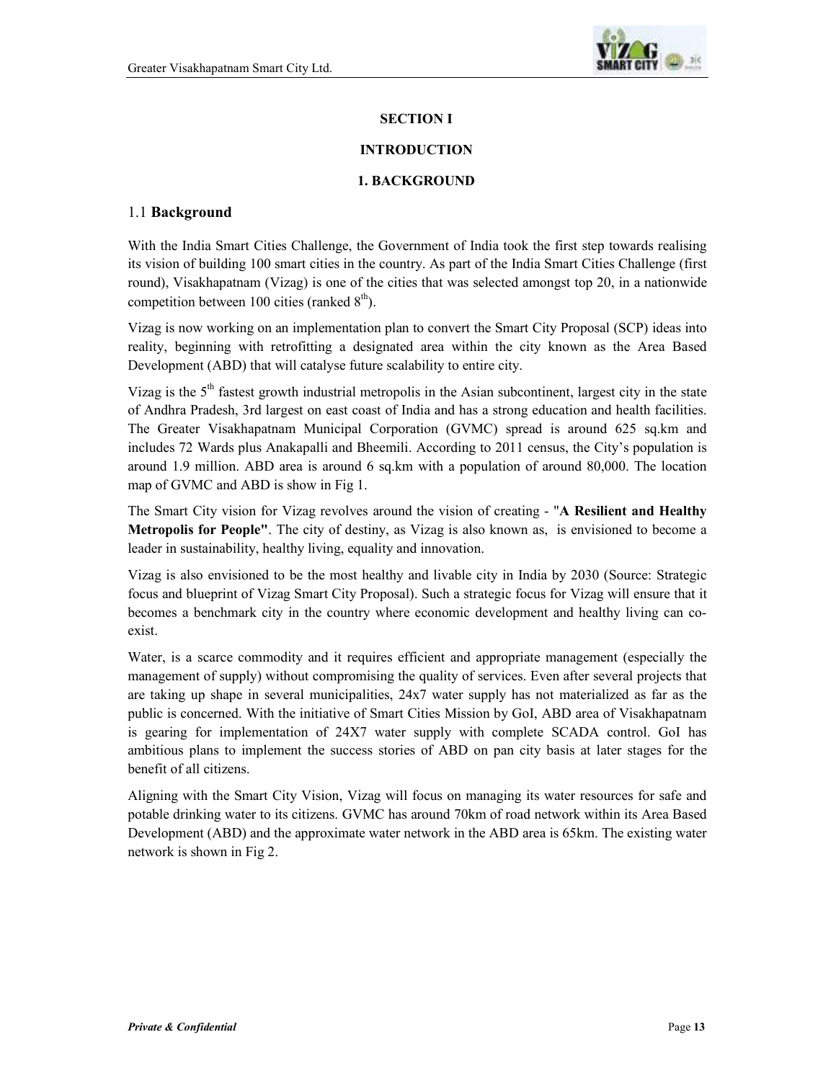

## **SECTION I**

## **INTRODUCTION**

## **1. BACKGROUND**

## 1.1 **Background**

With the India Smart Cities Challenge, the Government of India took the first step towards realising its vision of building 100 smart cities in the country. As part of the India Smart Cities Challenge (first round), Visakhapatnam (Vizag) is one of the cities that was selected amongst top 20, in a nationwide competition between 100 cities (ranked  $8<sup>th</sup>$ ).

Vizag is now working on an implementation plan to convert the Smart City Proposal (SCP) ideas into reality, beginning with retrofitting a designated area within the city known as the Area Based Development (ABD) that will catalyse future scalability to entire city.

Vizag is the  $5<sup>th</sup>$  fastest growth industrial metropolis in the Asian subcontinent, largest city in the state of Andhra Pradesh, 3rd largest on east coast of India and has a strong education and health facilities. The Greater Visakhapatnam Municipal Corporation (GVMC) spread is around 625 sq.km and includes 72 Wards plus Anakapalli and Bheemili. According to 2011 census, the City's population is around 1.9 million. ABD area is around 6 sq.km with a population of around 80,000. The location map of GVMC and ABD is show in Fig 1.

The Smart City vision for Vizag revolves around the vision of creating - "**A Resilient and Healthy Metropolis for People"**. The city of destiny, as Vizag is also known as, is envisioned to become a leader in sustainability, healthy living, equality and innovation.

Vizag is also envisioned to be the most healthy and livable city in India by 2030 (Source: Strategic focus and blueprint of Vizag Smart City Proposal). Such a strategic focus for Vizag will ensure that it becomes a benchmark city in the country where economic development and healthy living can coexist.

Water, is a scarce commodity and it requires efficient and appropriate management (especially the management of supply) without compromising the quality of services. Even after several projects that are taking up shape in several municipalities, 24x7 water supply has not materialized as far as the public is concerned. With the initiative of Smart Cities Mission by GoI, ABD area of Visakhapatnam is gearing for implementation of 24X7 water supply with complete SCADA control. GoI has ambitious plans to implement the success stories of ABD on pan city basis at later stages for the benefit of all citizens.

Aligning with the Smart City Vision, Vizag will focus on managing its water resources for safe and potable drinking water to its citizens. GVMC has around 70km of road network within its Area Based Development (ABD) and the approximate water network in the ABD area is 65km. The existing water network is shown in Fig 2.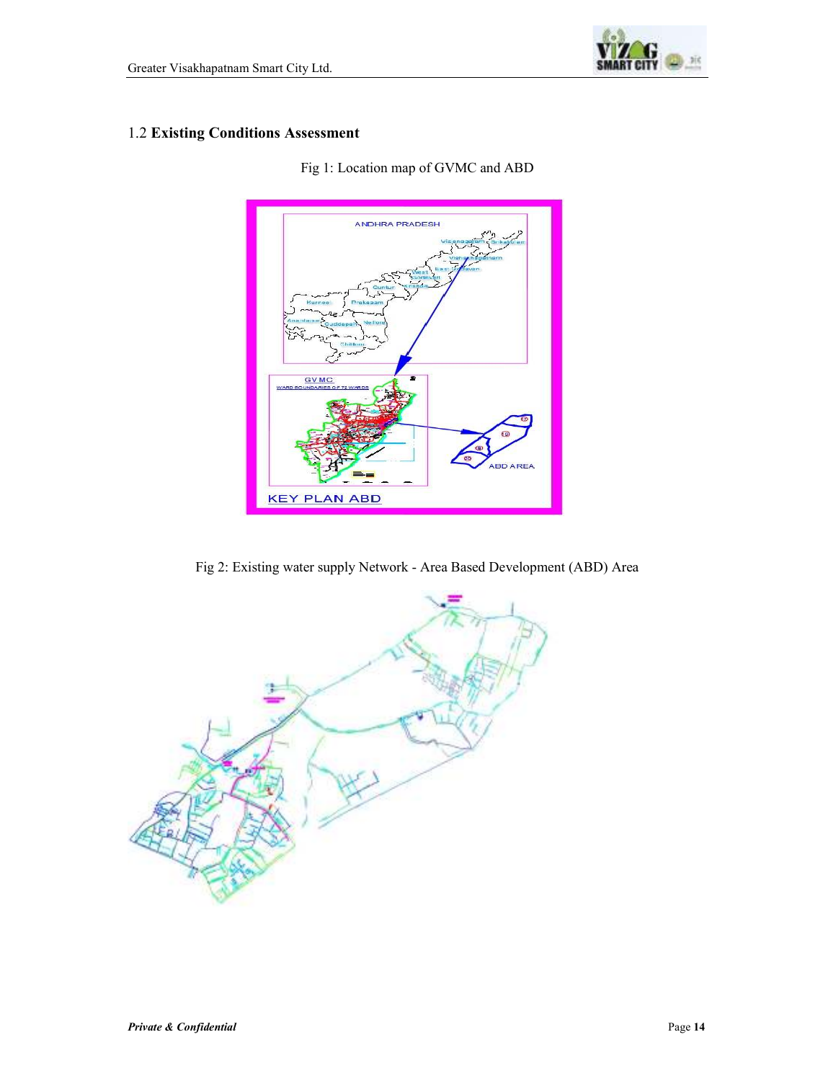

# 1.2 **Existing Conditions Assessment**



Fig 1: Location map of GVMC and ABD

Fig 2: Existing water supply Network - Area Based Development (ABD) Area

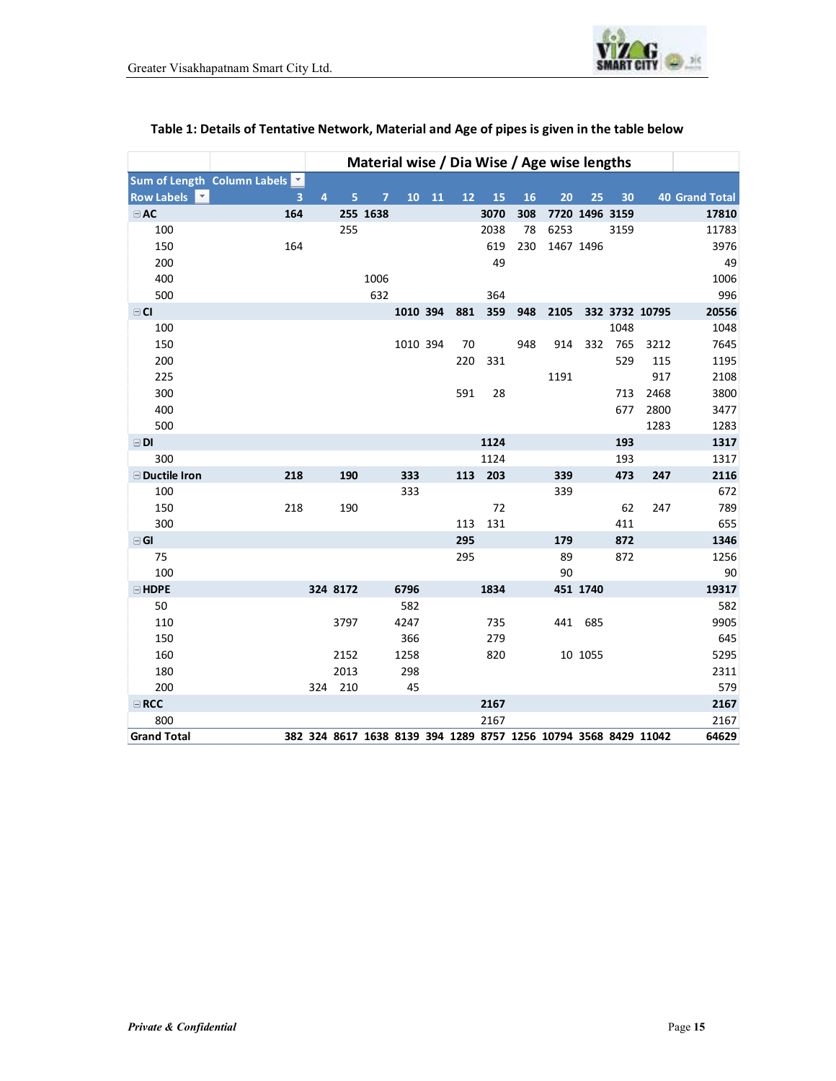

# **Table 1: Details of Tentative Network, Material and Age of pipes is given in the table below**

|                       |                             |                |          |                |          |       |        |      |     | Material wise / Dia Wise / Age wise lengths                     |                 |      |                |                       |
|-----------------------|-----------------------------|----------------|----------|----------------|----------|-------|--------|------|-----|-----------------------------------------------------------------|-----------------|------|----------------|-----------------------|
|                       | Sum of Length Column Labels |                |          |                |          |       |        |      |     |                                                                 |                 |      |                |                       |
| Row Labels            | 3                           | $\overline{4}$ | 5        | $\overline{7}$ |          | 10 11 | $12 -$ | 15   | 16  | 20                                                              | 25 <sub>1</sub> | 30   |                | <b>40 Grand Total</b> |
| $\sqsupseteq$ AC      | 164                         |                |          | 255 1638       |          |       |        | 3070 | 308 |                                                                 | 7720 1496 3159  |      |                | 17810                 |
| 100                   |                             |                | 255      |                |          |       |        | 2038 | 78  | 6253                                                            |                 | 3159 |                | 11783                 |
| 150                   | 164                         |                |          |                |          |       |        | 619  | 230 |                                                                 | 1467 1496       |      |                | 3976                  |
| 200                   |                             |                |          |                |          |       |        | 49   |     |                                                                 |                 |      |                | 49                    |
| 400                   |                             |                |          | 1006           |          |       |        |      |     |                                                                 |                 |      |                | 1006                  |
| 500                   |                             |                |          | 632            |          |       |        | 364  |     |                                                                 |                 |      |                | 996                   |
| $\boxminus$ CI        |                             |                |          |                | 1010 394 |       | 881    | 359  | 948 | 2105                                                            |                 |      | 332 3732 10795 | 20556                 |
| 100                   |                             |                |          |                |          |       |        |      |     |                                                                 |                 | 1048 |                | 1048                  |
| 150                   |                             |                |          |                | 1010 394 |       | 70     |      | 948 | 914                                                             | 332             | 765  | 3212           | 7645                  |
| 200                   |                             |                |          |                |          |       | 220    | 331  |     |                                                                 |                 | 529  | 115            | 1195                  |
| 225                   |                             |                |          |                |          |       |        |      |     | 1191                                                            |                 |      | 917            | 2108                  |
| 300                   |                             |                |          |                |          |       | 591    | 28   |     |                                                                 |                 | 713  | 2468           | 3800                  |
| 400                   |                             |                |          |                |          |       |        |      |     |                                                                 |                 | 677  | 2800           | 3477                  |
| 500                   |                             |                |          |                |          |       |        |      |     |                                                                 |                 |      | 1283           | 1283                  |
| $\boxminus$ DI        |                             |                |          |                |          |       |        | 1124 |     |                                                                 |                 | 193  |                | 1317                  |
| 300                   |                             |                |          |                |          |       |        | 1124 |     |                                                                 |                 | 193  |                | 1317                  |
| <b>⊟</b> Ductile Iron | 218                         |                | 190      |                | 333      |       | 113    | 203  |     | 339                                                             |                 | 473  | 247            | 2116                  |
| 100                   |                             |                |          |                | 333      |       |        |      |     | 339                                                             |                 |      |                | 672                   |
| 150                   | 218                         |                | 190      |                |          |       |        | 72   |     |                                                                 |                 | 62   | 247            | 789                   |
| 300                   |                             |                |          |                |          |       | 113    | 131  |     |                                                                 |                 | 411  |                | 655                   |
| $\boxdot$ GI          |                             |                |          |                |          |       | 295    |      |     | 179                                                             |                 | 872  |                | 1346                  |
| 75                    |                             |                |          |                |          |       | 295    |      |     | 89                                                              |                 | 872  |                | 1256                  |
| 100                   |                             |                |          |                |          |       |        |      |     | 90                                                              |                 |      |                | $90\,$                |
| $\boxminus$ HDPE      |                             |                | 324 8172 |                | 6796     |       |        | 1834 |     |                                                                 | 451 1740        |      |                | 19317                 |
| 50                    |                             |                |          |                | 582      |       |        |      |     |                                                                 |                 |      |                | 582                   |
| 110                   |                             |                | 3797     |                | 4247     |       |        | 735  |     | 441                                                             | 685             |      |                | 9905                  |
| 150                   |                             |                |          |                | 366      |       |        | 279  |     |                                                                 |                 |      |                | 645                   |
| 160                   |                             |                | 2152     |                | 1258     |       |        | 820  |     |                                                                 | 10 1055         |      |                | 5295                  |
| 180                   |                             |                | 2013     |                | 298      |       |        |      |     |                                                                 |                 |      |                | 2311                  |
| 200                   |                             |                | 324 210  |                | 45       |       |        |      |     |                                                                 |                 |      |                | 579                   |
| $\boxminus$ RCC       |                             |                |          |                |          |       |        | 2167 |     |                                                                 |                 |      |                | 2167                  |
| 800                   |                             |                |          |                |          |       |        | 2167 |     |                                                                 |                 |      |                | 2167                  |
| <b>Grand Total</b>    |                             |                |          |                |          |       |        |      |     | 382 324 8617 1638 8139 394 1289 8757 1256 10794 3568 8429 11042 |                 |      |                | 64629                 |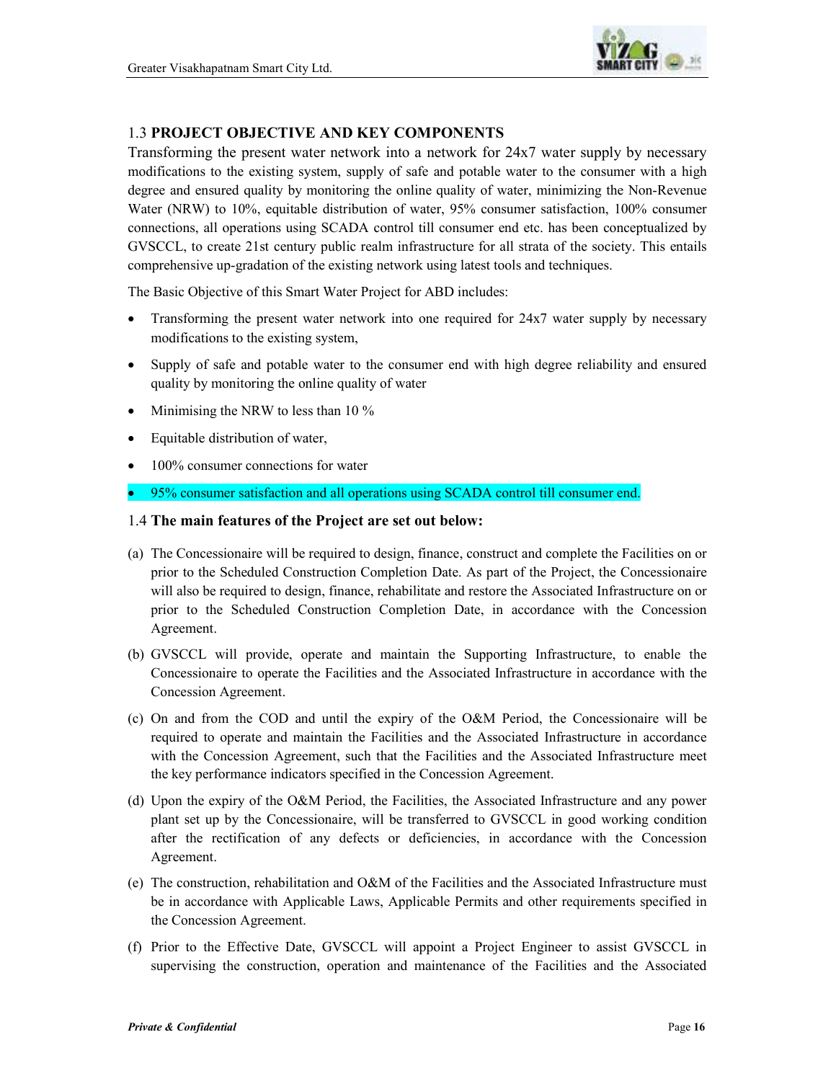

# 1.3 **PROJECT OBJECTIVE AND KEY COMPONENTS**

Transforming the present water network into a network for 24x7 water supply by necessary modifications to the existing system, supply of safe and potable water to the consumer with a high degree and ensured quality by monitoring the online quality of water, minimizing the Non-Revenue Water (NRW) to 10%, equitable distribution of water, 95% consumer satisfaction, 100% consumer connections, all operations using SCADA control till consumer end etc. has been conceptualized by GVSCCL, to create 21st century public realm infrastructure for all strata of the society. This entails comprehensive up-gradation of the existing network using latest tools and techniques.

The Basic Objective of this Smart Water Project for ABD includes:

- Transforming the present water network into one required for 24x7 water supply by necessary modifications to the existing system,
- Supply of safe and potable water to the consumer end with high degree reliability and ensured quality by monitoring the online quality of water
- Minimising the NRW to less than 10 %
- Equitable distribution of water,
- 100% consumer connections for water
- 95% consumer satisfaction and all operations using SCADA control till consumer end.

#### 1.4 **The main features of the Project are set out below:**

- (a) The Concessionaire will be required to design, finance, construct and complete the Facilities on or prior to the Scheduled Construction Completion Date. As part of the Project, the Concessionaire will also be required to design, finance, rehabilitate and restore the Associated Infrastructure on or prior to the Scheduled Construction Completion Date, in accordance with the Concession Agreement.
- (b) GVSCCL will provide, operate and maintain the Supporting Infrastructure, to enable the Concessionaire to operate the Facilities and the Associated Infrastructure in accordance with the Concession Agreement.
- (c) On and from the COD and until the expiry of the O&M Period, the Concessionaire will be required to operate and maintain the Facilities and the Associated Infrastructure in accordance with the Concession Agreement, such that the Facilities and the Associated Infrastructure meet the key performance indicators specified in the Concession Agreement.
- (d) Upon the expiry of the O&M Period, the Facilities, the Associated Infrastructure and any power plant set up by the Concessionaire, will be transferred to GVSCCL in good working condition after the rectification of any defects or deficiencies, in accordance with the Concession Agreement.
- (e) The construction, rehabilitation and O&M of the Facilities and the Associated Infrastructure must be in accordance with Applicable Laws, Applicable Permits and other requirements specified in the Concession Agreement.
- (f) Prior to the Effective Date, GVSCCL will appoint a Project Engineer to assist GVSCCL in supervising the construction, operation and maintenance of the Facilities and the Associated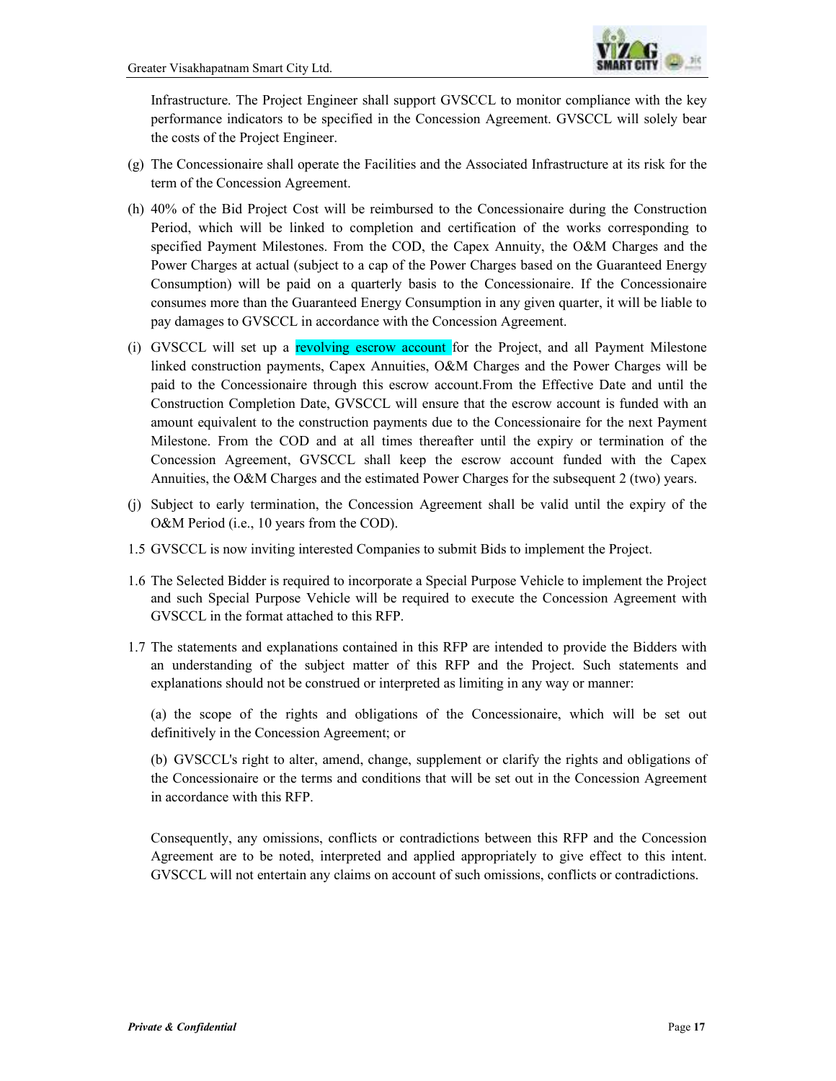

Infrastructure. The Project Engineer shall support GVSCCL to monitor compliance with the key performance indicators to be specified in the Concession Agreement. GVSCCL will solely bear the costs of the Project Engineer.

- (g) The Concessionaire shall operate the Facilities and the Associated Infrastructure at its risk for the term of the Concession Agreement.
- (h) 40% of the Bid Project Cost will be reimbursed to the Concessionaire during the Construction Period, which will be linked to completion and certification of the works corresponding to specified Payment Milestones. From the COD, the Capex Annuity, the O&M Charges and the Power Charges at actual (subject to a cap of the Power Charges based on the Guaranteed Energy Consumption) will be paid on a quarterly basis to the Concessionaire. If the Concessionaire consumes more than the Guaranteed Energy Consumption in any given quarter, it will be liable to pay damages to GVSCCL in accordance with the Concession Agreement.
- (i) GVSCCL will set up a revolving escrow account for the Project, and all Payment Milestone linked construction payments, Capex Annuities, O&M Charges and the Power Charges will be paid to the Concessionaire through this escrow account.From the Effective Date and until the Construction Completion Date, GVSCCL will ensure that the escrow account is funded with an amount equivalent to the construction payments due to the Concessionaire for the next Payment Milestone. From the COD and at all times thereafter until the expiry or termination of the Concession Agreement, GVSCCL shall keep the escrow account funded with the Capex Annuities, the O&M Charges and the estimated Power Charges for the subsequent 2 (two) years.
- (j) Subject to early termination, the Concession Agreement shall be valid until the expiry of the O&M Period (i.e., 10 years from the COD).
- 1.5 GVSCCL is now inviting interested Companies to submit Bids to implement the Project.
- 1.6 The Selected Bidder is required to incorporate a Special Purpose Vehicle to implement the Project and such Special Purpose Vehicle will be required to execute the Concession Agreement with GVSCCL in the format attached to this RFP.
- 1.7 The statements and explanations contained in this RFP are intended to provide the Bidders with an understanding of the subject matter of this RFP and the Project. Such statements and explanations should not be construed or interpreted as limiting in any way or manner:

 (a) the scope of the rights and obligations of the Concessionaire, which will be set out definitively in the Concession Agreement; or

 (b) GVSCCL's right to alter, amend, change, supplement or clarify the rights and obligations of the Concessionaire or the terms and conditions that will be set out in the Concession Agreement in accordance with this RFP.

 Consequently, any omissions, conflicts or contradictions between this RFP and the Concession Agreement are to be noted, interpreted and applied appropriately to give effect to this intent. GVSCCL will not entertain any claims on account of such omissions, conflicts or contradictions.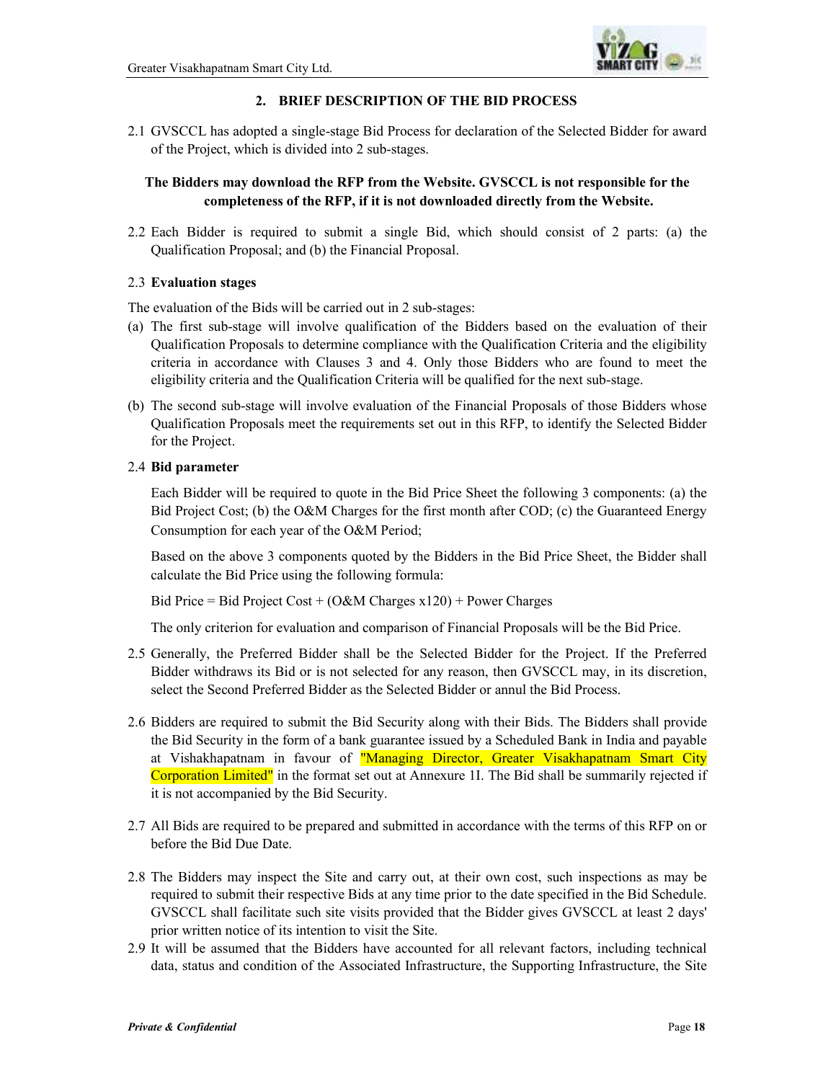

## **2. BRIEF DESCRIPTION OF THE BID PROCESS**

2.1 GVSCCL has adopted a single-stage Bid Process for declaration of the Selected Bidder for award of the Project, which is divided into 2 sub-stages.

## **The Bidders may download the RFP from the Website. GVSCCL is not responsible for the completeness of the RFP, if it is not downloaded directly from the Website.**

2.2 Each Bidder is required to submit a single Bid, which should consist of 2 parts: (a) the Qualification Proposal; and (b) the Financial Proposal.

#### 2.3 **Evaluation stages**

The evaluation of the Bids will be carried out in 2 sub-stages:

- (a) The first sub-stage will involve qualification of the Bidders based on the evaluation of their Qualification Proposals to determine compliance with the Qualification Criteria and the eligibility criteria in accordance with Clauses 3 and 4. Only those Bidders who are found to meet the eligibility criteria and the Qualification Criteria will be qualified for the next sub-stage.
- (b) The second sub-stage will involve evaluation of the Financial Proposals of those Bidders whose Qualification Proposals meet the requirements set out in this RFP, to identify the Selected Bidder for the Project.

#### 2.4 **Bid parameter**

 Each Bidder will be required to quote in the Bid Price Sheet the following 3 components: (a) the Bid Project Cost; (b) the O&M Charges for the first month after COD; (c) the Guaranteed Energy Consumption for each year of the O&M Period;

 Based on the above 3 components quoted by the Bidders in the Bid Price Sheet, the Bidder shall calculate the Bid Price using the following formula:

Bid Price = Bid Project Cost +  $(O&M)$  Charges x120) + Power Charges

The only criterion for evaluation and comparison of Financial Proposals will be the Bid Price.

- 2.5 Generally, the Preferred Bidder shall be the Selected Bidder for the Project. If the Preferred Bidder withdraws its Bid or is not selected for any reason, then GVSCCL may, in its discretion, select the Second Preferred Bidder as the Selected Bidder or annul the Bid Process.
- 2.6 Bidders are required to submit the Bid Security along with their Bids. The Bidders shall provide the Bid Security in the form of a bank guarantee issued by a Scheduled Bank in India and payable at Vishakhapatnam in favour of "Managing Director, Greater Visakhapatnam Smart City Corporation Limited" in the format set out at Annexure 1I. The Bid shall be summarily rejected if it is not accompanied by the Bid Security.
- 2.7 All Bids are required to be prepared and submitted in accordance with the terms of this RFP on or before the Bid Due Date.
- 2.8 The Bidders may inspect the Site and carry out, at their own cost, such inspections as may be required to submit their respective Bids at any time prior to the date specified in the Bid Schedule. GVSCCL shall facilitate such site visits provided that the Bidder gives GVSCCL at least 2 days' prior written notice of its intention to visit the Site.
- 2.9 It will be assumed that the Bidders have accounted for all relevant factors, including technical data, status and condition of the Associated Infrastructure, the Supporting Infrastructure, the Site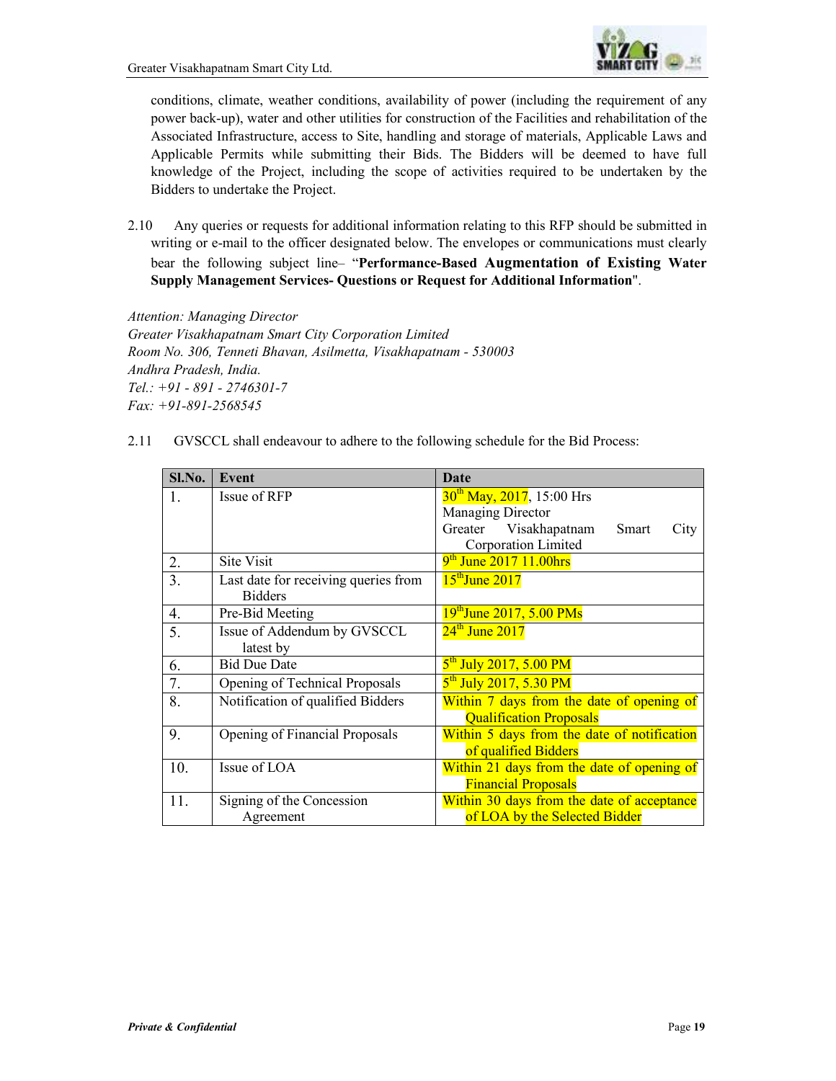

conditions, climate, weather conditions, availability of power (including the requirement of any power back-up), water and other utilities for construction of the Facilities and rehabilitation of the Associated Infrastructure, access to Site, handling and storage of materials, Applicable Laws and Applicable Permits while submitting their Bids. The Bidders will be deemed to have full knowledge of the Project, including the scope of activities required to be undertaken by the Bidders to undertake the Project.

2.10 Any queries or requests for additional information relating to this RFP should be submitted in writing or e-mail to the officer designated below. The envelopes or communications must clearly bear the following subject line– "**Performance-Based Augmentation of Existing Water Supply Management Services- Questions or Request for Additional Information**".

*Attention: Managing Director Greater Visakhapatnam Smart City Corporation Limited Room No. 306, Tenneti Bhavan, Asilmetta, Visakhapatnam - 530003 Andhra Pradesh, India. Tel.: +91 - 891 - 2746301-7 Fax: +91-891-2568545* 

2.11 GVSCCL shall endeavour to adhere to the following schedule for the Bid Process:

| Sl.No.           | Event                                | <b>Date</b>                                   |
|------------------|--------------------------------------|-----------------------------------------------|
| $\mathbf{1}$ .   | Issue of RFP                         | $30^{th}$ May, 2017, 15:00 Hrs                |
|                  |                                      | Managing Director                             |
|                  |                                      | Greater Visakhapatnam<br><b>Smart</b><br>City |
|                  |                                      | Corporation Limited                           |
| 2.               | Site Visit                           | 9 <sup>th</sup> June 2017 11.00hrs            |
| 3.               | Last date for receiving queries from | $15th$ June 2017                              |
|                  | <b>Bidders</b>                       |                                               |
| $\overline{4}$ . | Pre-Bid Meeting                      | 19th June 2017, 5.00 PMs                      |
| 5.               | Issue of Addendum by GVSCCL          | $24th$ June 2017                              |
|                  | latest by                            |                                               |
| 6.               | <b>Bid Due Date</b>                  | $5th$ July 2017, 5.00 PM                      |
| 7.               | Opening of Technical Proposals       | $5th$ July 2017, 5.30 PM                      |
| 8.               | Notification of qualified Bidders    | Within 7 days from the date of opening of     |
|                  |                                      | <b>Qualification Proposals</b>                |
| 9.               | Opening of Financial Proposals       | Within 5 days from the date of notification   |
|                  |                                      | of qualified Bidders                          |
| 10.              | Issue of LOA                         | Within 21 days from the date of opening of    |
|                  |                                      | <b>Financial Proposals</b>                    |
| 11.              | Signing of the Concession            | Within 30 days from the date of acceptance    |
|                  | Agreement                            | of LOA by the Selected Bidder                 |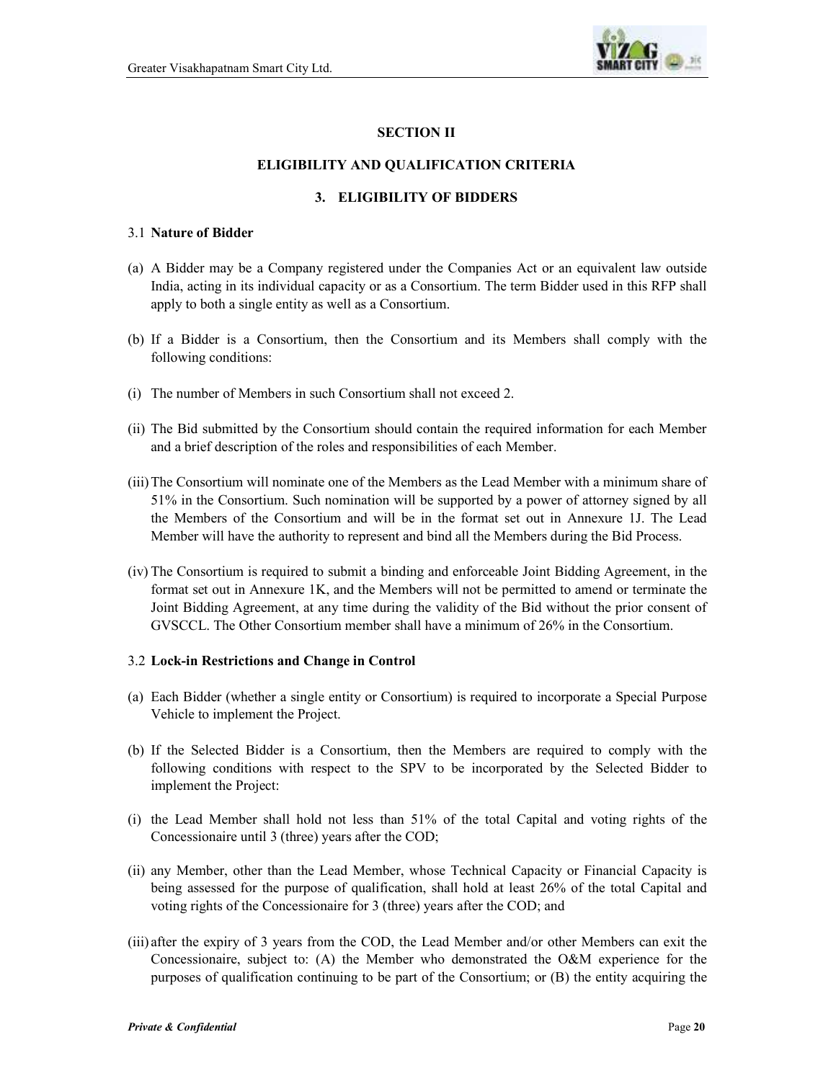

## **SECTION II**

#### **ELIGIBILITY AND QUALIFICATION CRITERIA**

#### **3. ELIGIBILITY OF BIDDERS**

#### 3.1 **Nature of Bidder**

- (a) A Bidder may be a Company registered under the Companies Act or an equivalent law outside India, acting in its individual capacity or as a Consortium. The term Bidder used in this RFP shall apply to both a single entity as well as a Consortium.
- (b) If a Bidder is a Consortium, then the Consortium and its Members shall comply with the following conditions:
- (i) The number of Members in such Consortium shall not exceed 2.
- (ii) The Bid submitted by the Consortium should contain the required information for each Member and a brief description of the roles and responsibilities of each Member.
- (iii)The Consortium will nominate one of the Members as the Lead Member with a minimum share of 51% in the Consortium. Such nomination will be supported by a power of attorney signed by all the Members of the Consortium and will be in the format set out in Annexure 1J. The Lead Member will have the authority to represent and bind all the Members during the Bid Process.
- (iv) The Consortium is required to submit a binding and enforceable Joint Bidding Agreement, in the format set out in Annexure 1K, and the Members will not be permitted to amend or terminate the Joint Bidding Agreement, at any time during the validity of the Bid without the prior consent of GVSCCL. The Other Consortium member shall have a minimum of 26% in the Consortium.

#### 3.2 **Lock-in Restrictions and Change in Control**

- (a) Each Bidder (whether a single entity or Consortium) is required to incorporate a Special Purpose Vehicle to implement the Project.
- (b) If the Selected Bidder is a Consortium, then the Members are required to comply with the following conditions with respect to the SPV to be incorporated by the Selected Bidder to implement the Project:
- (i) the Lead Member shall hold not less than 51% of the total Capital and voting rights of the Concessionaire until 3 (three) years after the COD;
- (ii) any Member, other than the Lead Member, whose Technical Capacity or Financial Capacity is being assessed for the purpose of qualification, shall hold at least 26% of the total Capital and voting rights of the Concessionaire for 3 (three) years after the COD; and
- (iii) after the expiry of 3 years from the COD, the Lead Member and/or other Members can exit the Concessionaire, subject to: (A) the Member who demonstrated the O&M experience for the purposes of qualification continuing to be part of the Consortium; or (B) the entity acquiring the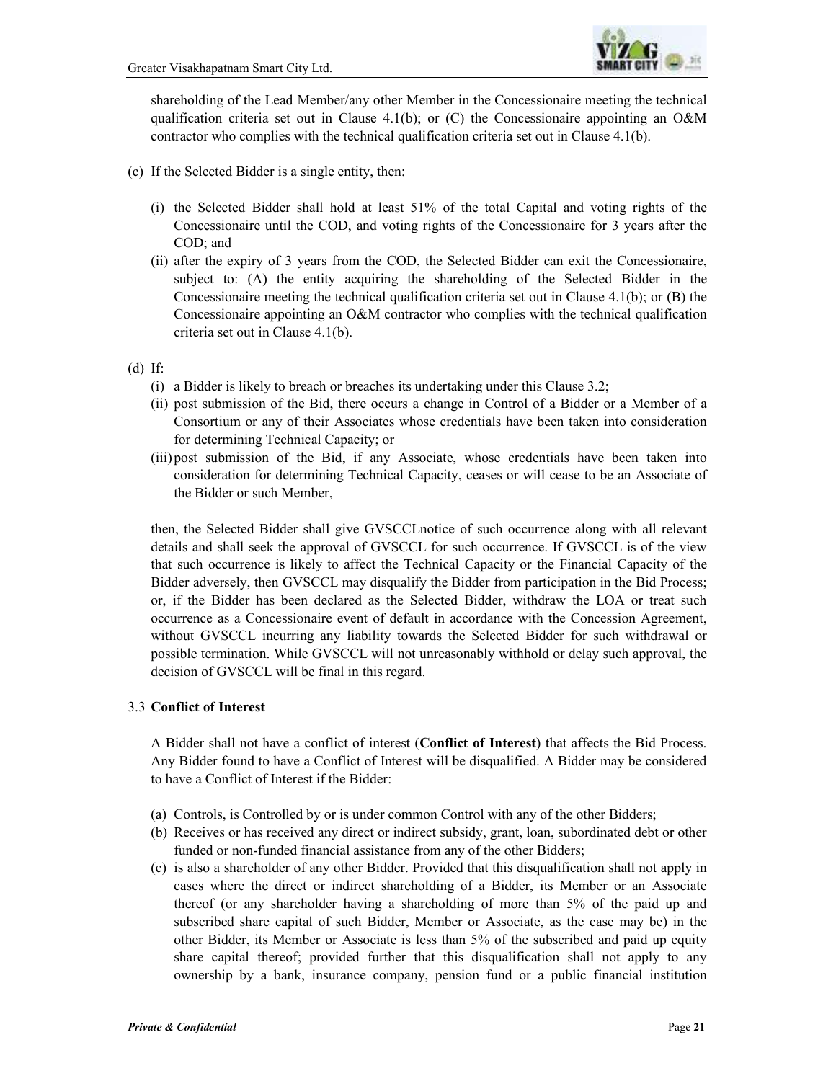

shareholding of the Lead Member/any other Member in the Concessionaire meeting the technical qualification criteria set out in Clause  $4.1(b)$ ; or (C) the Concessionaire appointing an O&M contractor who complies with the technical qualification criteria set out in Clause 4.1(b).

- (c) If the Selected Bidder is a single entity, then:
	- (i) the Selected Bidder shall hold at least 51% of the total Capital and voting rights of the Concessionaire until the COD, and voting rights of the Concessionaire for 3 years after the COD; and
	- (ii) after the expiry of 3 years from the COD, the Selected Bidder can exit the Concessionaire, subject to: (A) the entity acquiring the shareholding of the Selected Bidder in the Concessionaire meeting the technical qualification criteria set out in Clause 4.1(b); or (B) the Concessionaire appointing an O&M contractor who complies with the technical qualification criteria set out in Clause 4.1(b).
- (d) If:
	- (i) a Bidder is likely to breach or breaches its undertaking under this Clause 3.2;
	- (ii) post submission of the Bid, there occurs a change in Control of a Bidder or a Member of a Consortium or any of their Associates whose credentials have been taken into consideration for determining Technical Capacity; or
	- (iii) post submission of the Bid, if any Associate, whose credentials have been taken into consideration for determining Technical Capacity, ceases or will cease to be an Associate of the Bidder or such Member,

then, the Selected Bidder shall give GVSCCLnotice of such occurrence along with all relevant details and shall seek the approval of GVSCCL for such occurrence. If GVSCCL is of the view that such occurrence is likely to affect the Technical Capacity or the Financial Capacity of the Bidder adversely, then GVSCCL may disqualify the Bidder from participation in the Bid Process; or, if the Bidder has been declared as the Selected Bidder, withdraw the LOA or treat such occurrence as a Concessionaire event of default in accordance with the Concession Agreement, without GVSCCL incurring any liability towards the Selected Bidder for such withdrawal or possible termination. While GVSCCL will not unreasonably withhold or delay such approval, the decision of GVSCCL will be final in this regard.

## 3.3 **Conflict of Interest**

A Bidder shall not have a conflict of interest (**Conflict of Interest**) that affects the Bid Process. Any Bidder found to have a Conflict of Interest will be disqualified. A Bidder may be considered to have a Conflict of Interest if the Bidder:

- (a) Controls, is Controlled by or is under common Control with any of the other Bidders;
- (b) Receives or has received any direct or indirect subsidy, grant, loan, subordinated debt or other funded or non-funded financial assistance from any of the other Bidders;
- (c) is also a shareholder of any other Bidder. Provided that this disqualification shall not apply in cases where the direct or indirect shareholding of a Bidder, its Member or an Associate thereof (or any shareholder having a shareholding of more than 5% of the paid up and subscribed share capital of such Bidder, Member or Associate, as the case may be) in the other Bidder, its Member or Associate is less than 5% of the subscribed and paid up equity share capital thereof; provided further that this disqualification shall not apply to any ownership by a bank, insurance company, pension fund or a public financial institution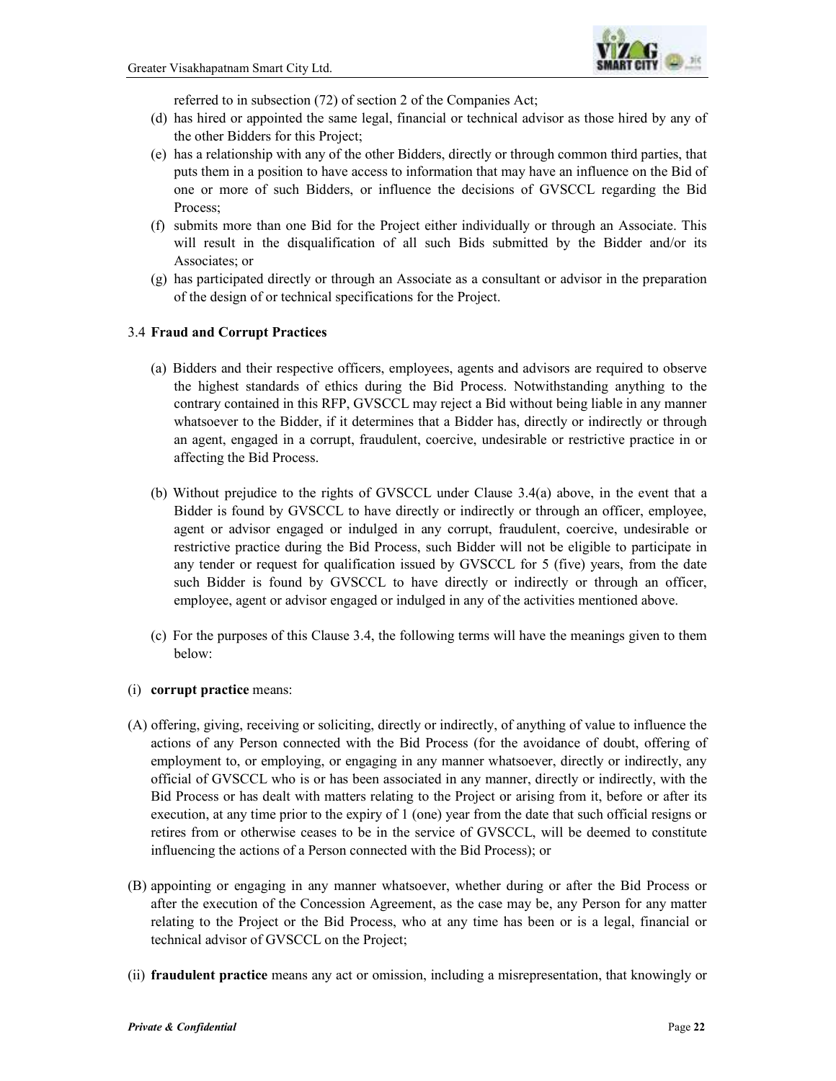

referred to in subsection (72) of section 2 of the Companies Act;

- (d) has hired or appointed the same legal, financial or technical advisor as those hired by any of the other Bidders for this Project;
- (e) has a relationship with any of the other Bidders, directly or through common third parties, that puts them in a position to have access to information that may have an influence on the Bid of one or more of such Bidders, or influence the decisions of GVSCCL regarding the Bid Process;
- (f) submits more than one Bid for the Project either individually or through an Associate. This will result in the disqualification of all such Bids submitted by the Bidder and/or its Associates; or
- (g) has participated directly or through an Associate as a consultant or advisor in the preparation of the design of or technical specifications for the Project.

#### 3.4 **Fraud and Corrupt Practices**

- (a) Bidders and their respective officers, employees, agents and advisors are required to observe the highest standards of ethics during the Bid Process. Notwithstanding anything to the contrary contained in this RFP, GVSCCL may reject a Bid without being liable in any manner whatsoever to the Bidder, if it determines that a Bidder has, directly or indirectly or through an agent, engaged in a corrupt, fraudulent, coercive, undesirable or restrictive practice in or affecting the Bid Process.
- (b) Without prejudice to the rights of GVSCCL under Clause 3.4(a) above, in the event that a Bidder is found by GVSCCL to have directly or indirectly or through an officer, employee, agent or advisor engaged or indulged in any corrupt, fraudulent, coercive, undesirable or restrictive practice during the Bid Process, such Bidder will not be eligible to participate in any tender or request for qualification issued by GVSCCL for 5 (five) years, from the date such Bidder is found by GVSCCL to have directly or indirectly or through an officer, employee, agent or advisor engaged or indulged in any of the activities mentioned above.
- (c) For the purposes of this Clause 3.4, the following terms will have the meanings given to them below:
- (i) **corrupt practice** means:
- (A) offering, giving, receiving or soliciting, directly or indirectly, of anything of value to influence the actions of any Person connected with the Bid Process (for the avoidance of doubt, offering of employment to, or employing, or engaging in any manner whatsoever, directly or indirectly, any official of GVSCCL who is or has been associated in any manner, directly or indirectly, with the Bid Process or has dealt with matters relating to the Project or arising from it, before or after its execution, at any time prior to the expiry of 1 (one) year from the date that such official resigns or retires from or otherwise ceases to be in the service of GVSCCL, will be deemed to constitute influencing the actions of a Person connected with the Bid Process); or
- (B) appointing or engaging in any manner whatsoever, whether during or after the Bid Process or after the execution of the Concession Agreement, as the case may be, any Person for any matter relating to the Project or the Bid Process, who at any time has been or is a legal, financial or technical advisor of GVSCCL on the Project;
- (ii) **fraudulent practice** means any act or omission, including a misrepresentation, that knowingly or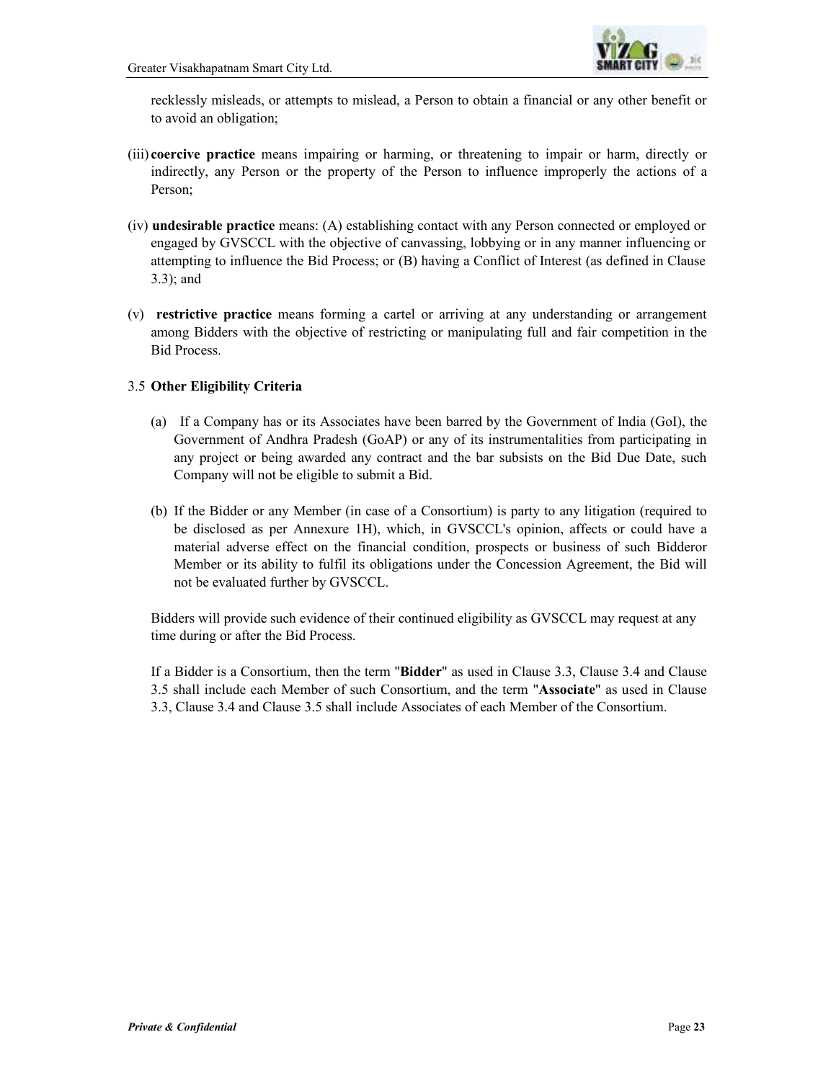

recklessly misleads, or attempts to mislead, a Person to obtain a financial or any other benefit or to avoid an obligation;

- (iii) **coercive practice** means impairing or harming, or threatening to impair or harm, directly or indirectly, any Person or the property of the Person to influence improperly the actions of a Person;
- (iv) **undesirable practice** means: (A) establishing contact with any Person connected or employed or engaged by GVSCCL with the objective of canvassing, lobbying or in any manner influencing or attempting to influence the Bid Process; or (B) having a Conflict of Interest (as defined in Clause 3.3); and
- (v) **restrictive practice** means forming a cartel or arriving at any understanding or arrangement among Bidders with the objective of restricting or manipulating full and fair competition in the Bid Process.

## 3.5 **Other Eligibility Criteria**

- (a) If a Company has or its Associates have been barred by the Government of India (GoI), the Government of Andhra Pradesh (GoAP) or any of its instrumentalities from participating in any project or being awarded any contract and the bar subsists on the Bid Due Date, such Company will not be eligible to submit a Bid.
- (b) If the Bidder or any Member (in case of a Consortium) is party to any litigation (required to be disclosed as per Annexure 1H), which, in GVSCCL's opinion, affects or could have a material adverse effect on the financial condition, prospects or business of such Bidderor Member or its ability to fulfil its obligations under the Concession Agreement, the Bid will not be evaluated further by GVSCCL.

Bidders will provide such evidence of their continued eligibility as GVSCCL may request at any time during or after the Bid Process.

If a Bidder is a Consortium, then the term "**Bidder**" as used in Clause 3.3, Clause 3.4 and Clause 3.5 shall include each Member of such Consortium, and the term "**Associate**" as used in Clause 3.3, Clause 3.4 and Clause 3.5 shall include Associates of each Member of the Consortium.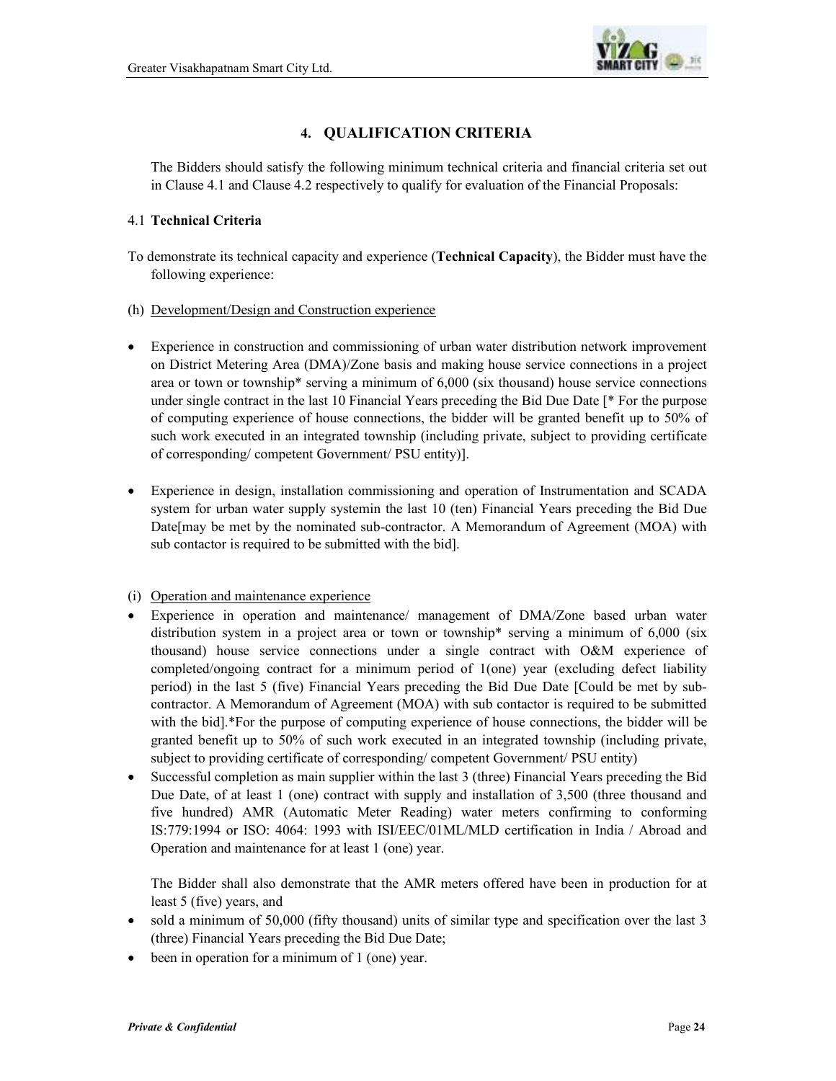

# **4. QUALIFICATION CRITERIA**

 The Bidders should satisfy the following minimum technical criteria and financial criteria set out in Clause 4.1 and Clause 4.2 respectively to qualify for evaluation of the Financial Proposals:

## 4.1 **Technical Criteria**

To demonstrate its technical capacity and experience (**Technical Capacity**), the Bidder must have the following experience:

## (h) Development/Design and Construction experience

- Experience in construction and commissioning of urban water distribution network improvement on District Metering Area (DMA)/Zone basis and making house service connections in a project area or town or township\* serving a minimum of 6,000 (six thousand) house service connections under single contract in the last 10 Financial Years preceding the Bid Due Date [\* For the purpose of computing experience of house connections, the bidder will be granted benefit up to 50% of such work executed in an integrated township (including private, subject to providing certificate of corresponding/ competent Government/ PSU entity)].
- Experience in design, installation commissioning and operation of Instrumentation and SCADA system for urban water supply systemin the last 10 (ten) Financial Years preceding the Bid Due Date[may be met by the nominated sub-contractor. A Memorandum of Agreement (MOA) with sub contactor is required to be submitted with the bid].

## (i) Operation and maintenance experience

- Experience in operation and maintenance/ management of DMA/Zone based urban water distribution system in a project area or town or township\* serving a minimum of 6,000 (six thousand) house service connections under a single contract with O&M experience of completed/ongoing contract for a minimum period of 1(one) year (excluding defect liability period) in the last 5 (five) Financial Years preceding the Bid Due Date [Could be met by subcontractor. A Memorandum of Agreement (MOA) with sub contactor is required to be submitted with the bid].\*For the purpose of computing experience of house connections, the bidder will be granted benefit up to 50% of such work executed in an integrated township (including private, subject to providing certificate of corresponding/ competent Government/ PSU entity)
- Successful completion as main supplier within the last 3 (three) Financial Years preceding the Bid Due Date, of at least 1 (one) contract with supply and installation of 3,500 (three thousand and five hundred) AMR (Automatic Meter Reading) water meters confirming to conforming IS:779:1994 or ISO: 4064: 1993 with ISI/EEC/01ML/MLD certification in India / Abroad and Operation and maintenance for at least 1 (one) year.

The Bidder shall also demonstrate that the AMR meters offered have been in production for at least 5 (five) years, and

- sold a minimum of 50,000 (fifty thousand) units of similar type and specification over the last 3 (three) Financial Years preceding the Bid Due Date;
- been in operation for a minimum of 1 (one) year.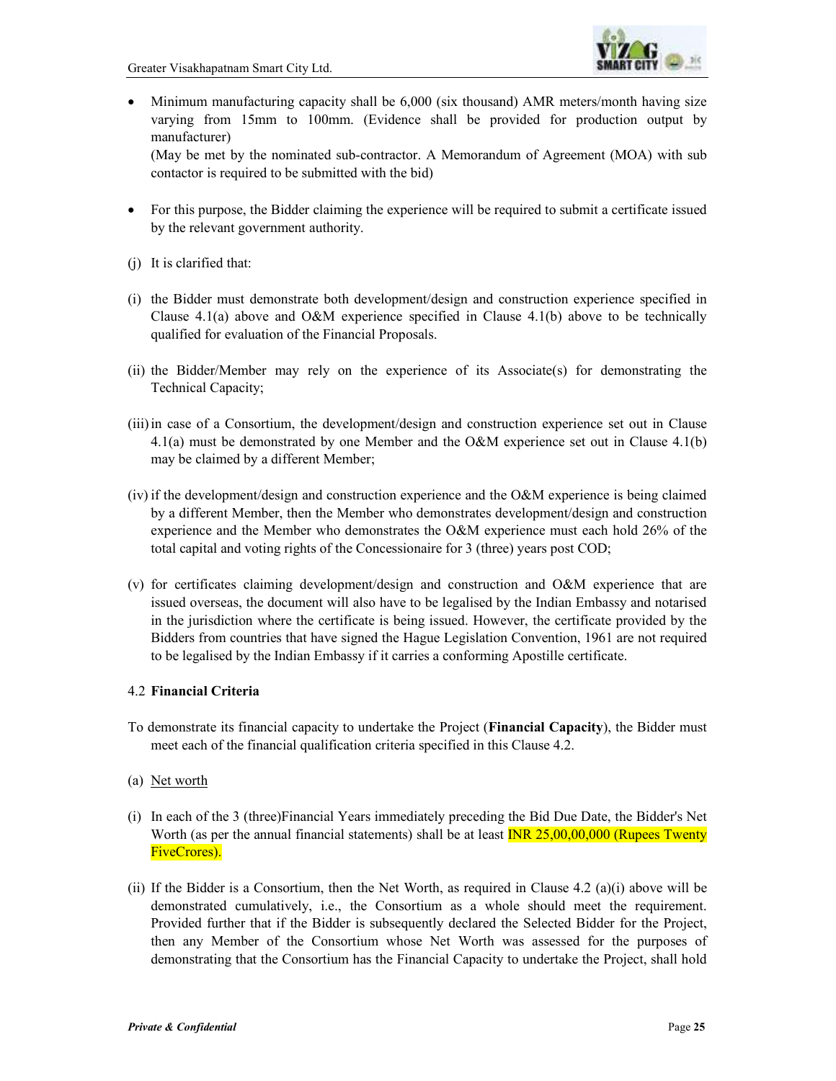

• Minimum manufacturing capacity shall be 6,000 (six thousand) AMR meters/month having size varying from 15mm to 100mm. (Evidence shall be provided for production output by manufacturer)

(May be met by the nominated sub-contractor. A Memorandum of Agreement (MOA) with sub contactor is required to be submitted with the bid)

- For this purpose, the Bidder claiming the experience will be required to submit a certificate issued by the relevant government authority.
- (j) It is clarified that:
- (i) the Bidder must demonstrate both development/design and construction experience specified in Clause 4.1(a) above and O&M experience specified in Clause 4.1(b) above to be technically qualified for evaluation of the Financial Proposals.
- (ii) the Bidder/Member may rely on the experience of its Associate(s) for demonstrating the Technical Capacity;
- (iii)in case of a Consortium, the development/design and construction experience set out in Clause 4.1(a) must be demonstrated by one Member and the O&M experience set out in Clause 4.1(b) may be claimed by a different Member;
- (iv) if the development/design and construction experience and the O&M experience is being claimed by a different Member, then the Member who demonstrates development/design and construction experience and the Member who demonstrates the O&M experience must each hold 26% of the total capital and voting rights of the Concessionaire for 3 (three) years post COD;
- (v) for certificates claiming development/design and construction and O&M experience that are issued overseas, the document will also have to be legalised by the Indian Embassy and notarised in the jurisdiction where the certificate is being issued. However, the certificate provided by the Bidders from countries that have signed the Hague Legislation Convention, 1961 are not required to be legalised by the Indian Embassy if it carries a conforming Apostille certificate.

## 4.2 **Financial Criteria**

- To demonstrate its financial capacity to undertake the Project (**Financial Capacity**), the Bidder must meet each of the financial qualification criteria specified in this Clause 4.2.
- (a) Net worth
- (i) In each of the 3 (three)Financial Years immediately preceding the Bid Due Date, the Bidder's Net Worth (as per the annual financial statements) shall be at least **INR 25,00,00,000 (Rupees Twenty** FiveCrores).
- (ii) If the Bidder is a Consortium, then the Net Worth, as required in Clause 4.2 (a)(i) above will be demonstrated cumulatively, i.e., the Consortium as a whole should meet the requirement. Provided further that if the Bidder is subsequently declared the Selected Bidder for the Project, then any Member of the Consortium whose Net Worth was assessed for the purposes of demonstrating that the Consortium has the Financial Capacity to undertake the Project, shall hold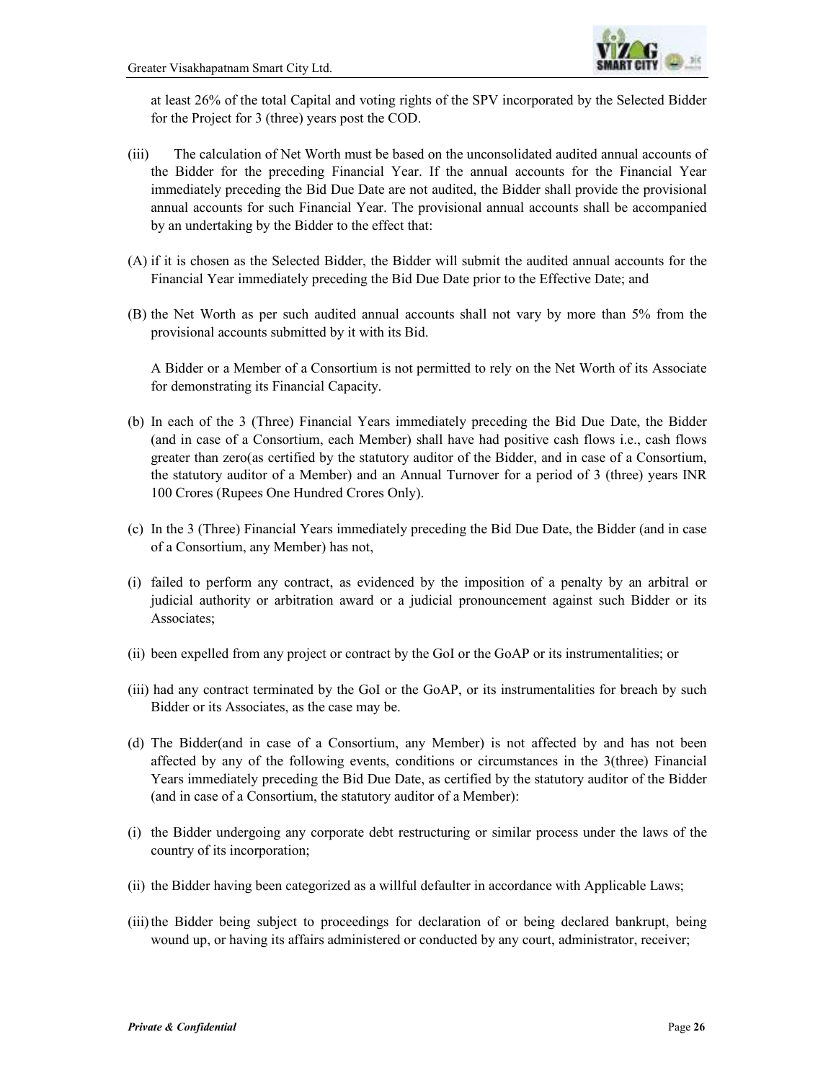

at least 26% of the total Capital and voting rights of the SPV incorporated by the Selected Bidder for the Project for 3 (three) years post the COD.

- (iii) The calculation of Net Worth must be based on the unconsolidated audited annual accounts of the Bidder for the preceding Financial Year. If the annual accounts for the Financial Year immediately preceding the Bid Due Date are not audited, the Bidder shall provide the provisional annual accounts for such Financial Year. The provisional annual accounts shall be accompanied by an undertaking by the Bidder to the effect that:
- (A) if it is chosen as the Selected Bidder, the Bidder will submit the audited annual accounts for the Financial Year immediately preceding the Bid Due Date prior to the Effective Date; and
- (B) the Net Worth as per such audited annual accounts shall not vary by more than 5% from the provisional accounts submitted by it with its Bid.

A Bidder or a Member of a Consortium is not permitted to rely on the Net Worth of its Associate for demonstrating its Financial Capacity.

- (b) In each of the 3 (Three) Financial Years immediately preceding the Bid Due Date, the Bidder (and in case of a Consortium, each Member) shall have had positive cash flows i.e., cash flows greater than zero(as certified by the statutory auditor of the Bidder, and in case of a Consortium, the statutory auditor of a Member) and an Annual Turnover for a period of 3 (three) years INR 100 Crores (Rupees One Hundred Crores Only).
- (c) In the 3 (Three) Financial Years immediately preceding the Bid Due Date, the Bidder (and in case of a Consortium, any Member) has not,
- (i) failed to perform any contract, as evidenced by the imposition of a penalty by an arbitral or judicial authority or arbitration award or a judicial pronouncement against such Bidder or its Associates;
- (ii) been expelled from any project or contract by the GoI or the GoAP or its instrumentalities; or
- (iii) had any contract terminated by the GoI or the GoAP, or its instrumentalities for breach by such Bidder or its Associates, as the case may be.
- (d) The Bidder(and in case of a Consortium, any Member) is not affected by and has not been affected by any of the following events, conditions or circumstances in the 3(three) Financial Years immediately preceding the Bid Due Date, as certified by the statutory auditor of the Bidder (and in case of a Consortium, the statutory auditor of a Member):
- (i) the Bidder undergoing any corporate debt restructuring or similar process under the laws of the country of its incorporation;
- (ii) the Bidder having been categorized as a willful defaulter in accordance with Applicable Laws;
- (iii) the Bidder being subject to proceedings for declaration of or being declared bankrupt, being wound up, or having its affairs administered or conducted by any court, administrator, receiver;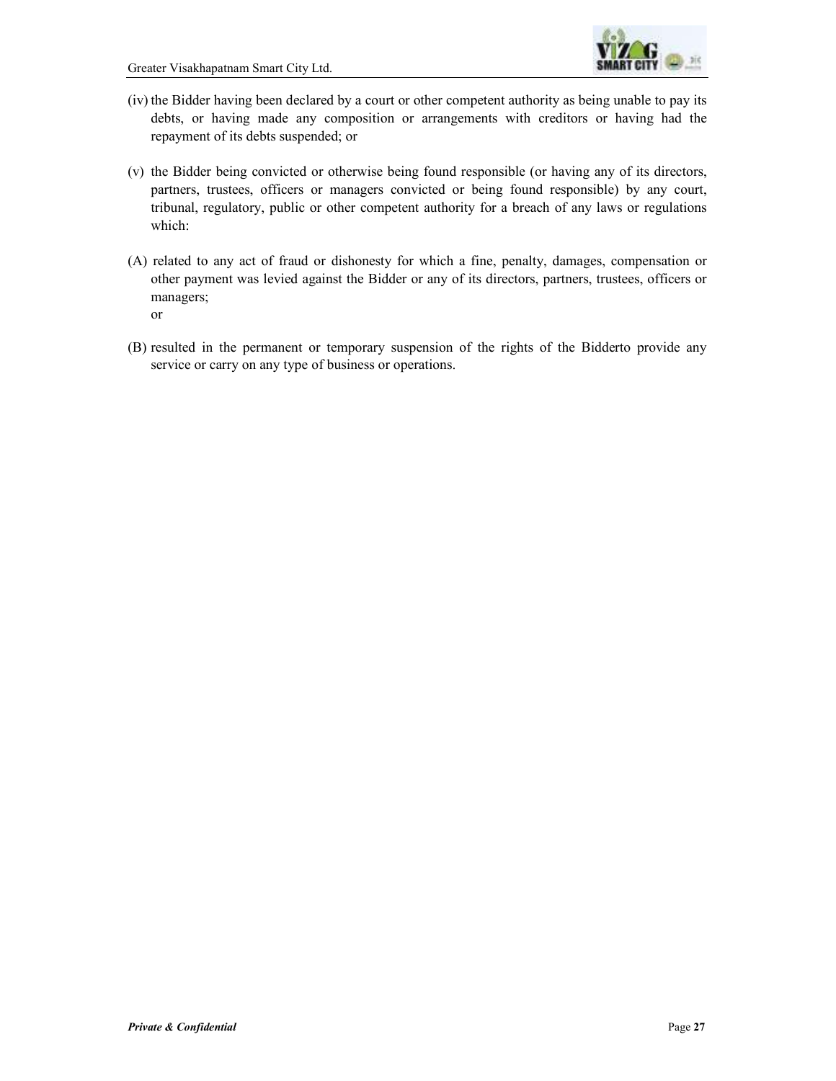

- (iv) the Bidder having been declared by a court or other competent authority as being unable to pay its debts, or having made any composition or arrangements with creditors or having had the repayment of its debts suspended; or
- (v) the Bidder being convicted or otherwise being found responsible (or having any of its directors, partners, trustees, officers or managers convicted or being found responsible) by any court, tribunal, regulatory, public or other competent authority for a breach of any laws or regulations which:
- (A) related to any act of fraud or dishonesty for which a fine, penalty, damages, compensation or other payment was levied against the Bidder or any of its directors, partners, trustees, officers or managers;
	- or
- (B) resulted in the permanent or temporary suspension of the rights of the Bidderto provide any service or carry on any type of business or operations.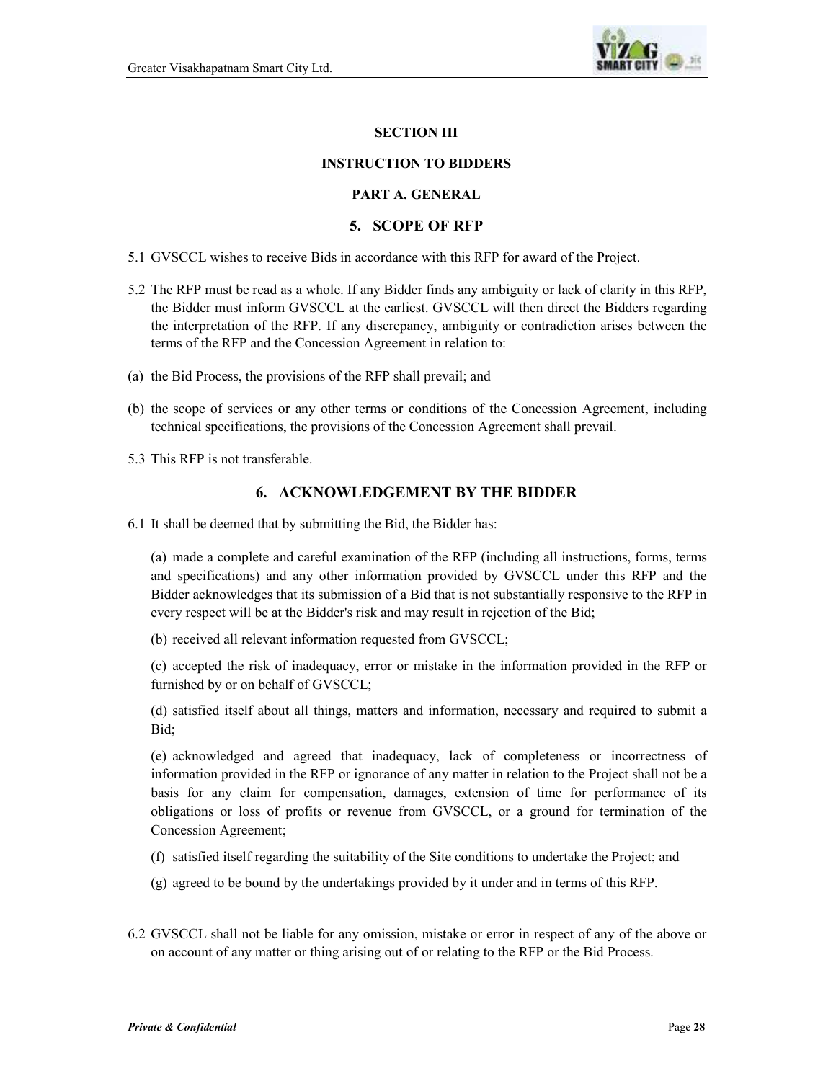

#### **SECTION III**

#### **INSTRUCTION TO BIDDERS**

#### **PART A. GENERAL**

## **5. SCOPE OF RFP**

- 5.1 GVSCCL wishes to receive Bids in accordance with this RFP for award of the Project.
- 5.2 The RFP must be read as a whole. If any Bidder finds any ambiguity or lack of clarity in this RFP, the Bidder must inform GVSCCL at the earliest. GVSCCL will then direct the Bidders regarding the interpretation of the RFP. If any discrepancy, ambiguity or contradiction arises between the terms of the RFP and the Concession Agreement in relation to:
- (a) the Bid Process, the provisions of the RFP shall prevail; and
- (b) the scope of services or any other terms or conditions of the Concession Agreement, including technical specifications, the provisions of the Concession Agreement shall prevail.
- 5.3 This RFP is not transferable.

#### **6. ACKNOWLEDGEMENT BY THE BIDDER**

6.1 It shall be deemed that by submitting the Bid, the Bidder has:

 (a) made a complete and careful examination of the RFP (including all instructions, forms, terms and specifications) and any other information provided by GVSCCL under this RFP and the Bidder acknowledges that its submission of a Bid that is not substantially responsive to the RFP in every respect will be at the Bidder's risk and may result in rejection of the Bid;

(b) received all relevant information requested from GVSCCL;

 (c) accepted the risk of inadequacy, error or mistake in the information provided in the RFP or furnished by or on behalf of GVSCCL;

 (d) satisfied itself about all things, matters and information, necessary and required to submit a Bid;

 (e) acknowledged and agreed that inadequacy, lack of completeness or incorrectness of information provided in the RFP or ignorance of any matter in relation to the Project shall not be a basis for any claim for compensation, damages, extension of time for performance of its obligations or loss of profits or revenue from GVSCCL, or a ground for termination of the Concession Agreement;

- (f) satisfied itself regarding the suitability of the Site conditions to undertake the Project; and
- (g) agreed to be bound by the undertakings provided by it under and in terms of this RFP.
- 6.2 GVSCCL shall not be liable for any omission, mistake or error in respect of any of the above or on account of any matter or thing arising out of or relating to the RFP or the Bid Process.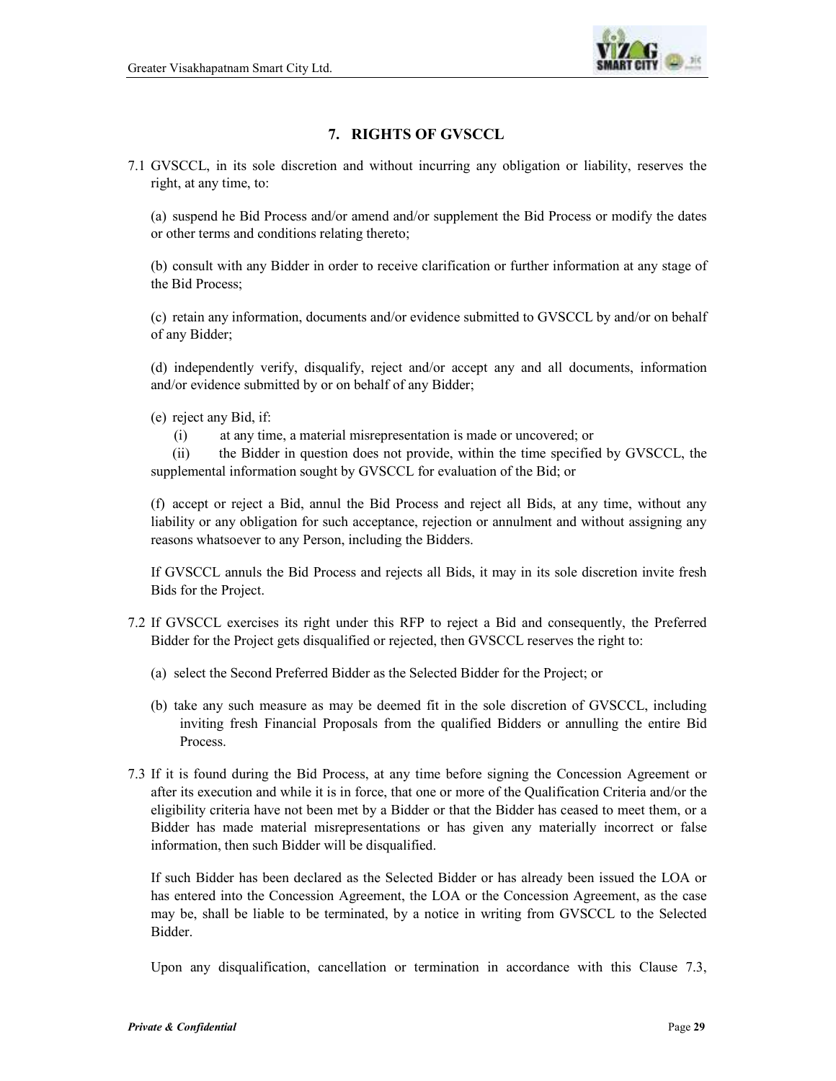

# **7. RIGHTS OF GVSCCL**

7.1 GVSCCL, in its sole discretion and without incurring any obligation or liability, reserves the right, at any time, to:

 (a) suspend he Bid Process and/or amend and/or supplement the Bid Process or modify the dates or other terms and conditions relating thereto;

 (b) consult with any Bidder in order to receive clarification or further information at any stage of the Bid Process;

 (c) retain any information, documents and/or evidence submitted to GVSCCL by and/or on behalf of any Bidder;

 (d) independently verify, disqualify, reject and/or accept any and all documents, information and/or evidence submitted by or on behalf of any Bidder;

(e) reject any Bid, if:

(i) at any time, a material misrepresentation is made or uncovered; or

 (ii) the Bidder in question does not provide, within the time specified by GVSCCL, the supplemental information sought by GVSCCL for evaluation of the Bid; or

 (f) accept or reject a Bid, annul the Bid Process and reject all Bids, at any time, without any liability or any obligation for such acceptance, rejection or annulment and without assigning any reasons whatsoever to any Person, including the Bidders.

 If GVSCCL annuls the Bid Process and rejects all Bids, it may in its sole discretion invite fresh Bids for the Project.

- 7.2 If GVSCCL exercises its right under this RFP to reject a Bid and consequently, the Preferred Bidder for the Project gets disqualified or rejected, then GVSCCL reserves the right to:
	- (a) select the Second Preferred Bidder as the Selected Bidder for the Project; or
	- (b) take any such measure as may be deemed fit in the sole discretion of GVSCCL, including inviting fresh Financial Proposals from the qualified Bidders or annulling the entire Bid Process.
- 7.3 If it is found during the Bid Process, at any time before signing the Concession Agreement or after its execution and while it is in force, that one or more of the Qualification Criteria and/or the eligibility criteria have not been met by a Bidder or that the Bidder has ceased to meet them, or a Bidder has made material misrepresentations or has given any materially incorrect or false information, then such Bidder will be disqualified.

 If such Bidder has been declared as the Selected Bidder or has already been issued the LOA or has entered into the Concession Agreement, the LOA or the Concession Agreement, as the case may be, shall be liable to be terminated, by a notice in writing from GVSCCL to the Selected Bidder.

Upon any disqualification, cancellation or termination in accordance with this Clause 7.3,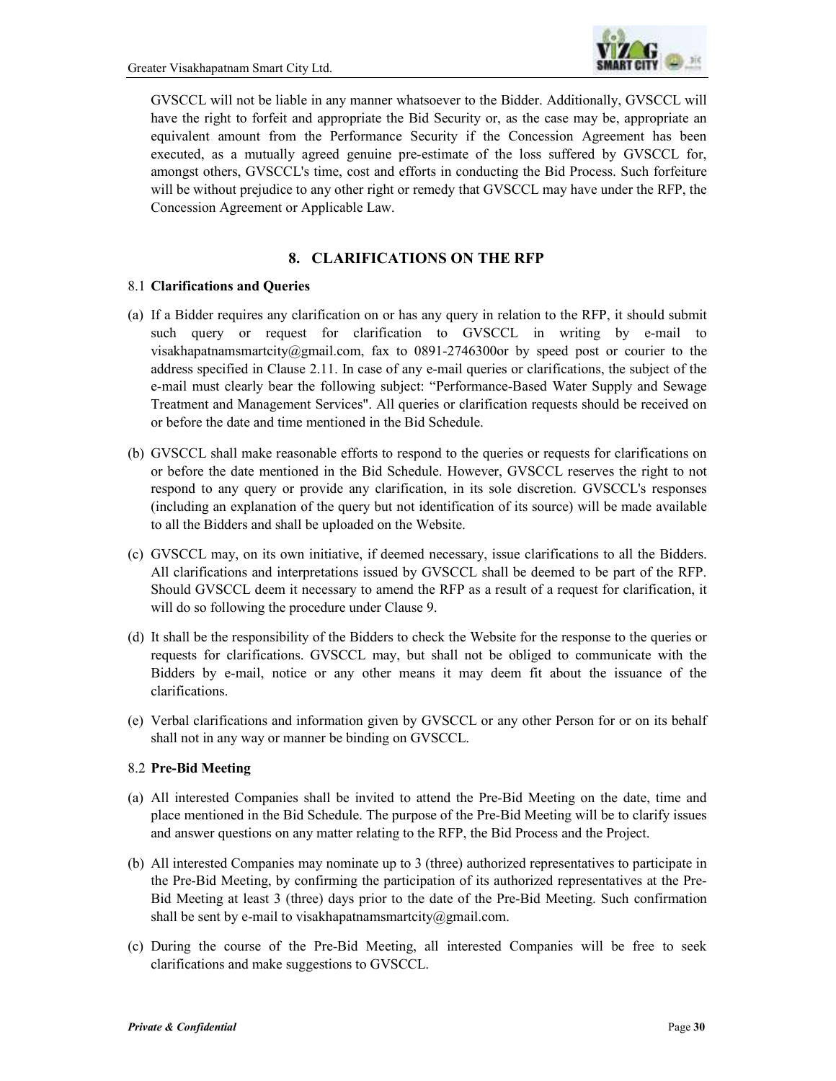

GVSCCL will not be liable in any manner whatsoever to the Bidder. Additionally, GVSCCL will have the right to forfeit and appropriate the Bid Security or, as the case may be, appropriate an equivalent amount from the Performance Security if the Concession Agreement has been executed, as a mutually agreed genuine pre-estimate of the loss suffered by GVSCCL for, amongst others, GVSCCL's time, cost and efforts in conducting the Bid Process. Such forfeiture will be without prejudice to any other right or remedy that GVSCCL may have under the RFP, the Concession Agreement or Applicable Law.

# **8. CLARIFICATIONS ON THE RFP**

#### 8.1 **Clarifications and Queries**

- (a) If a Bidder requires any clarification on or has any query in relation to the RFP, it should submit such query or request for clarification to GVSCCL in writing by e-mail to visakhapatnamsmartcity@gmail.com, fax to 0891-2746300or by speed post or courier to the address specified in Clause 2.11. In case of any e-mail queries or clarifications, the subject of the e-mail must clearly bear the following subject: "Performance-Based Water Supply and Sewage Treatment and Management Services". All queries or clarification requests should be received on or before the date and time mentioned in the Bid Schedule.
- (b) GVSCCL shall make reasonable efforts to respond to the queries or requests for clarifications on or before the date mentioned in the Bid Schedule. However, GVSCCL reserves the right to not respond to any query or provide any clarification, in its sole discretion. GVSCCL's responses (including an explanation of the query but not identification of its source) will be made available to all the Bidders and shall be uploaded on the Website.
- (c) GVSCCL may, on its own initiative, if deemed necessary, issue clarifications to all the Bidders. All clarifications and interpretations issued by GVSCCL shall be deemed to be part of the RFP. Should GVSCCL deem it necessary to amend the RFP as a result of a request for clarification, it will do so following the procedure under Clause 9.
- (d) It shall be the responsibility of the Bidders to check the Website for the response to the queries or requests for clarifications. GVSCCL may, but shall not be obliged to communicate with the Bidders by e-mail, notice or any other means it may deem fit about the issuance of the clarifications.
- (e) Verbal clarifications and information given by GVSCCL or any other Person for or on its behalf shall not in any way or manner be binding on GVSCCL.

#### 8.2 **Pre-Bid Meeting**

- (a) All interested Companies shall be invited to attend the Pre-Bid Meeting on the date, time and place mentioned in the Bid Schedule. The purpose of the Pre-Bid Meeting will be to clarify issues and answer questions on any matter relating to the RFP, the Bid Process and the Project.
- (b) All interested Companies may nominate up to 3 (three) authorized representatives to participate in the Pre-Bid Meeting, by confirming the participation of its authorized representatives at the Pre-Bid Meeting at least 3 (three) days prior to the date of the Pre-Bid Meeting. Such confirmation shall be sent by e-mail to visakhapatnamsmartcity@gmail.com.
- (c) During the course of the Pre-Bid Meeting, all interested Companies will be free to seek clarifications and make suggestions to GVSCCL.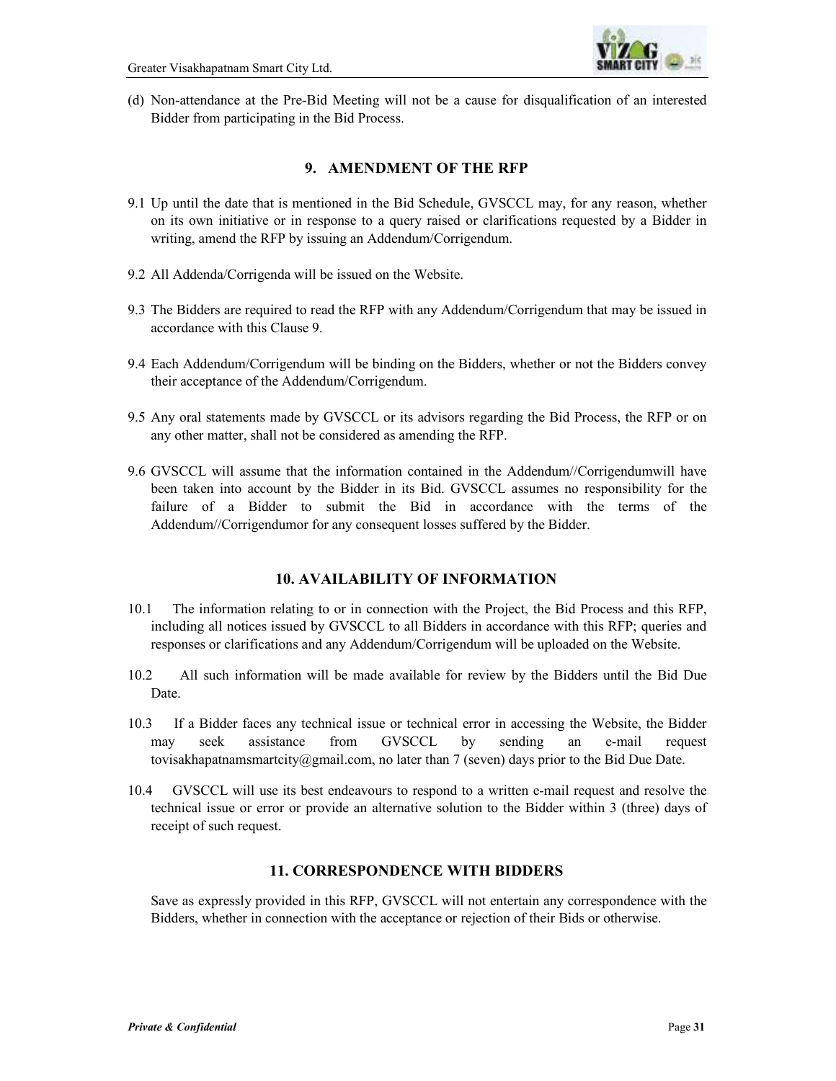

(d) Non-attendance at the Pre-Bid Meeting will not be a cause for disqualification of an interested Bidder from participating in the Bid Process.

## **9. AMENDMENT OF THE RFP**

- 9.1 Up until the date that is mentioned in the Bid Schedule, GVSCCL may, for any reason, whether on its own initiative or in response to a query raised or clarifications requested by a Bidder in writing, amend the RFP by issuing an Addendum/Corrigendum.
- 9.2 All Addenda/Corrigenda will be issued on the Website.
- 9.3 The Bidders are required to read the RFP with any Addendum/Corrigendum that may be issued in accordance with this Clause 9.
- 9.4 Each Addendum/Corrigendum will be binding on the Bidders, whether or not the Bidders convey their acceptance of the Addendum/Corrigendum.
- 9.5 Any oral statements made by GVSCCL or its advisors regarding the Bid Process, the RFP or on any other matter, shall not be considered as amending the RFP.
- 9.6 GVSCCL will assume that the information contained in the Addendum//Corrigendumwill have been taken into account by the Bidder in its Bid. GVSCCL assumes no responsibility for the failure of a Bidder to submit the Bid in accordance with the terms of the Addendum//Corrigendumor for any consequent losses suffered by the Bidder.

## **10. AVAILABILITY OF INFORMATION**

- 10.1 The information relating to or in connection with the Project, the Bid Process and this RFP, including all notices issued by GVSCCL to all Bidders in accordance with this RFP; queries and responses or clarifications and any Addendum/Corrigendum will be uploaded on the Website.
- 10.2 All such information will be made available for review by the Bidders until the Bid Due Date.
- 10.3 If a Bidder faces any technical issue or technical error in accessing the Website, the Bidder may seek assistance from GVSCCL by sending an e-mail request tovisakhapatnamsmartcity@gmail.com, no later than 7 (seven) days prior to the Bid Due Date.
- 10.4 GVSCCL will use its best endeavours to respond to a written e-mail request and resolve the technical issue or error or provide an alternative solution to the Bidder within 3 (three) days of receipt of such request.

## **11. CORRESPONDENCE WITH BIDDERS**

 Save as expressly provided in this RFP, GVSCCL will not entertain any correspondence with the Bidders, whether in connection with the acceptance or rejection of their Bids or otherwise.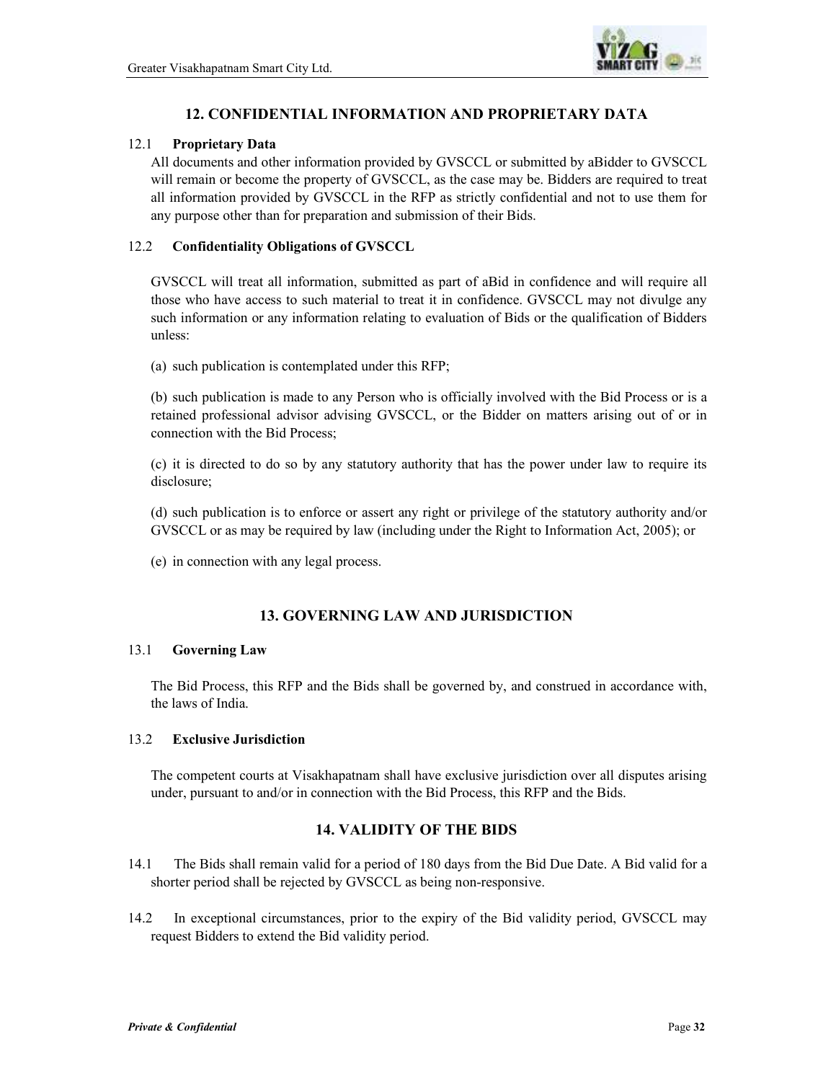

# **12. CONFIDENTIAL INFORMATION AND PROPRIETARY DATA**

## 12.1 **Proprietary Data**

 All documents and other information provided by GVSCCL or submitted by aBidder to GVSCCL will remain or become the property of GVSCCL, as the case may be. Bidders are required to treat all information provided by GVSCCL in the RFP as strictly confidential and not to use them for any purpose other than for preparation and submission of their Bids.

## 12.2 **Confidentiality Obligations of GVSCCL**

 GVSCCL will treat all information, submitted as part of aBid in confidence and will require all those who have access to such material to treat it in confidence. GVSCCL may not divulge any such information or any information relating to evaluation of Bids or the qualification of Bidders unless:

(a) such publication is contemplated under this RFP;

 (b) such publication is made to any Person who is officially involved with the Bid Process or is a retained professional advisor advising GVSCCL, or the Bidder on matters arising out of or in connection with the Bid Process;

 (c) it is directed to do so by any statutory authority that has the power under law to require its disclosure;

 (d) such publication is to enforce or assert any right or privilege of the statutory authority and/or GVSCCL or as may be required by law (including under the Right to Information Act, 2005); or

(e) in connection with any legal process.

# **13. GOVERNING LAW AND JURISDICTION**

#### 13.1 **Governing Law**

 The Bid Process, this RFP and the Bids shall be governed by, and construed in accordance with, the laws of India.

#### 13.2 **Exclusive Jurisdiction**

 The competent courts at Visakhapatnam shall have exclusive jurisdiction over all disputes arising under, pursuant to and/or in connection with the Bid Process, this RFP and the Bids.

# **14. VALIDITY OF THE BIDS**

- 14.1 The Bids shall remain valid for a period of 180 days from the Bid Due Date. A Bid valid for a shorter period shall be rejected by GVSCCL as being non-responsive.
- 14.2 In exceptional circumstances, prior to the expiry of the Bid validity period, GVSCCL may request Bidders to extend the Bid validity period.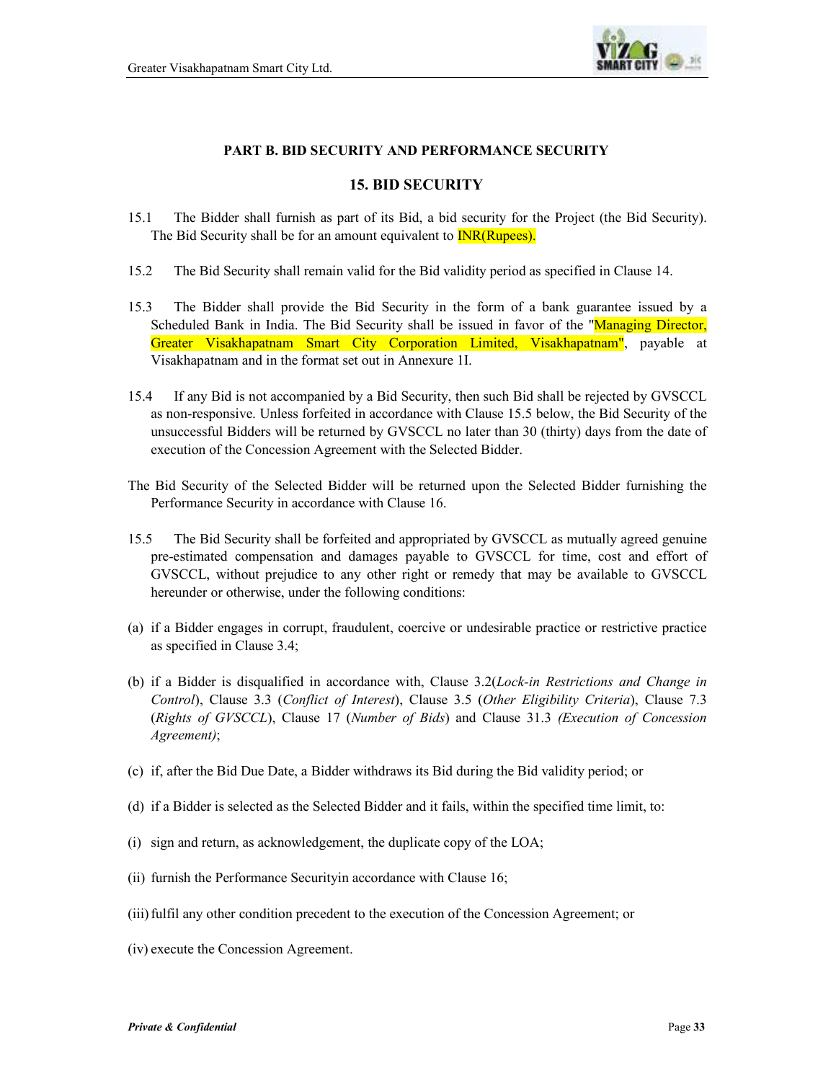

## **PART B. BID SECURITY AND PERFORMANCE SECURITY**

#### **15. BID SECURITY**

- 15.1 The Bidder shall furnish as part of its Bid, a bid security for the Project (the Bid Security). The Bid Security shall be for an amount equivalent to **INR(Rupees)**.
- 15.2 The Bid Security shall remain valid for the Bid validity period as specified in Clause 14.
- 15.3 The Bidder shall provide the Bid Security in the form of a bank guarantee issued by a Scheduled Bank in India. The Bid Security shall be issued in favor of the "Managing Director, Greater Visakhapatnam Smart City Corporation Limited, Visakhapatnam", payable at Visakhapatnam and in the format set out in Annexure 1I.
- 15.4 If any Bid is not accompanied by a Bid Security, then such Bid shall be rejected by GVSCCL as non-responsive. Unless forfeited in accordance with Clause 15.5 below, the Bid Security of the unsuccessful Bidders will be returned by GVSCCL no later than 30 (thirty) days from the date of execution of the Concession Agreement with the Selected Bidder.
- The Bid Security of the Selected Bidder will be returned upon the Selected Bidder furnishing the Performance Security in accordance with Clause 16.
- 15.5 The Bid Security shall be forfeited and appropriated by GVSCCL as mutually agreed genuine pre-estimated compensation and damages payable to GVSCCL for time, cost and effort of GVSCCL, without prejudice to any other right or remedy that may be available to GVSCCL hereunder or otherwise, under the following conditions:
- (a) if a Bidder engages in corrupt, fraudulent, coercive or undesirable practice or restrictive practice as specified in Clause 3.4;
- (b) if a Bidder is disqualified in accordance with, Clause 3.2(*Lock-in Restrictions and Change in Control*), Clause 3.3 (*Conflict of Interest*), Clause 3.5 (*Other Eligibility Criteria*), Clause 7.3 (*Rights of GVSCCL*), Clause 17 (*Number of Bids*) and Clause 31.3 *(Execution of Concession Agreement)*;
- (c) if, after the Bid Due Date, a Bidder withdraws its Bid during the Bid validity period; or
- (d) if a Bidder is selected as the Selected Bidder and it fails, within the specified time limit, to:
- (i) sign and return, as acknowledgement, the duplicate copy of the LOA;
- (ii) furnish the Performance Securityin accordance with Clause 16;
- (iii)fulfil any other condition precedent to the execution of the Concession Agreement; or
- (iv) execute the Concession Agreement.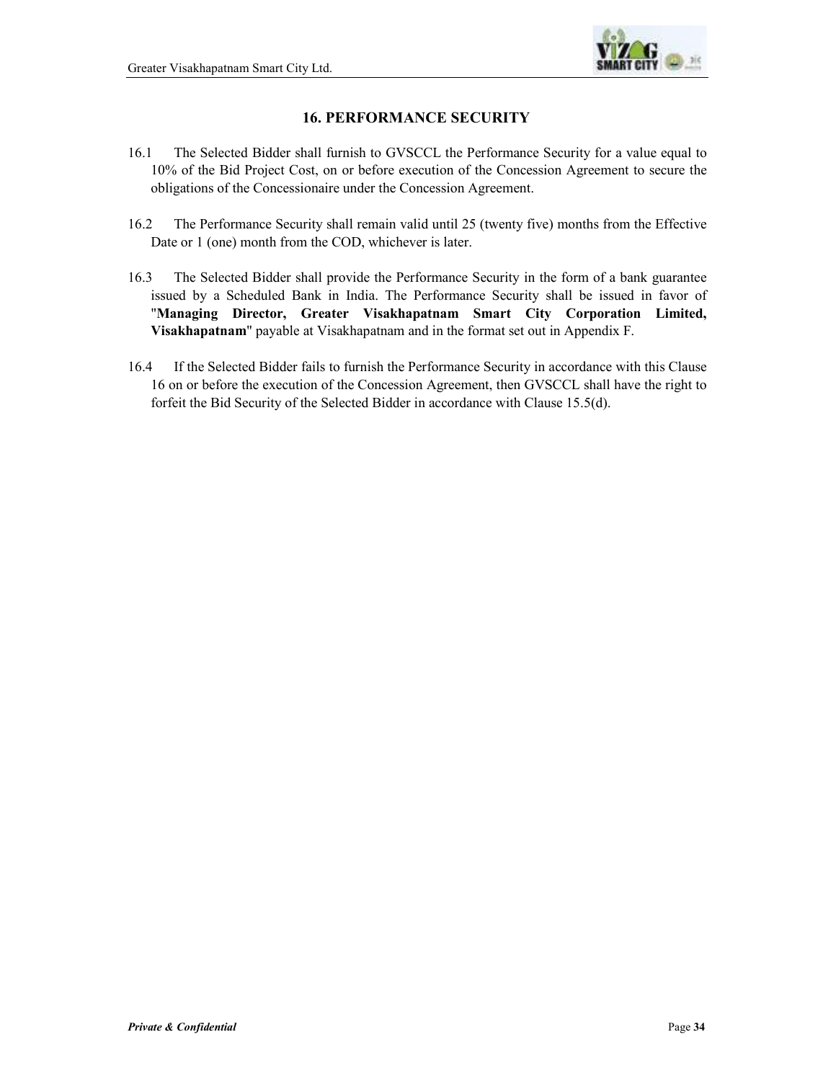

## **16. PERFORMANCE SECURITY**

- 16.1 The Selected Bidder shall furnish to GVSCCL the Performance Security for a value equal to 10% of the Bid Project Cost, on or before execution of the Concession Agreement to secure the obligations of the Concessionaire under the Concession Agreement.
- 16.2 The Performance Security shall remain valid until 25 (twenty five) months from the Effective Date or 1 (one) month from the COD, whichever is later.
- 16.3 The Selected Bidder shall provide the Performance Security in the form of a bank guarantee issued by a Scheduled Bank in India. The Performance Security shall be issued in favor of "**Managing Director, Greater Visakhapatnam Smart City Corporation Limited, Visakhapatnam**" payable at Visakhapatnam and in the format set out in Appendix F.
- 16.4 If the Selected Bidder fails to furnish the Performance Security in accordance with this Clause 16 on or before the execution of the Concession Agreement, then GVSCCL shall have the right to forfeit the Bid Security of the Selected Bidder in accordance with Clause 15.5(d).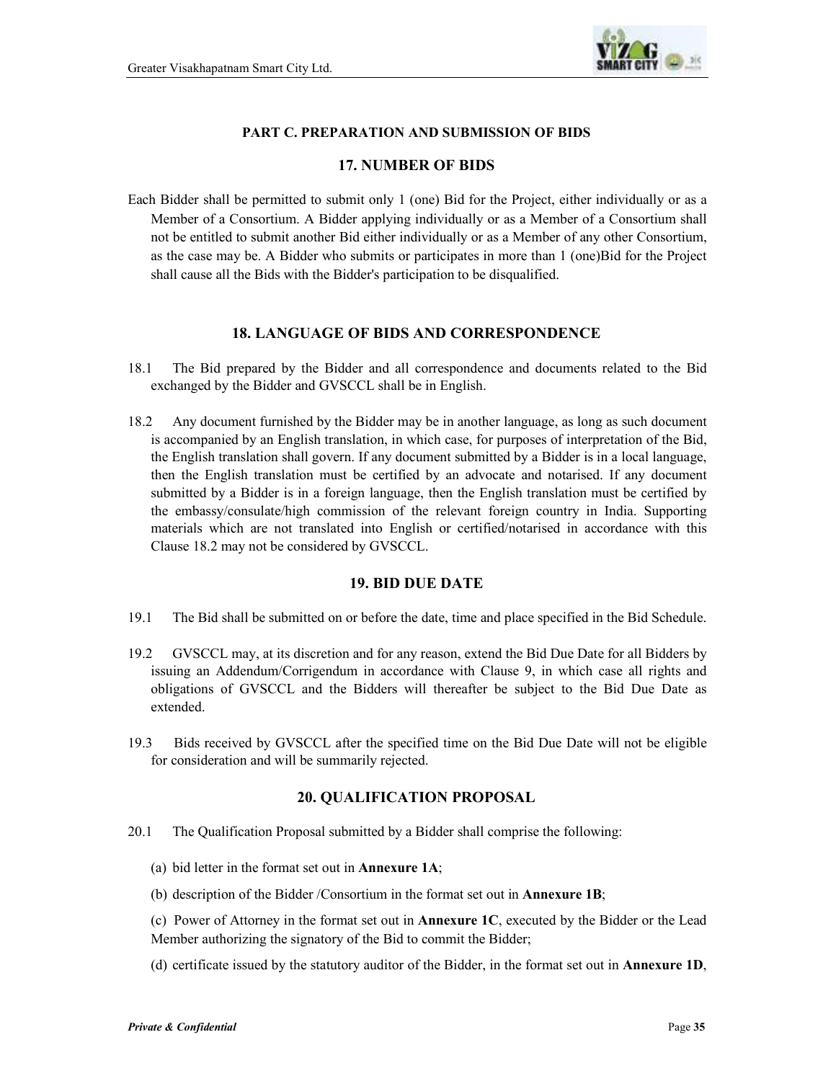

## **PART C. PREPARATION AND SUBMISSION OF BIDS**

## **17. NUMBER OF BIDS**

Each Bidder shall be permitted to submit only 1 (one) Bid for the Project, either individually or as a Member of a Consortium. A Bidder applying individually or as a Member of a Consortium shall not be entitled to submit another Bid either individually or as a Member of any other Consortium, as the case may be. A Bidder who submits or participates in more than 1 (one)Bid for the Project shall cause all the Bids with the Bidder's participation to be disqualified.

## **18. LANGUAGE OF BIDS AND CORRESPONDENCE**

- 18.1 The Bid prepared by the Bidder and all correspondence and documents related to the Bid exchanged by the Bidder and GVSCCL shall be in English.
- 18.2 Any document furnished by the Bidder may be in another language, as long as such document is accompanied by an English translation, in which case, for purposes of interpretation of the Bid, the English translation shall govern. If any document submitted by a Bidder is in a local language, then the English translation must be certified by an advocate and notarised. If any document submitted by a Bidder is in a foreign language, then the English translation must be certified by the embassy/consulate/high commission of the relevant foreign country in India. Supporting materials which are not translated into English or certified/notarised in accordance with this Clause 18.2 may not be considered by GVSCCL.

## **19. BID DUE DATE**

- 19.1 The Bid shall be submitted on or before the date, time and place specified in the Bid Schedule.
- 19.2 GVSCCL may, at its discretion and for any reason, extend the Bid Due Date for all Bidders by issuing an Addendum/Corrigendum in accordance with Clause 9, in which case all rights and obligations of GVSCCL and the Bidders will thereafter be subject to the Bid Due Date as extended.
- 19.3 Bids received by GVSCCL after the specified time on the Bid Due Date will not be eligible for consideration and will be summarily rejected.

## **20. QUALIFICATION PROPOSAL**

- 20.1 The Qualification Proposal submitted by a Bidder shall comprise the following:
	- (a) bid letter in the format set out in **Annexure 1A**;
	- (b) description of the Bidder /Consortium in the format set out in **Annexure 1B**;
	- (c) Power of Attorney in the format set out in **Annexure 1C**, executed by the Bidder or the Lead Member authorizing the signatory of the Bid to commit the Bidder;
	- (d) certificate issued by the statutory auditor of the Bidder, in the format set out in **Annexure 1D**,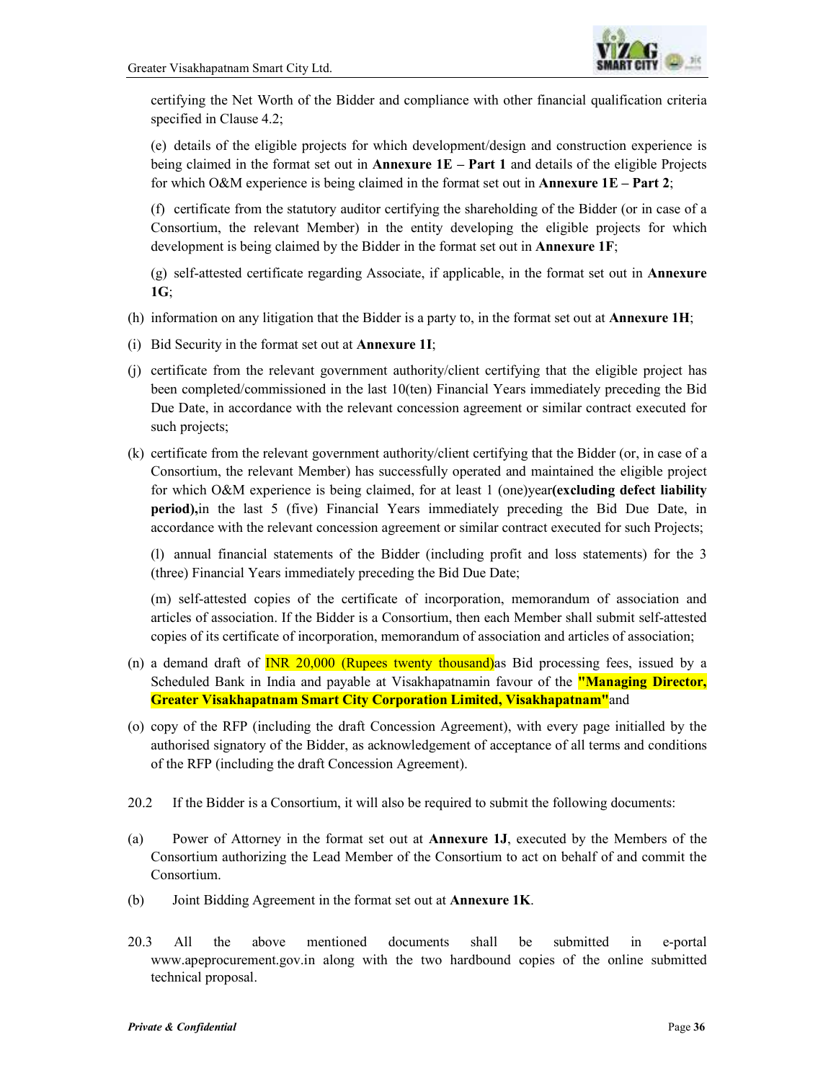

certifying the Net Worth of the Bidder and compliance with other financial qualification criteria specified in Clause 4.2;

 (e) details of the eligible projects for which development/design and construction experience is being claimed in the format set out in **Annexure 1E – Part 1** and details of the eligible Projects for which O&M experience is being claimed in the format set out in **Annexure 1E – Part 2**;

 (f) certificate from the statutory auditor certifying the shareholding of the Bidder (or in case of a Consortium, the relevant Member) in the entity developing the eligible projects for which development is being claimed by the Bidder in the format set out in **Annexure 1F**;

 (g) self-attested certificate regarding Associate, if applicable, in the format set out in **Annexure 1G**;

- (h) information on any litigation that the Bidder is a party to, in the format set out at **Annexure 1H**;
- (i) Bid Security in the format set out at **Annexure 1I**;
- (j) certificate from the relevant government authority/client certifying that the eligible project has been completed/commissioned in the last 10(ten) Financial Years immediately preceding the Bid Due Date, in accordance with the relevant concession agreement or similar contract executed for such projects;
- (k) certificate from the relevant government authority/client certifying that the Bidder (or, in case of a Consortium, the relevant Member) has successfully operated and maintained the eligible project for which O&M experience is being claimed, for at least 1 (one)year**(excluding defect liability period),**in the last 5 (five) Financial Years immediately preceding the Bid Due Date, in accordance with the relevant concession agreement or similar contract executed for such Projects;

 (l) annual financial statements of the Bidder (including profit and loss statements) for the 3 (three) Financial Years immediately preceding the Bid Due Date;

 (m) self-attested copies of the certificate of incorporation, memorandum of association and articles of association. If the Bidder is a Consortium, then each Member shall submit self-attested copies of its certificate of incorporation, memorandum of association and articles of association;

- (n) a demand draft of  $\overline{INR}$  20,000 (Rupees twenty thousand) as Bid processing fees, issued by a Scheduled Bank in India and payable at Visakhapatnamin favour of the **"Managing Director, Greater Visakhapatnam Smart City Corporation Limited, Visakhapatnam"**and
- (o) copy of the RFP (including the draft Concession Agreement), with every page initialled by the authorised signatory of the Bidder, as acknowledgement of acceptance of all terms and conditions of the RFP (including the draft Concession Agreement).
- 20.2 If the Bidder is a Consortium, it will also be required to submit the following documents:
- (a) Power of Attorney in the format set out at **Annexure 1J**, executed by the Members of the Consortium authorizing the Lead Member of the Consortium to act on behalf of and commit the Consortium.
- (b) Joint Bidding Agreement in the format set out at **Annexure 1K**.
- 20.3 All the above mentioned documents shall be submitted in e-portal www.apeprocurement.gov.in along with the two hardbound copies of the online submitted technical proposal.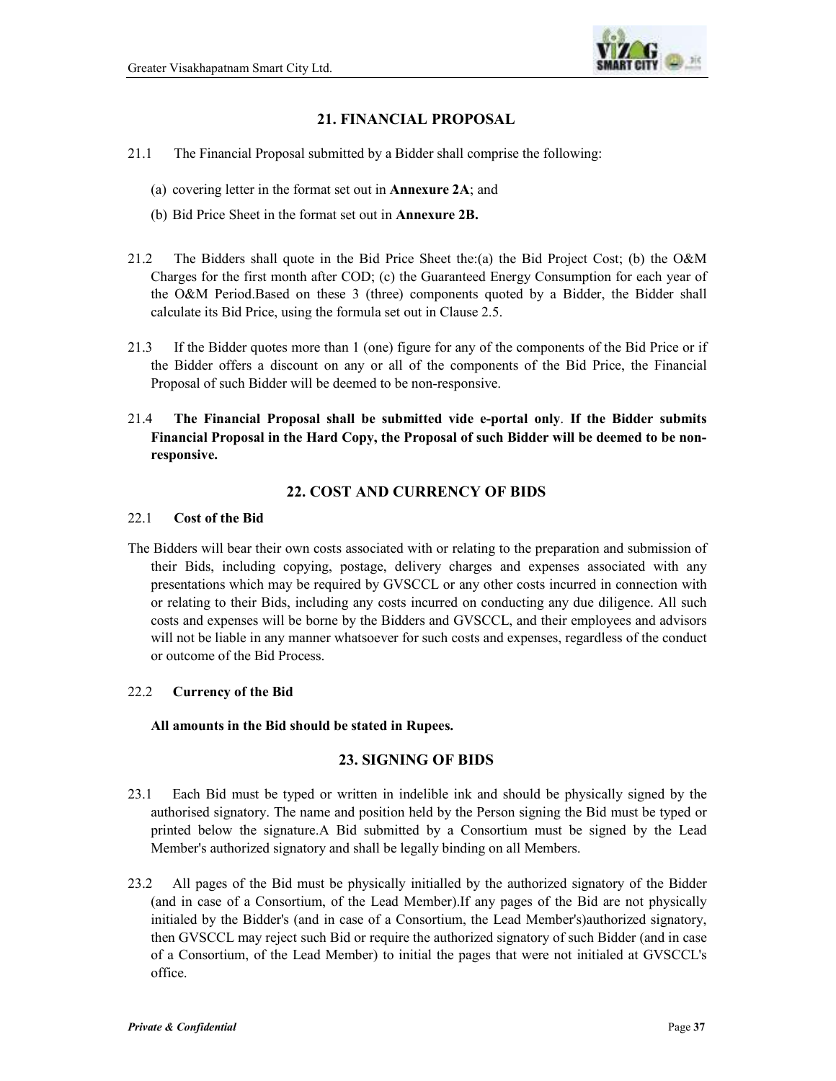

# **21. FINANCIAL PROPOSAL**

- 21.1 The Financial Proposal submitted by a Bidder shall comprise the following:
	- (a) covering letter in the format set out in **Annexure 2A**; and
	- (b) Bid Price Sheet in the format set out in **Annexure 2B.**
- 21.2 The Bidders shall quote in the Bid Price Sheet the:(a) the Bid Project Cost; (b) the O&M Charges for the first month after COD; (c) the Guaranteed Energy Consumption for each year of the O&M Period.Based on these 3 (three) components quoted by a Bidder, the Bidder shall calculate its Bid Price, using the formula set out in Clause 2.5.
- 21.3 If the Bidder quotes more than 1 (one) figure for any of the components of the Bid Price or if the Bidder offers a discount on any or all of the components of the Bid Price, the Financial Proposal of such Bidder will be deemed to be non-responsive.
- 21.4 **The Financial Proposal shall be submitted vide e-portal only**. **If the Bidder submits Financial Proposal in the Hard Copy, the Proposal of such Bidder will be deemed to be nonresponsive.**

## **22. COST AND CURRENCY OF BIDS**

## 22.1 **Cost of the Bid**

The Bidders will bear their own costs associated with or relating to the preparation and submission of their Bids, including copying, postage, delivery charges and expenses associated with any presentations which may be required by GVSCCL or any other costs incurred in connection with or relating to their Bids, including any costs incurred on conducting any due diligence. All such costs and expenses will be borne by the Bidders and GVSCCL, and their employees and advisors will not be liable in any manner whatsoever for such costs and expenses, regardless of the conduct or outcome of the Bid Process.

## 22.2 **Currency of the Bid**

#### **All amounts in the Bid should be stated in Rupees.**

## **23. SIGNING OF BIDS**

- 23.1 Each Bid must be typed or written in indelible ink and should be physically signed by the authorised signatory. The name and position held by the Person signing the Bid must be typed or printed below the signature.A Bid submitted by a Consortium must be signed by the Lead Member's authorized signatory and shall be legally binding on all Members.
- 23.2 All pages of the Bid must be physically initialled by the authorized signatory of the Bidder (and in case of a Consortium, of the Lead Member).If any pages of the Bid are not physically initialed by the Bidder's (and in case of a Consortium, the Lead Member's)authorized signatory, then GVSCCL may reject such Bid or require the authorized signatory of such Bidder (and in case of a Consortium, of the Lead Member) to initial the pages that were not initialed at GVSCCL's office.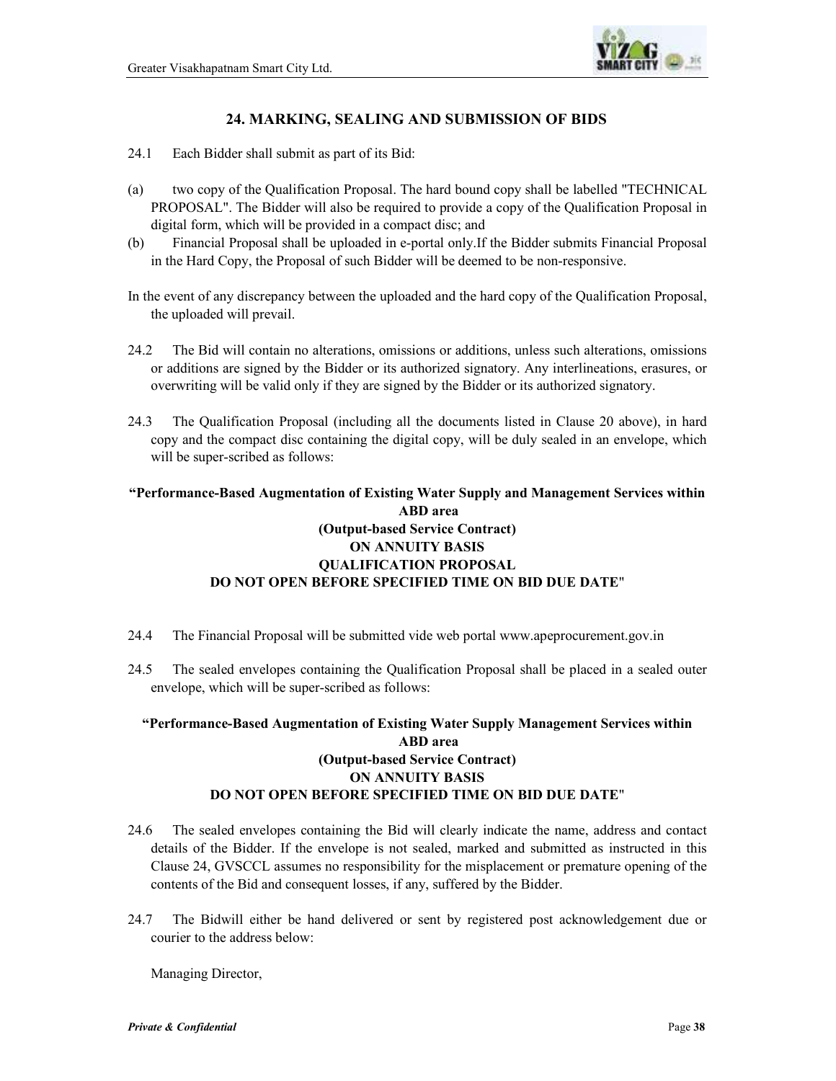

# **24. MARKING, SEALING AND SUBMISSION OF BIDS**

- 24.1 Each Bidder shall submit as part of its Bid:
- (a) two copy of the Qualification Proposal. The hard bound copy shall be labelled "TECHNICAL PROPOSAL". The Bidder will also be required to provide a copy of the Qualification Proposal in digital form, which will be provided in a compact disc; and
- (b) Financial Proposal shall be uploaded in e-portal only.If the Bidder submits Financial Proposal in the Hard Copy, the Proposal of such Bidder will be deemed to be non-responsive.
- In the event of any discrepancy between the uploaded and the hard copy of the Qualification Proposal, the uploaded will prevail.
- 24.2 The Bid will contain no alterations, omissions or additions, unless such alterations, omissions or additions are signed by the Bidder or its authorized signatory. Any interlineations, erasures, or overwriting will be valid only if they are signed by the Bidder or its authorized signatory.
- 24.3 The Qualification Proposal (including all the documents listed in Clause 20 above), in hard copy and the compact disc containing the digital copy, will be duly sealed in an envelope, which will be super-scribed as follows:

## **"Performance-Based Augmentation of Existing Water Supply and Management Services within ABD area (Output-based Service Contract) ON ANNUITY BASIS QUALIFICATION PROPOSAL DO NOT OPEN BEFORE SPECIFIED TIME ON BID DUE DATE**"

- 24.4 The Financial Proposal will be submitted vide web portal www.apeprocurement.gov.in
- 24.5 The sealed envelopes containing the Qualification Proposal shall be placed in a sealed outer envelope, which will be super-scribed as follows:

## **"Performance-Based Augmentation of Existing Water Supply Management Services within ABD area (Output-based Service Contract) ON ANNUITY BASIS DO NOT OPEN BEFORE SPECIFIED TIME ON BID DUE DATE**"

- 24.6 The sealed envelopes containing the Bid will clearly indicate the name, address and contact details of the Bidder. If the envelope is not sealed, marked and submitted as instructed in this Clause 24, GVSCCL assumes no responsibility for the misplacement or premature opening of the contents of the Bid and consequent losses, if any, suffered by the Bidder.
- 24.7 The Bidwill either be hand delivered or sent by registered post acknowledgement due or courier to the address below:

Managing Director,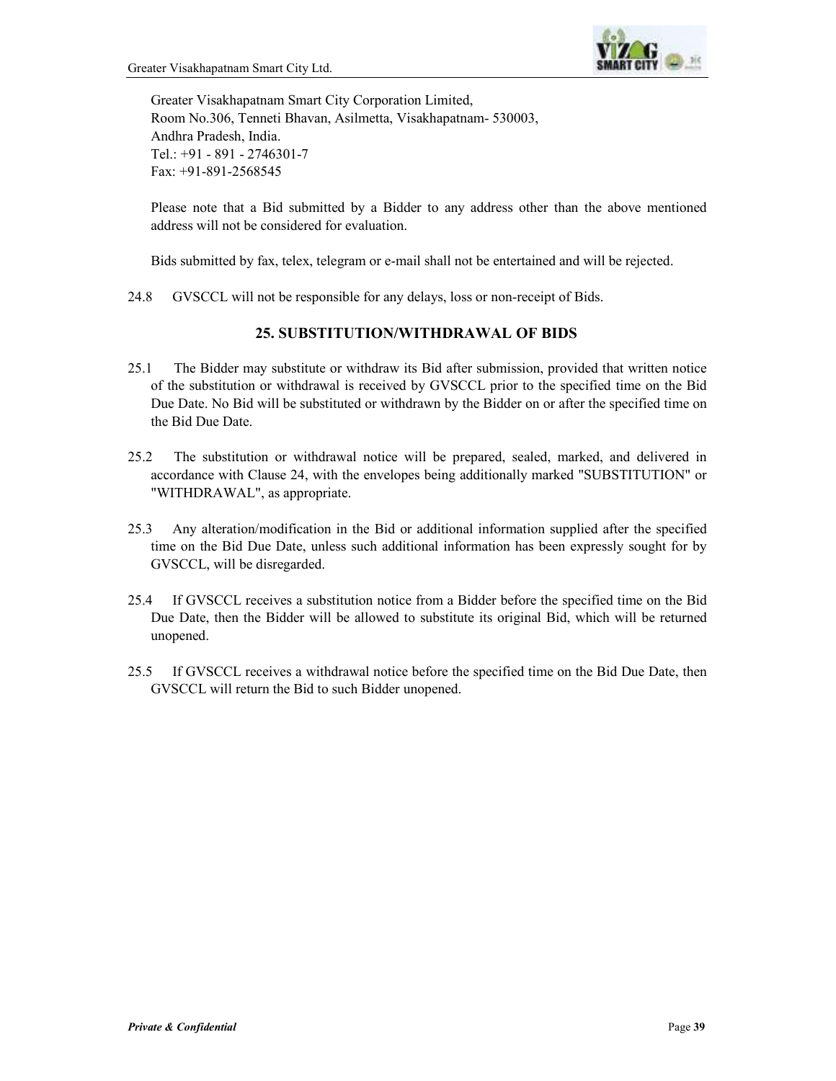

 Greater Visakhapatnam Smart City Corporation Limited, Room No.306, Tenneti Bhavan, Asilmetta, Visakhapatnam- 530003, Andhra Pradesh, India. Tel.: +91 - 891 - 2746301-7 Fax: +91-891-2568545

 Please note that a Bid submitted by a Bidder to any address other than the above mentioned address will not be considered for evaluation.

Bids submitted by fax, telex, telegram or e-mail shall not be entertained and will be rejected.

24.8 GVSCCL will not be responsible for any delays, loss or non-receipt of Bids.

## **25. SUBSTITUTION/WITHDRAWAL OF BIDS**

- 25.1 The Bidder may substitute or withdraw its Bid after submission, provided that written notice of the substitution or withdrawal is received by GVSCCL prior to the specified time on the Bid Due Date. No Bid will be substituted or withdrawn by the Bidder on or after the specified time on the Bid Due Date.
- 25.2 The substitution or withdrawal notice will be prepared, sealed, marked, and delivered in accordance with Clause 24, with the envelopes being additionally marked "SUBSTITUTION" or "WITHDRAWAL", as appropriate.
- 25.3 Any alteration/modification in the Bid or additional information supplied after the specified time on the Bid Due Date, unless such additional information has been expressly sought for by GVSCCL, will be disregarded.
- 25.4 If GVSCCL receives a substitution notice from a Bidder before the specified time on the Bid Due Date, then the Bidder will be allowed to substitute its original Bid, which will be returned unopened.
- 25.5 If GVSCCL receives a withdrawal notice before the specified time on the Bid Due Date, then GVSCCL will return the Bid to such Bidder unopened.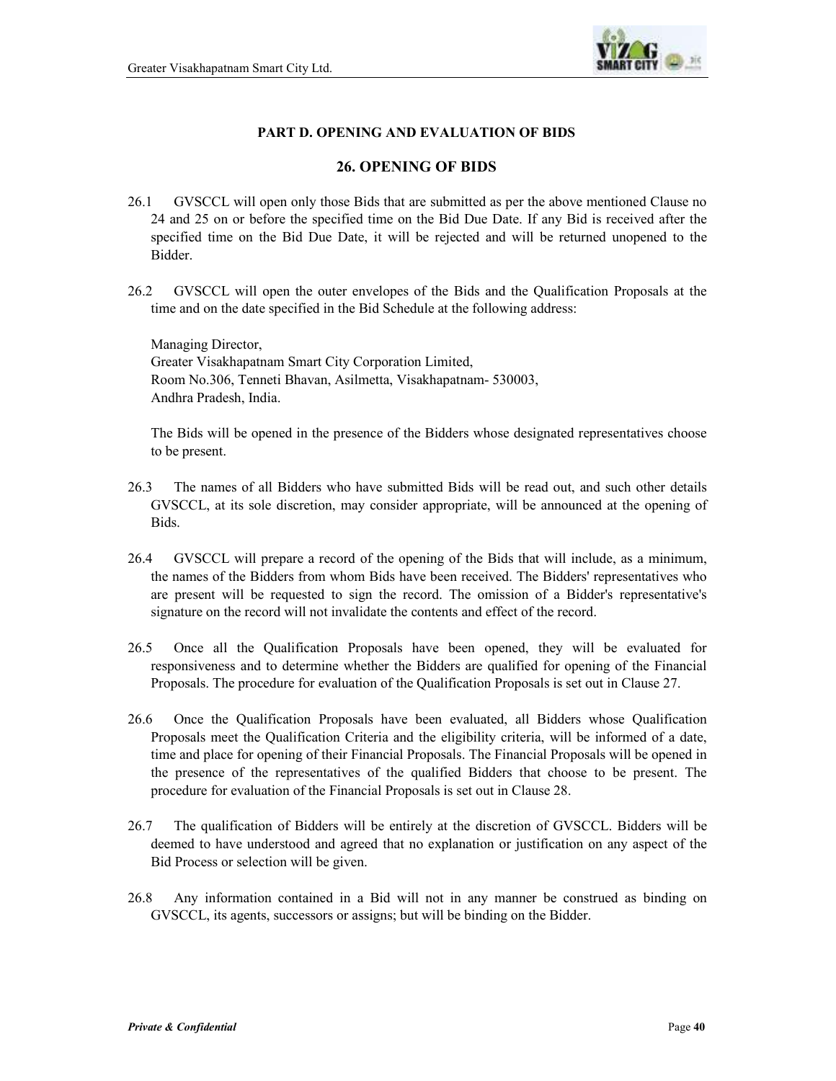

## **PART D. OPENING AND EVALUATION OF BIDS**

## **26. OPENING OF BIDS**

- 26.1 GVSCCL will open only those Bids that are submitted as per the above mentioned Clause no 24 and 25 on or before the specified time on the Bid Due Date. If any Bid is received after the specified time on the Bid Due Date, it will be rejected and will be returned unopened to the Bidder.
- 26.2 GVSCCL will open the outer envelopes of the Bids and the Qualification Proposals at the time and on the date specified in the Bid Schedule at the following address:

 Managing Director, Greater Visakhapatnam Smart City Corporation Limited, Room No.306, Tenneti Bhavan, Asilmetta, Visakhapatnam- 530003, Andhra Pradesh, India.

 The Bids will be opened in the presence of the Bidders whose designated representatives choose to be present.

- 26.3 The names of all Bidders who have submitted Bids will be read out, and such other details GVSCCL, at its sole discretion, may consider appropriate, will be announced at the opening of Bids.
- 26.4 GVSCCL will prepare a record of the opening of the Bids that will include, as a minimum, the names of the Bidders from whom Bids have been received. The Bidders' representatives who are present will be requested to sign the record. The omission of a Bidder's representative's signature on the record will not invalidate the contents and effect of the record.
- 26.5 Once all the Qualification Proposals have been opened, they will be evaluated for responsiveness and to determine whether the Bidders are qualified for opening of the Financial Proposals. The procedure for evaluation of the Qualification Proposals is set out in Clause 27.
- 26.6 Once the Qualification Proposals have been evaluated, all Bidders whose Qualification Proposals meet the Qualification Criteria and the eligibility criteria, will be informed of a date, time and place for opening of their Financial Proposals. The Financial Proposals will be opened in the presence of the representatives of the qualified Bidders that choose to be present. The procedure for evaluation of the Financial Proposals is set out in Clause 28.
- 26.7 The qualification of Bidders will be entirely at the discretion of GVSCCL. Bidders will be deemed to have understood and agreed that no explanation or justification on any aspect of the Bid Process or selection will be given.
- 26.8 Any information contained in a Bid will not in any manner be construed as binding on GVSCCL, its agents, successors or assigns; but will be binding on the Bidder.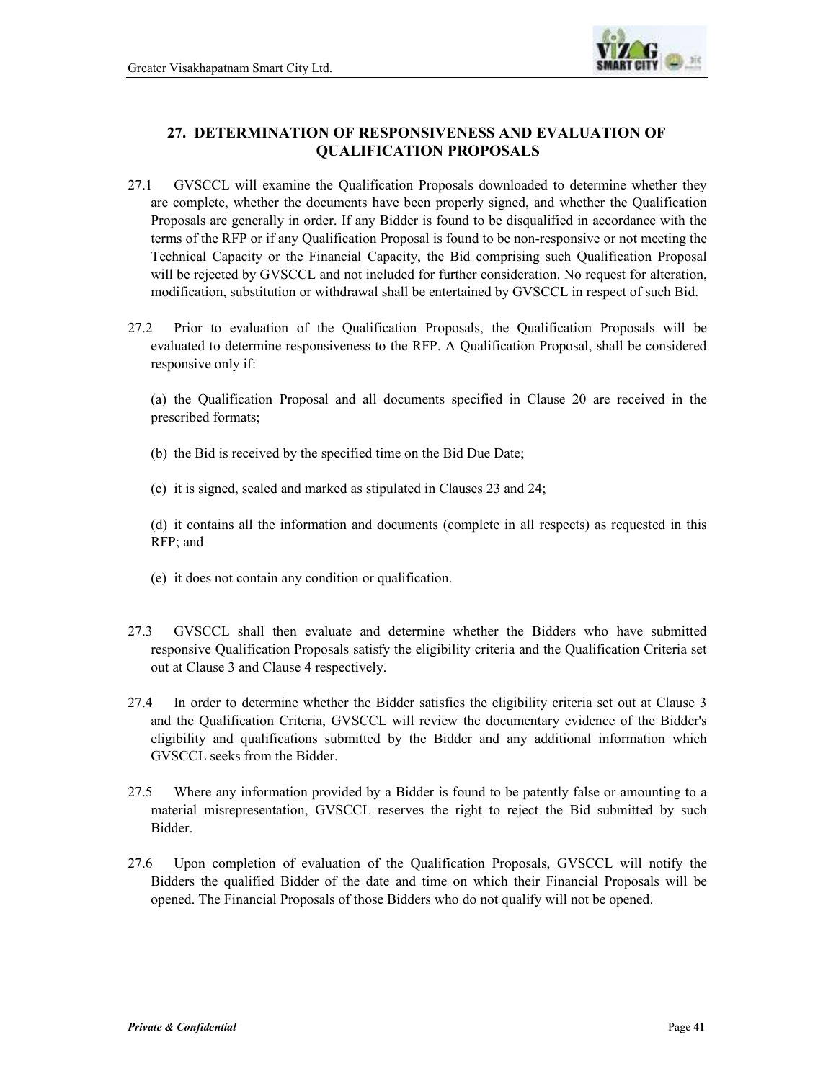

# **27. DETERMINATION OF RESPONSIVENESS AND EVALUATION OF QUALIFICATION PROPOSALS**

- 27.1 GVSCCL will examine the Qualification Proposals downloaded to determine whether they are complete, whether the documents have been properly signed, and whether the Qualification Proposals are generally in order. If any Bidder is found to be disqualified in accordance with the terms of the RFP or if any Qualification Proposal is found to be non-responsive or not meeting the Technical Capacity or the Financial Capacity, the Bid comprising such Qualification Proposal will be rejected by GVSCCL and not included for further consideration. No request for alteration, modification, substitution or withdrawal shall be entertained by GVSCCL in respect of such Bid.
- 27.2 Prior to evaluation of the Qualification Proposals, the Qualification Proposals will be evaluated to determine responsiveness to the RFP. A Qualification Proposal, shall be considered responsive only if:

 (a) the Qualification Proposal and all documents specified in Clause 20 are received in the prescribed formats;

- (b) the Bid is received by the specified time on the Bid Due Date;
- (c) it is signed, sealed and marked as stipulated in Clauses 23 and 24;

 (d) it contains all the information and documents (complete in all respects) as requested in this RFP; and

- (e) it does not contain any condition or qualification.
- 27.3 GVSCCL shall then evaluate and determine whether the Bidders who have submitted responsive Qualification Proposals satisfy the eligibility criteria and the Qualification Criteria set out at Clause 3 and Clause 4 respectively.
- 27.4 In order to determine whether the Bidder satisfies the eligibility criteria set out at Clause 3 and the Qualification Criteria, GVSCCL will review the documentary evidence of the Bidder's eligibility and qualifications submitted by the Bidder and any additional information which GVSCCL seeks from the Bidder.
- 27.5 Where any information provided by a Bidder is found to be patently false or amounting to a material misrepresentation, GVSCCL reserves the right to reject the Bid submitted by such Bidder.
- 27.6 Upon completion of evaluation of the Qualification Proposals, GVSCCL will notify the Bidders the qualified Bidder of the date and time on which their Financial Proposals will be opened. The Financial Proposals of those Bidders who do not qualify will not be opened.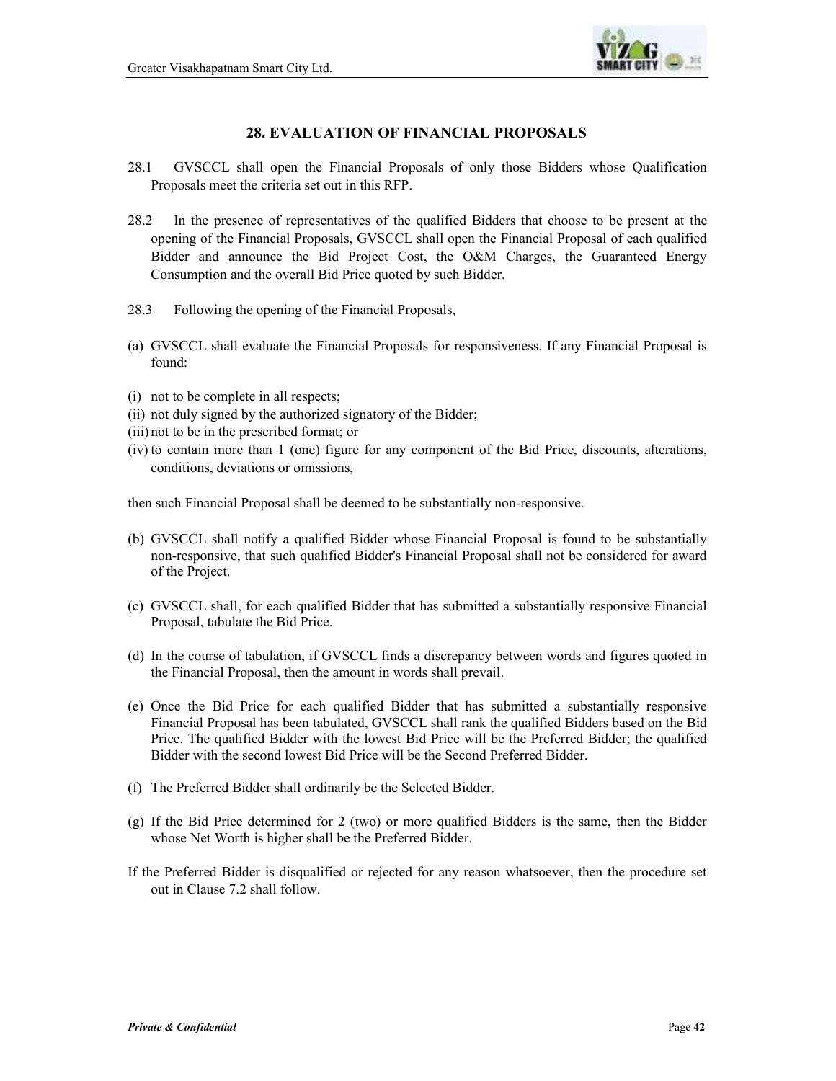

## **28. EVALUATION OF FINANCIAL PROPOSALS**

- 28.1 GVSCCL shall open the Financial Proposals of only those Bidders whose Qualification Proposals meet the criteria set out in this RFP.
- 28.2 In the presence of representatives of the qualified Bidders that choose to be present at the opening of the Financial Proposals, GVSCCL shall open the Financial Proposal of each qualified Bidder and announce the Bid Project Cost, the O&M Charges, the Guaranteed Energy Consumption and the overall Bid Price quoted by such Bidder.
- 28.3 Following the opening of the Financial Proposals,
- (a) GVSCCL shall evaluate the Financial Proposals for responsiveness. If any Financial Proposal is found:
- (i) not to be complete in all respects;
- (ii) not duly signed by the authorized signatory of the Bidder;
- (iii) not to be in the prescribed format; or
- (iv) to contain more than 1 (one) figure for any component of the Bid Price, discounts, alterations, conditions, deviations or omissions,

then such Financial Proposal shall be deemed to be substantially non-responsive.

- (b) GVSCCL shall notify a qualified Bidder whose Financial Proposal is found to be substantially non-responsive, that such qualified Bidder's Financial Proposal shall not be considered for award of the Project.
- (c) GVSCCL shall, for each qualified Bidder that has submitted a substantially responsive Financial Proposal, tabulate the Bid Price.
- (d) In the course of tabulation, if GVSCCL finds a discrepancy between words and figures quoted in the Financial Proposal, then the amount in words shall prevail.
- (e) Once the Bid Price for each qualified Bidder that has submitted a substantially responsive Financial Proposal has been tabulated, GVSCCL shall rank the qualified Bidders based on the Bid Price. The qualified Bidder with the lowest Bid Price will be the Preferred Bidder; the qualified Bidder with the second lowest Bid Price will be the Second Preferred Bidder.
- (f) The Preferred Bidder shall ordinarily be the Selected Bidder.
- (g) If the Bid Price determined for 2 (two) or more qualified Bidders is the same, then the Bidder whose Net Worth is higher shall be the Preferred Bidder.
- If the Preferred Bidder is disqualified or rejected for any reason whatsoever, then the procedure set out in Clause 7.2 shall follow.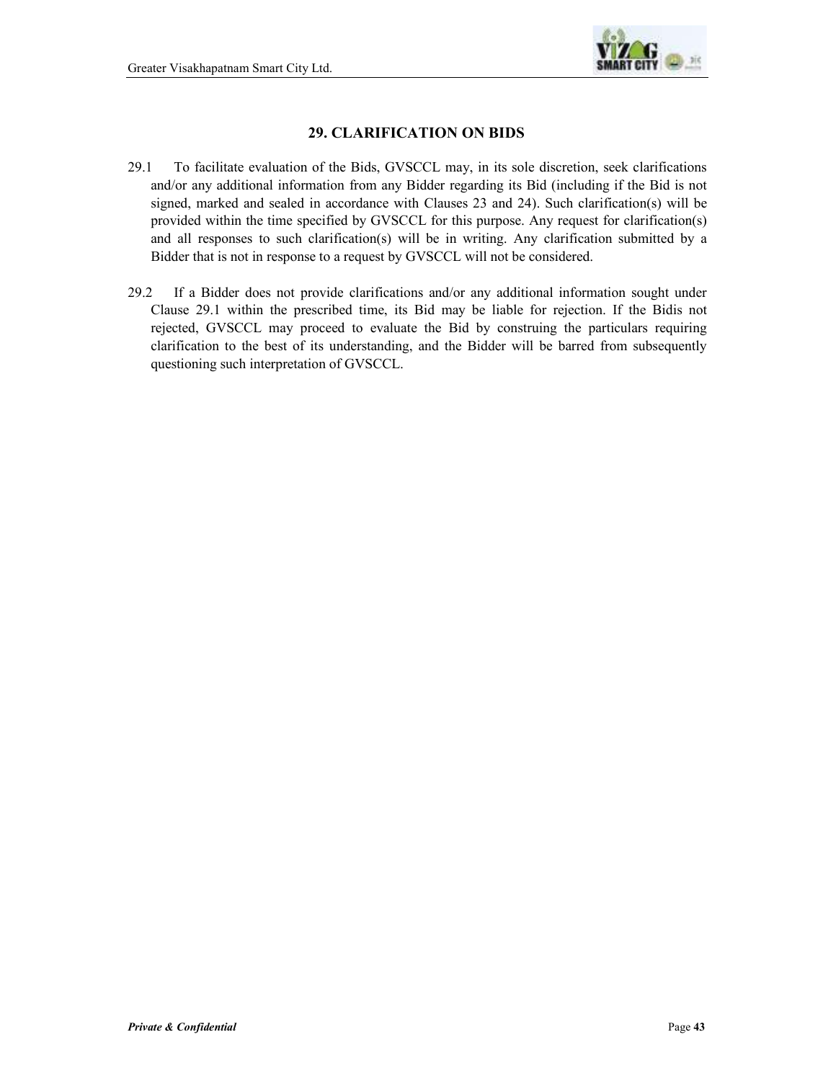

## **29. CLARIFICATION ON BIDS**

- 29.1 To facilitate evaluation of the Bids, GVSCCL may, in its sole discretion, seek clarifications and/or any additional information from any Bidder regarding its Bid (including if the Bid is not signed, marked and sealed in accordance with Clauses 23 and 24). Such clarification(s) will be provided within the time specified by GVSCCL for this purpose. Any request for clarification(s) and all responses to such clarification(s) will be in writing. Any clarification submitted by a Bidder that is not in response to a request by GVSCCL will not be considered.
- 29.2 If a Bidder does not provide clarifications and/or any additional information sought under Clause 29.1 within the prescribed time, its Bid may be liable for rejection. If the Bidis not rejected, GVSCCL may proceed to evaluate the Bid by construing the particulars requiring clarification to the best of its understanding, and the Bidder will be barred from subsequently questioning such interpretation of GVSCCL.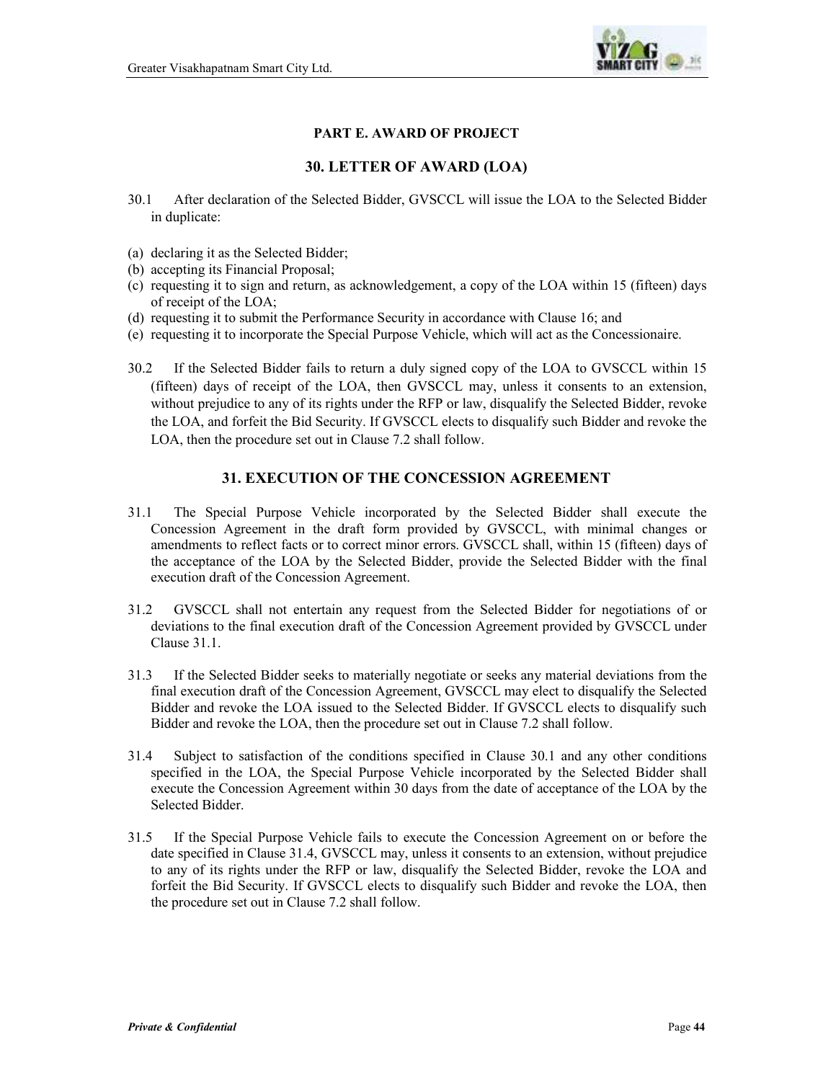

## **PART E. AWARD OF PROJECT**

#### **30. LETTER OF AWARD (LOA)**

- 30.1 After declaration of the Selected Bidder, GVSCCL will issue the LOA to the Selected Bidder in duplicate:
- (a) declaring it as the Selected Bidder;
- (b) accepting its Financial Proposal;
- (c) requesting it to sign and return, as acknowledgement, a copy of the LOA within 15 (fifteen) days of receipt of the LOA;
- (d) requesting it to submit the Performance Security in accordance with Clause 16; and
- (e) requesting it to incorporate the Special Purpose Vehicle, which will act as the Concessionaire.
- 30.2 If the Selected Bidder fails to return a duly signed copy of the LOA to GVSCCL within 15 (fifteen) days of receipt of the LOA, then GVSCCL may, unless it consents to an extension, without prejudice to any of its rights under the RFP or law, disqualify the Selected Bidder, revoke the LOA, and forfeit the Bid Security. If GVSCCL elects to disqualify such Bidder and revoke the LOA, then the procedure set out in Clause 7.2 shall follow.

#### **31. EXECUTION OF THE CONCESSION AGREEMENT**

- 31.1 The Special Purpose Vehicle incorporated by the Selected Bidder shall execute the Concession Agreement in the draft form provided by GVSCCL, with minimal changes or amendments to reflect facts or to correct minor errors. GVSCCL shall, within 15 (fifteen) days of the acceptance of the LOA by the Selected Bidder, provide the Selected Bidder with the final execution draft of the Concession Agreement.
- 31.2 GVSCCL shall not entertain any request from the Selected Bidder for negotiations of or deviations to the final execution draft of the Concession Agreement provided by GVSCCL under Clause 31.1.
- 31.3 If the Selected Bidder seeks to materially negotiate or seeks any material deviations from the final execution draft of the Concession Agreement, GVSCCL may elect to disqualify the Selected Bidder and revoke the LOA issued to the Selected Bidder. If GVSCCL elects to disqualify such Bidder and revoke the LOA, then the procedure set out in Clause 7.2 shall follow.
- 31.4 Subject to satisfaction of the conditions specified in Clause 30.1 and any other conditions specified in the LOA, the Special Purpose Vehicle incorporated by the Selected Bidder shall execute the Concession Agreement within 30 days from the date of acceptance of the LOA by the Selected Bidder.
- 31.5 If the Special Purpose Vehicle fails to execute the Concession Agreement on or before the date specified in Clause 31.4, GVSCCL may, unless it consents to an extension, without prejudice to any of its rights under the RFP or law, disqualify the Selected Bidder, revoke the LOA and forfeit the Bid Security. If GVSCCL elects to disqualify such Bidder and revoke the LOA, then the procedure set out in Clause 7.2 shall follow.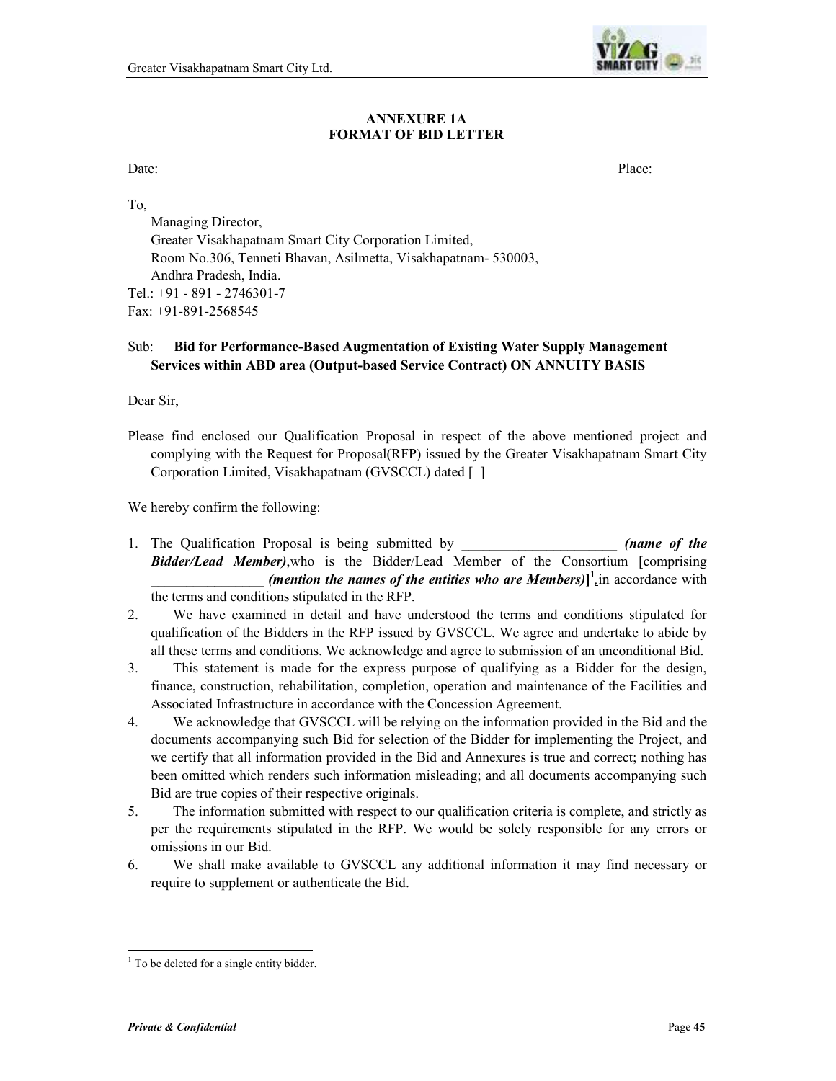

#### **ANNEXURE 1A FORMAT OF BID LETTER**

Date: Place: Place: Place: Place: Place: Place: Place: Place: Place: Place: Place: Place: Place: Place: Place: Place: Place: Place: Place: Place: Place: Place: Place: Place: Place: Place: Place: Place: Place: Place: Place:

To, Managing Director, Greater Visakhapatnam Smart City Corporation Limited, Room No.306, Tenneti Bhavan, Asilmetta, Visakhapatnam- 530003, Andhra Pradesh, India. Tel.: +91 - 891 - 2746301-7 Fax: +91-891-2568545

## Sub: **Bid for Performance-Based Augmentation of Existing Water Supply Management Services within ABD area (Output-based Service Contract) ON ANNUITY BASIS**

Dear Sir,

Please find enclosed our Qualification Proposal in respect of the above mentioned project and complying with the Request for Proposal(RFP) issued by the Greater Visakhapatnam Smart City Corporation Limited, Visakhapatnam (GVSCCL) dated [ ]

We hereby confirm the following:

- 1. The Qualification Proposal is being submitted by \_\_\_\_\_\_\_\_\_\_\_\_\_\_\_\_\_\_\_\_\_\_ *(name of the Bidder/Lead Member)*,who is the Bidder/Lead Member of the Consortium [comprising **1** (*mention the names of the entities who are Members*)<sup> $1$ </sup>, in accordance with the terms and conditions stipulated in the RFP.
- 2. We have examined in detail and have understood the terms and conditions stipulated for qualification of the Bidders in the RFP issued by GVSCCL. We agree and undertake to abide by all these terms and conditions. We acknowledge and agree to submission of an unconditional Bid.
- 3. This statement is made for the express purpose of qualifying as a Bidder for the design, finance, construction, rehabilitation, completion, operation and maintenance of the Facilities and Associated Infrastructure in accordance with the Concession Agreement.
- 4. We acknowledge that GVSCCL will be relying on the information provided in the Bid and the documents accompanying such Bid for selection of the Bidder for implementing the Project, and we certify that all information provided in the Bid and Annexures is true and correct; nothing has been omitted which renders such information misleading; and all documents accompanying such Bid are true copies of their respective originals.
- 5. The information submitted with respect to our qualification criteria is complete, and strictly as per the requirements stipulated in the RFP. We would be solely responsible for any errors or omissions in our Bid.
- 6. We shall make available to GVSCCL any additional information it may find necessary or require to supplement or authenticate the Bid.

 $\overline{a}$ 

<sup>&</sup>lt;sup>1</sup> To be deleted for a single entity bidder.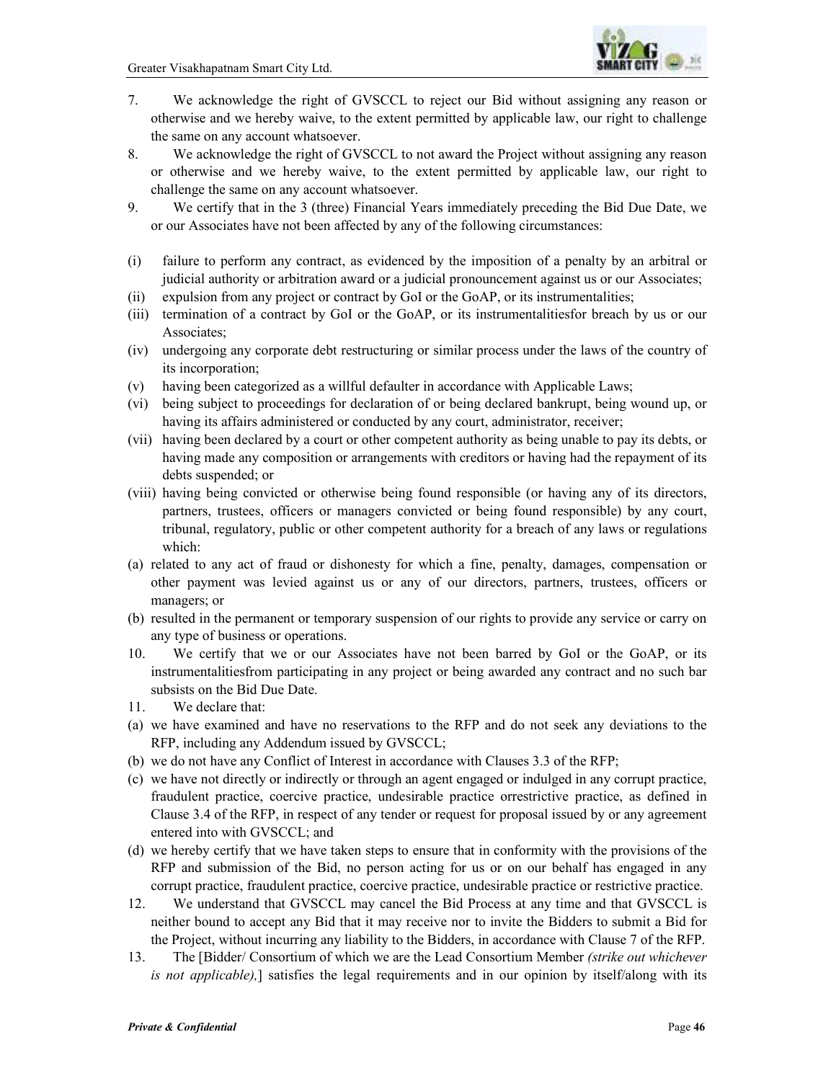

- 7. We acknowledge the right of GVSCCL to reject our Bid without assigning any reason or otherwise and we hereby waive, to the extent permitted by applicable law, our right to challenge the same on any account whatsoever.
- 8. We acknowledge the right of GVSCCL to not award the Project without assigning any reason or otherwise and we hereby waive, to the extent permitted by applicable law, our right to challenge the same on any account whatsoever.
- 9. We certify that in the 3 (three) Financial Years immediately preceding the Bid Due Date, we or our Associates have not been affected by any of the following circumstances:
- (i) failure to perform any contract, as evidenced by the imposition of a penalty by an arbitral or judicial authority or arbitration award or a judicial pronouncement against us or our Associates;
- (ii) expulsion from any project or contract by GoI or the GoAP, or its instrumentalities;
- (iii) termination of a contract by GoI or the GoAP, or its instrumentalitiesfor breach by us or our Associates;
- (iv) undergoing any corporate debt restructuring or similar process under the laws of the country of its incorporation;
- (v) having been categorized as a willful defaulter in accordance with Applicable Laws;
- (vi) being subject to proceedings for declaration of or being declared bankrupt, being wound up, or having its affairs administered or conducted by any court, administrator, receiver;
- (vii) having been declared by a court or other competent authority as being unable to pay its debts, or having made any composition or arrangements with creditors or having had the repayment of its debts suspended; or
- (viii) having being convicted or otherwise being found responsible (or having any of its directors, partners, trustees, officers or managers convicted or being found responsible) by any court, tribunal, regulatory, public or other competent authority for a breach of any laws or regulations which:
- (a) related to any act of fraud or dishonesty for which a fine, penalty, damages, compensation or other payment was levied against us or any of our directors, partners, trustees, officers or managers; or
- (b) resulted in the permanent or temporary suspension of our rights to provide any service or carry on any type of business or operations.
- 10. We certify that we or our Associates have not been barred by GoI or the GoAP, or its instrumentalitiesfrom participating in any project or being awarded any contract and no such bar subsists on the Bid Due Date.
- 11. We declare that:
- (a) we have examined and have no reservations to the RFP and do not seek any deviations to the RFP, including any Addendum issued by GVSCCL;
- (b) we do not have any Conflict of Interest in accordance with Clauses 3.3 of the RFP;
- (c) we have not directly or indirectly or through an agent engaged or indulged in any corrupt practice, fraudulent practice, coercive practice, undesirable practice orrestrictive practice, as defined in Clause 3.4 of the RFP, in respect of any tender or request for proposal issued by or any agreement entered into with GVSCCL; and
- (d) we hereby certify that we have taken steps to ensure that in conformity with the provisions of the RFP and submission of the Bid, no person acting for us or on our behalf has engaged in any corrupt practice, fraudulent practice, coercive practice, undesirable practice or restrictive practice.
- 12. We understand that GVSCCL may cancel the Bid Process at any time and that GVSCCL is neither bound to accept any Bid that it may receive nor to invite the Bidders to submit a Bid for the Project, without incurring any liability to the Bidders, in accordance with Clause 7 of the RFP.
- 13. The [Bidder/ Consortium of which we are the Lead Consortium Member *(strike out whichever is not applicable),*] satisfies the legal requirements and in our opinion by itself/along with its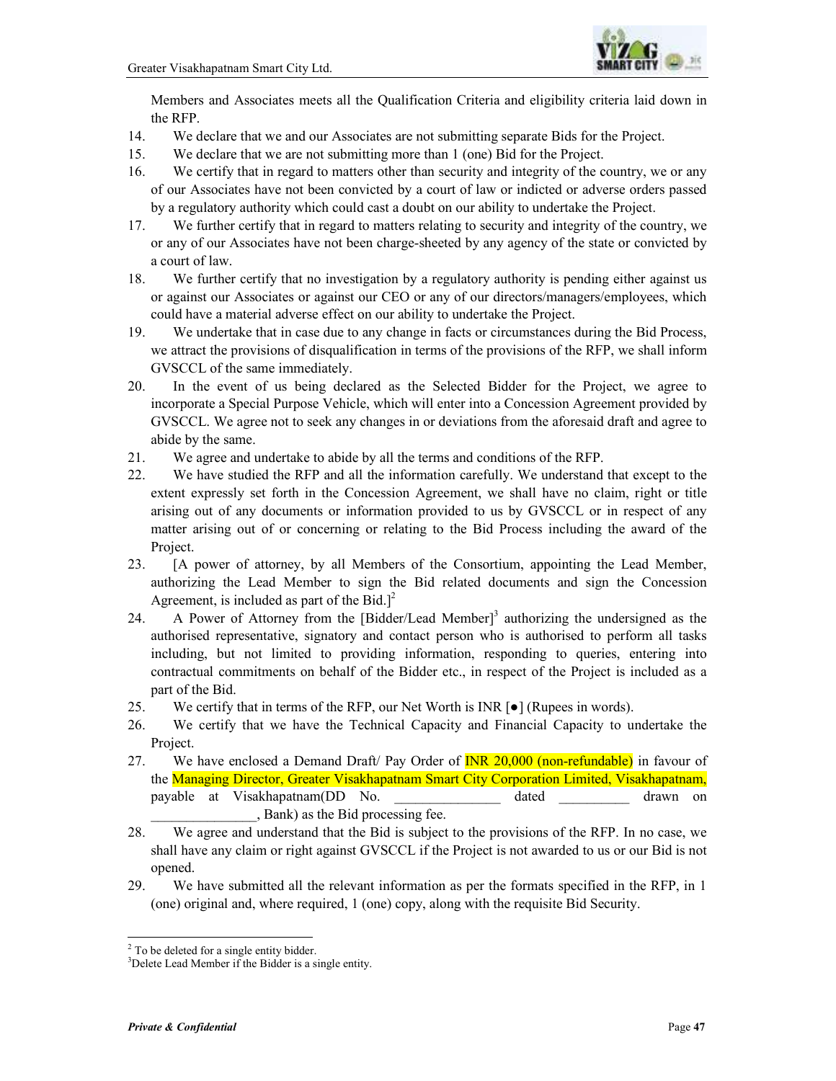

Members and Associates meets all the Qualification Criteria and eligibility criteria laid down in the RFP.

- 14. We declare that we and our Associates are not submitting separate Bids for the Project.
- 15. We declare that we are not submitting more than 1 (one) Bid for the Project.
- 16. We certify that in regard to matters other than security and integrity of the country, we or any of our Associates have not been convicted by a court of law or indicted or adverse orders passed by a regulatory authority which could cast a doubt on our ability to undertake the Project.
- 17. We further certify that in regard to matters relating to security and integrity of the country, we or any of our Associates have not been charge-sheeted by any agency of the state or convicted by a court of law.
- 18. We further certify that no investigation by a regulatory authority is pending either against us or against our Associates or against our CEO or any of our directors/managers/employees, which could have a material adverse effect on our ability to undertake the Project.
- 19. We undertake that in case due to any change in facts or circumstances during the Bid Process, we attract the provisions of disqualification in terms of the provisions of the RFP, we shall inform GVSCCL of the same immediately.
- 20. In the event of us being declared as the Selected Bidder for the Project, we agree to incorporate a Special Purpose Vehicle, which will enter into a Concession Agreement provided by GVSCCL. We agree not to seek any changes in or deviations from the aforesaid draft and agree to abide by the same.
- 21. We agree and undertake to abide by all the terms and conditions of the RFP.
- 22. We have studied the RFP and all the information carefully. We understand that except to the extent expressly set forth in the Concession Agreement, we shall have no claim, right or title arising out of any documents or information provided to us by GVSCCL or in respect of any matter arising out of or concerning or relating to the Bid Process including the award of the Project.
- 23. [A power of attorney, by all Members of the Consortium, appointing the Lead Member, authorizing the Lead Member to sign the Bid related documents and sign the Concession Agreement, is included as part of the Bid.]<sup>2</sup>
- 24. A Power of Attorney from the [Bidder/Lead Member]<sup>3</sup> authorizing the undersigned as the authorised representative, signatory and contact person who is authorised to perform all tasks including, but not limited to providing information, responding to queries, entering into contractual commitments on behalf of the Bidder etc., in respect of the Project is included as a part of the Bid.
- 25. We certify that in terms of the RFP, our Net Worth is INR  $\lceil \bullet \rceil$  (Rupees in words).
- 26. We certify that we have the Technical Capacity and Financial Capacity to undertake the Project.
- 27. We have enclosed a Demand Draft/ Pay Order of **INR 20,000 (non-refundable)** in favour of the Managing Director, Greater Visakhapatnam Smart City Corporation Limited, Visakhapatnam, payable at Visakhapatnam(DD No.  $\qquad \qquad$  dated  $\qquad$  drawn on \_\_\_\_\_\_\_\_\_\_\_\_\_\_\_, Bank) as the Bid processing fee.
- 28. We agree and understand that the Bid is subject to the provisions of the RFP. In no case, we shall have any claim or right against GVSCCL if the Project is not awarded to us or our Bid is not opened.
- 29. We have submitted all the relevant information as per the formats specified in the RFP, in 1 (one) original and, where required, 1 (one) copy, along with the requisite Bid Security.

 $\overline{a}$ 

 $2^2$  To be deleted for a single entity bidder.

<sup>&</sup>lt;sup>3</sup>Delete Lead Member if the Bidder is a single entity.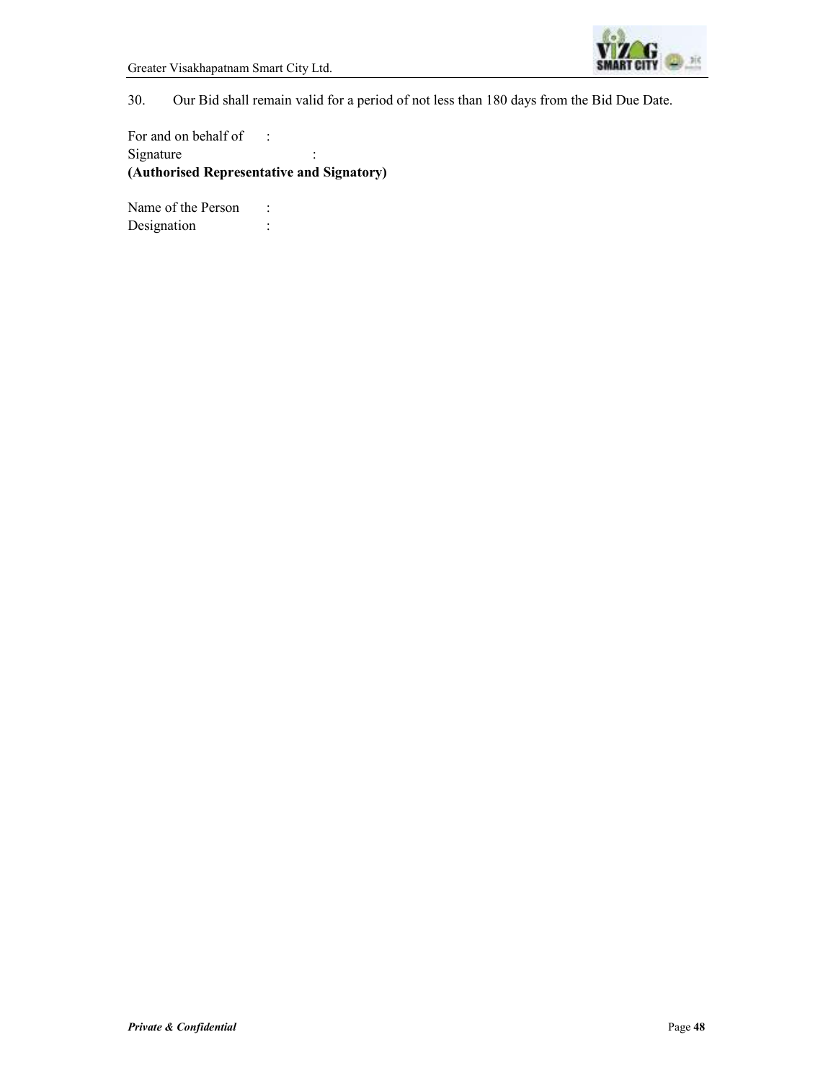

30. Our Bid shall remain valid for a period of not less than 180 days from the Bid Due Date.

For and on behalf of : Signature : : **(Authorised Representative and Signatory)** 

Name of the Person : Designation :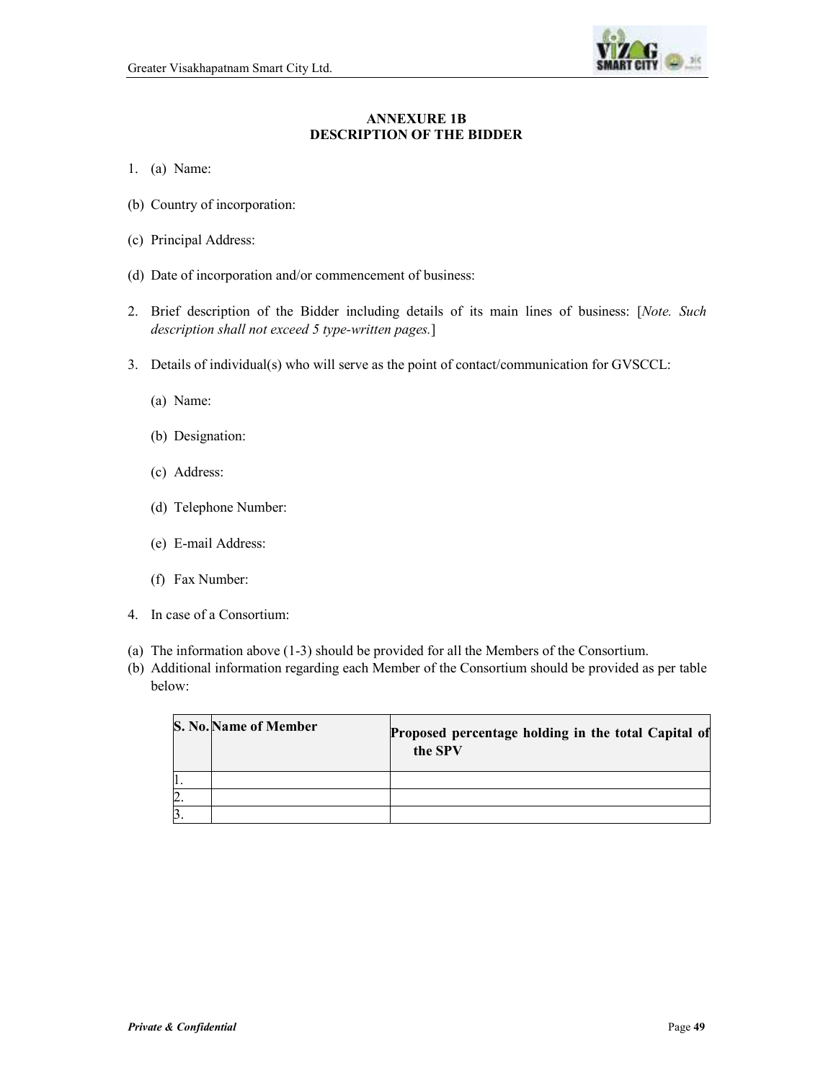

## **ANNEXURE 1B DESCRIPTION OF THE BIDDER**

- 1. (a) Name:
- (b) Country of incorporation:
- (c) Principal Address:
- (d) Date of incorporation and/or commencement of business:
- 2. Brief description of the Bidder including details of its main lines of business: [*Note. Such description shall not exceed 5 type-written pages.*]
- 3. Details of individual(s) who will serve as the point of contact/communication for GVSCCL:
	- (a) Name:
	- (b) Designation:
	- (c) Address:
	- (d) Telephone Number:
	- (e) E-mail Address:
	- (f) Fax Number:
- 4. In case of a Consortium:
- (a) The information above (1-3) should be provided for all the Members of the Consortium.
- (b) Additional information regarding each Member of the Consortium should be provided as per table below:

|   | S. No. Name of Member | Proposed percentage holding in the total Capital of<br>the SPV |
|---|-----------------------|----------------------------------------------------------------|
|   |                       |                                                                |
| 2 |                       |                                                                |
| B |                       |                                                                |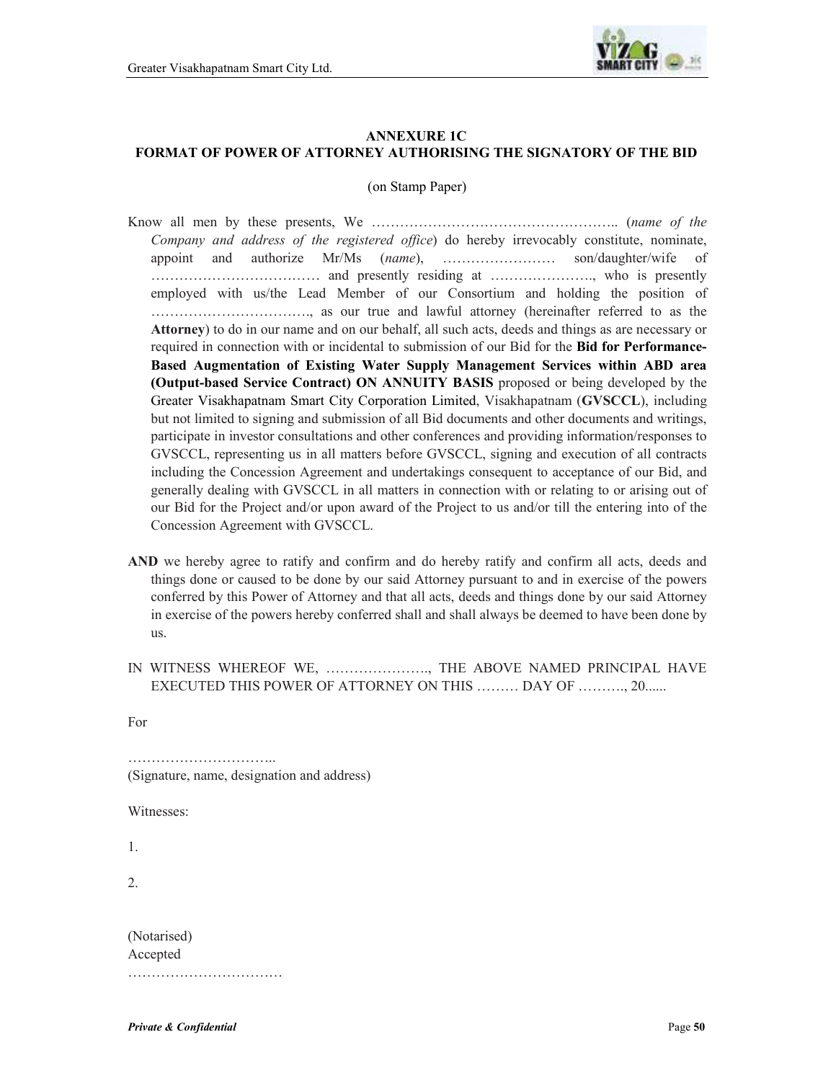

## **ANNEXURE 1C FORMAT OF POWER OF ATTORNEY AUTHORISING THE SIGNATORY OF THE BID**

(on Stamp Paper)

Know all men by these presents, We …………………………………………….. (*name of the Company and address of the registered office*) do hereby irrevocably constitute, nominate, appoint and authorize Mr/Ms (*name*), …………………… son/daughter/wife of ……………………………… and presently residing at …………………., who is presently employed with us/the Lead Member of our Consortium and holding the position of ……………………………., as our true and lawful attorney (hereinafter referred to as the **Attorney**) to do in our name and on our behalf, all such acts, deeds and things as are necessary or required in connection with or incidental to submission of our Bid for the **Bid for Performance-Based Augmentation of Existing Water Supply Management Services within ABD area (Output-based Service Contract) ON ANNUITY BASIS** proposed or being developed by the Greater Visakhapatnam Smart City Corporation Limited, Visakhapatnam (**GVSCCL**), including but not limited to signing and submission of all Bid documents and other documents and writings, participate in investor consultations and other conferences and providing information/responses to GVSCCL, representing us in all matters before GVSCCL, signing and execution of all contracts including the Concession Agreement and undertakings consequent to acceptance of our Bid, and generally dealing with GVSCCL in all matters in connection with or relating to or arising out of our Bid for the Project and/or upon award of the Project to us and/or till the entering into of the Concession Agreement with GVSCCL.

- **AND** we hereby agree to ratify and confirm and do hereby ratify and confirm all acts, deeds and things done or caused to be done by our said Attorney pursuant to and in exercise of the powers conferred by this Power of Attorney and that all acts, deeds and things done by our said Attorney in exercise of the powers hereby conferred shall and shall always be deemed to have been done by us.
- IN WITNESS WHEREOF WE, …………………., THE ABOVE NAMED PRINCIPAL HAVE EXECUTED THIS POWER OF ATTORNEY ON THIS ……… DAY OF ………., 20......

For

(Signature, name, designation and address)

Witnesses:

1.

2.

(Notarised) Accepted ……………………………

…………………………..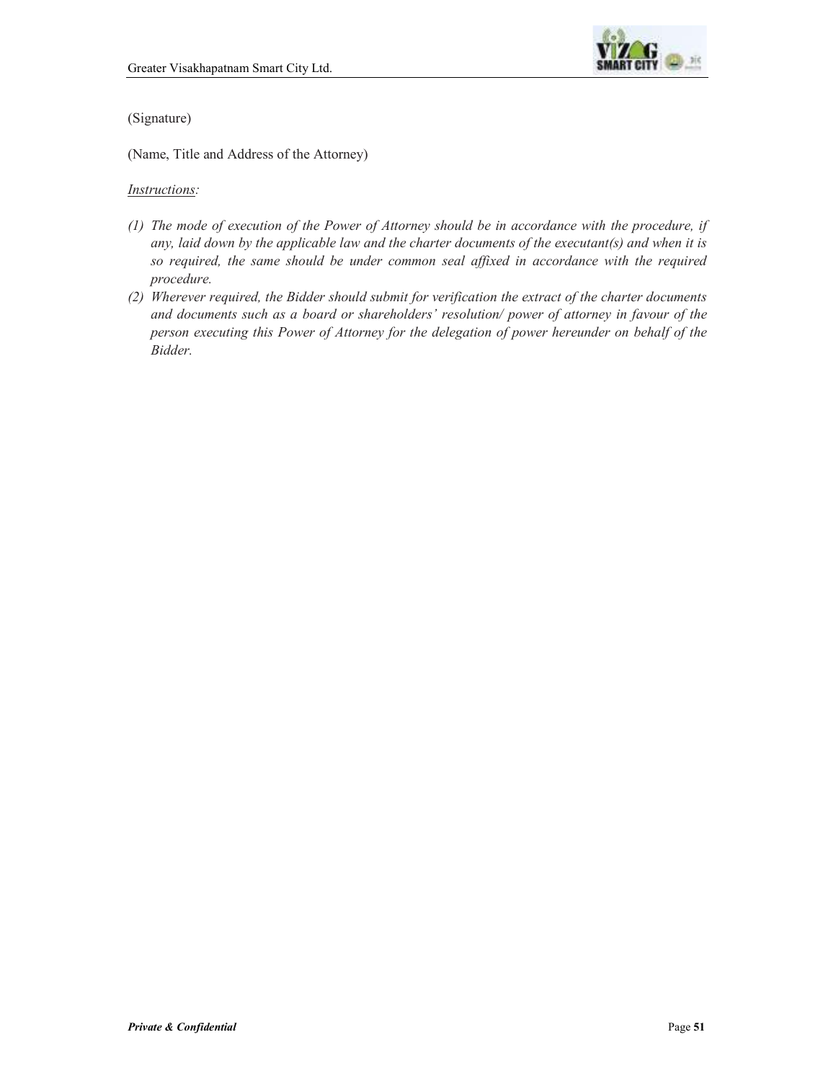

#### (Signature)

(Name, Title and Address of the Attorney)

## *Instructions:*

- *(1) The mode of execution of the Power of Attorney should be in accordance with the procedure, if any, laid down by the applicable law and the charter documents of the executant(s) and when it is so required, the same should be under common seal affixed in accordance with the required procedure.*
- *(2) Wherever required, the Bidder should submit for verification the extract of the charter documents and documents such as a board or shareholders' resolution/ power of attorney in favour of the person executing this Power of Attorney for the delegation of power hereunder on behalf of the Bidder.*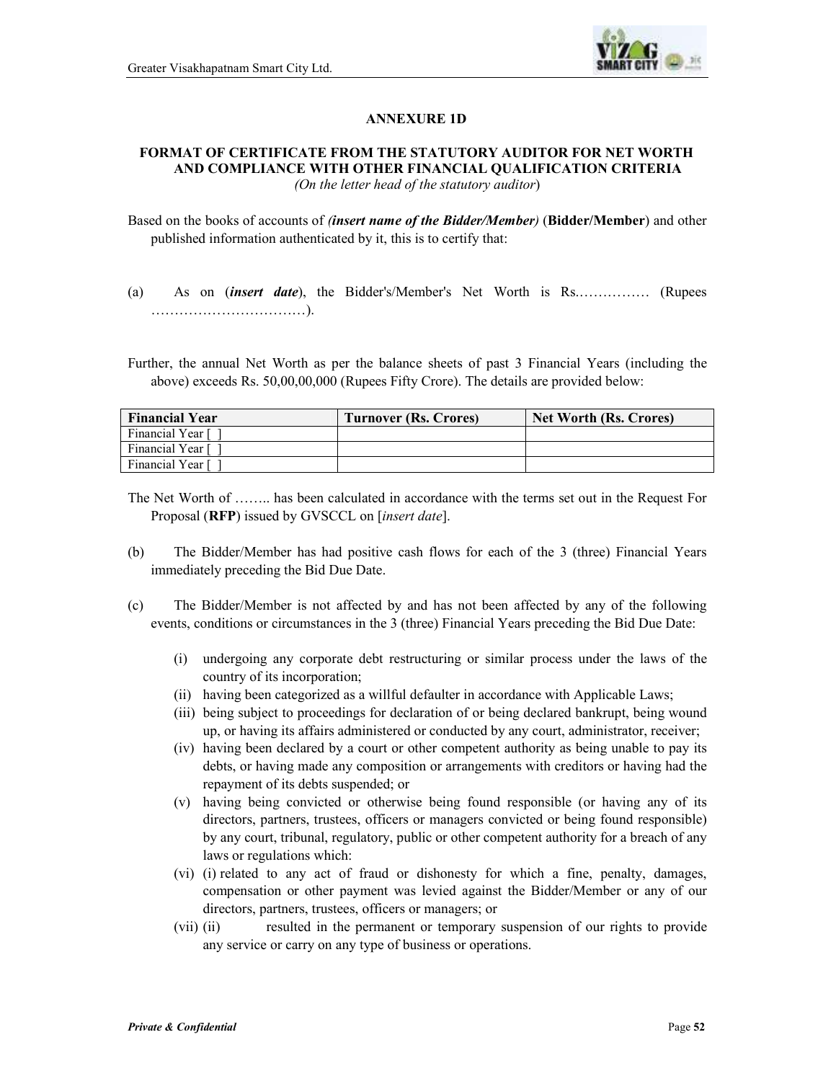

#### **ANNEXURE 1D**

#### **FORMAT OF CERTIFICATE FROM THE STATUTORY AUDITOR FOR NET WORTH AND COMPLIANCE WITH OTHER FINANCIAL QUALIFICATION CRITERIA**  *(On the letter head of the statutory auditor*)

- Based on the books of accounts of *(insert name of the Bidder/Member)* (**Bidder/Member**) and other published information authenticated by it, this is to certify that:
- (a) As on (*insert date*), the Bidder's/Member's Net Worth is Rs.…………… (Rupees ……………………………).
- Further, the annual Net Worth as per the balance sheets of past 3 Financial Years (including the above) exceeds Rs. 50,00,00,000 (Rupees Fifty Crore). The details are provided below:

| <b>Financial Year</b> | <b>Turnover (Rs. Crores)</b> | <b>Net Worth (Rs. Crores)</b> |
|-----------------------|------------------------------|-------------------------------|
| Financial Year [      |                              |                               |
| Financial Year [      |                              |                               |
| Financial Year [      |                              |                               |

- The Net Worth of …….. has been calculated in accordance with the terms set out in the Request For Proposal (**RFP**) issued by GVSCCL on [*insert date*].
- (b) The Bidder/Member has had positive cash flows for each of the 3 (three) Financial Years immediately preceding the Bid Due Date.
- (c) The Bidder/Member is not affected by and has not been affected by any of the following events, conditions or circumstances in the 3 (three) Financial Years preceding the Bid Due Date:
	- (i) undergoing any corporate debt restructuring or similar process under the laws of the country of its incorporation;
	- (ii) having been categorized as a willful defaulter in accordance with Applicable Laws;
	- (iii) being subject to proceedings for declaration of or being declared bankrupt, being wound up, or having its affairs administered or conducted by any court, administrator, receiver;
	- (iv) having been declared by a court or other competent authority as being unable to pay its debts, or having made any composition or arrangements with creditors or having had the repayment of its debts suspended; or
	- (v) having being convicted or otherwise being found responsible (or having any of its directors, partners, trustees, officers or managers convicted or being found responsible) by any court, tribunal, regulatory, public or other competent authority for a breach of any laws or regulations which:
	- (vi) (i) related to any act of fraud or dishonesty for which a fine, penalty, damages, compensation or other payment was levied against the Bidder/Member or any of our directors, partners, trustees, officers or managers; or
	- (vii) (ii) resulted in the permanent or temporary suspension of our rights to provide any service or carry on any type of business or operations.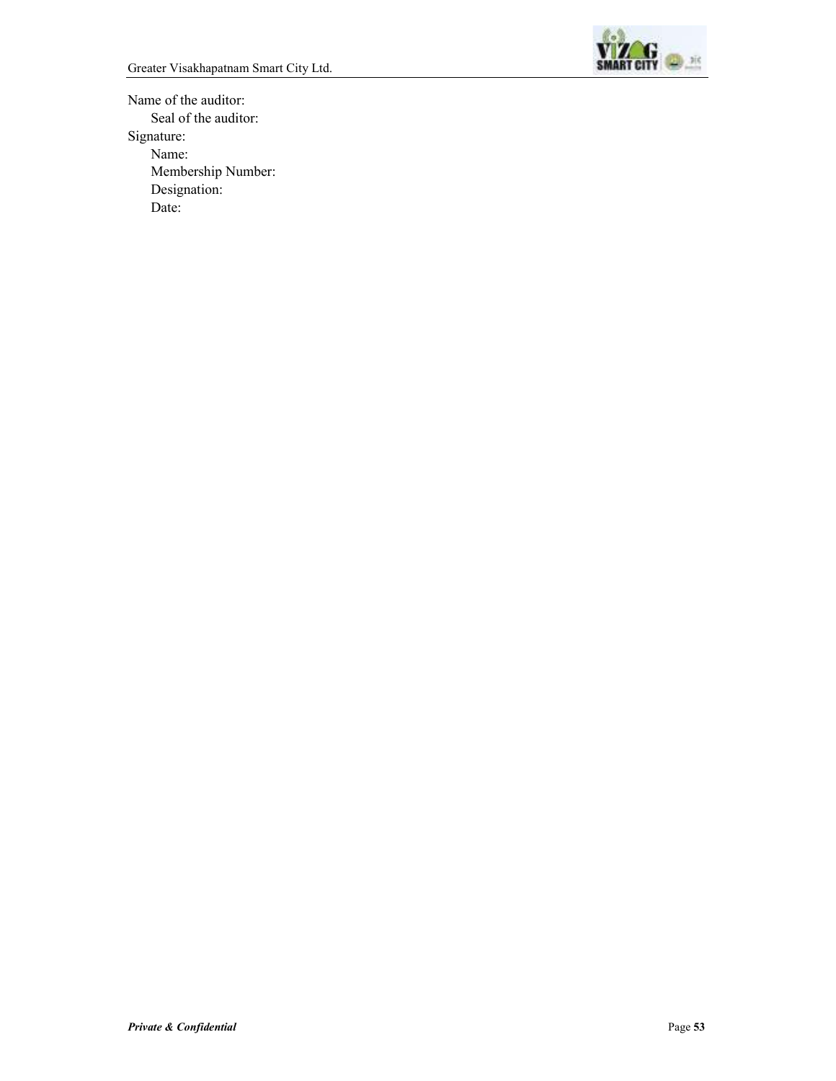

Name of the auditor: Seal of the auditor: Signature: Name: Membership Number: Designation: Date: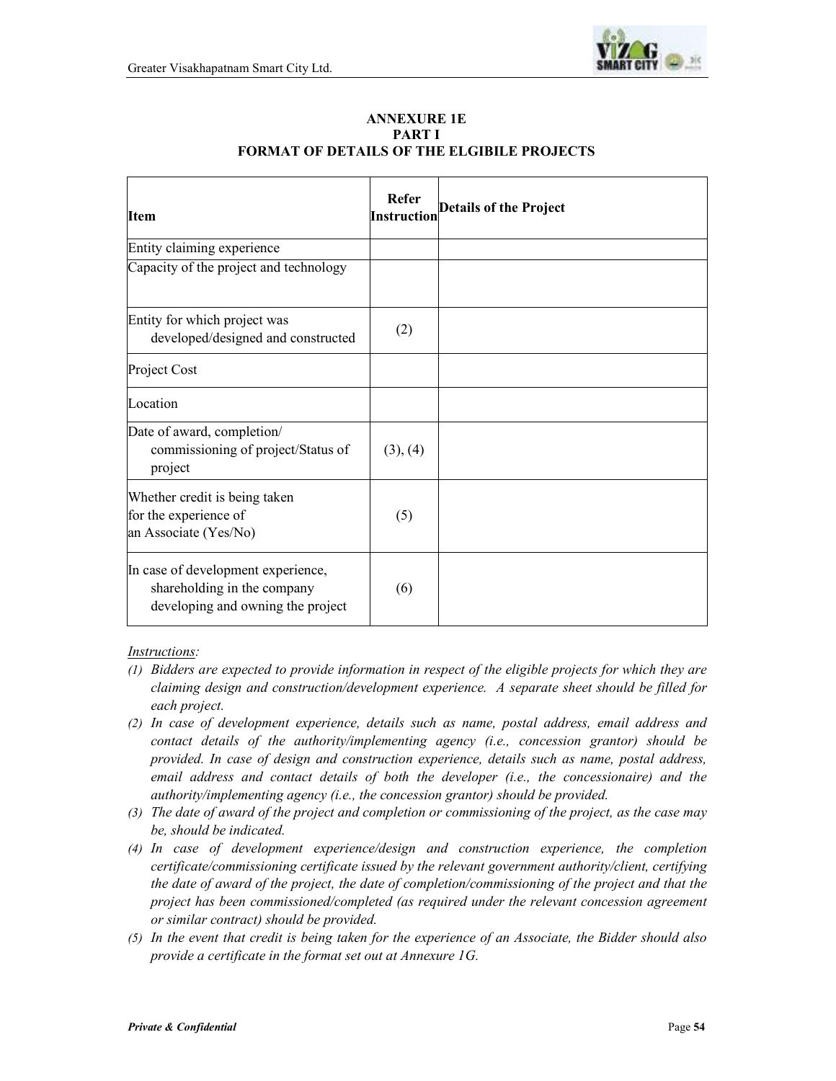

| <b>Item</b>                                                                                            | Refer<br><b>Instruction</b> | <b>Details of the Project</b> |
|--------------------------------------------------------------------------------------------------------|-----------------------------|-------------------------------|
| Entity claiming experience                                                                             |                             |                               |
| Capacity of the project and technology                                                                 |                             |                               |
| Entity for which project was<br>developed/designed and constructed                                     | (2)                         |                               |
| Project Cost                                                                                           |                             |                               |
| Location                                                                                               |                             |                               |
| Date of award, completion/<br>commissioning of project/Status of<br>project                            | (3), (4)                    |                               |
| Whether credit is being taken<br>for the experience of<br>an Associate (Yes/No)                        | (5)                         |                               |
| In case of development experience,<br>shareholding in the company<br>developing and owning the project | (6)                         |                               |

#### **ANNEXURE 1E PART I FORMAT OF DETAILS OF THE ELGIBILE PROJECTS**

#### *Instructions:*

- *(1) Bidders are expected to provide information in respect of the eligible projects for which they are claiming design and construction/development experience. A separate sheet should be filled for each project.*
- *(2) In case of development experience, details such as name, postal address, email address and contact details of the authority/implementing agency (i.e., concession grantor) should be provided. In case of design and construction experience, details such as name, postal address, email address and contact details of both the developer (i.e., the concessionaire) and the authority/implementing agency (i.e., the concession grantor) should be provided.*
- *(3) The date of award of the project and completion or commissioning of the project, as the case may be, should be indicated.*
- *(4) In case of development experience/design and construction experience, the completion certificate/commissioning certificate issued by the relevant government authority/client, certifying the date of award of the project, the date of completion/commissioning of the project and that the project has been commissioned/completed (as required under the relevant concession agreement or similar contract) should be provided.*
- *(5) In the event that credit is being taken for the experience of an Associate, the Bidder should also provide a certificate in the format set out at Annexure 1G.*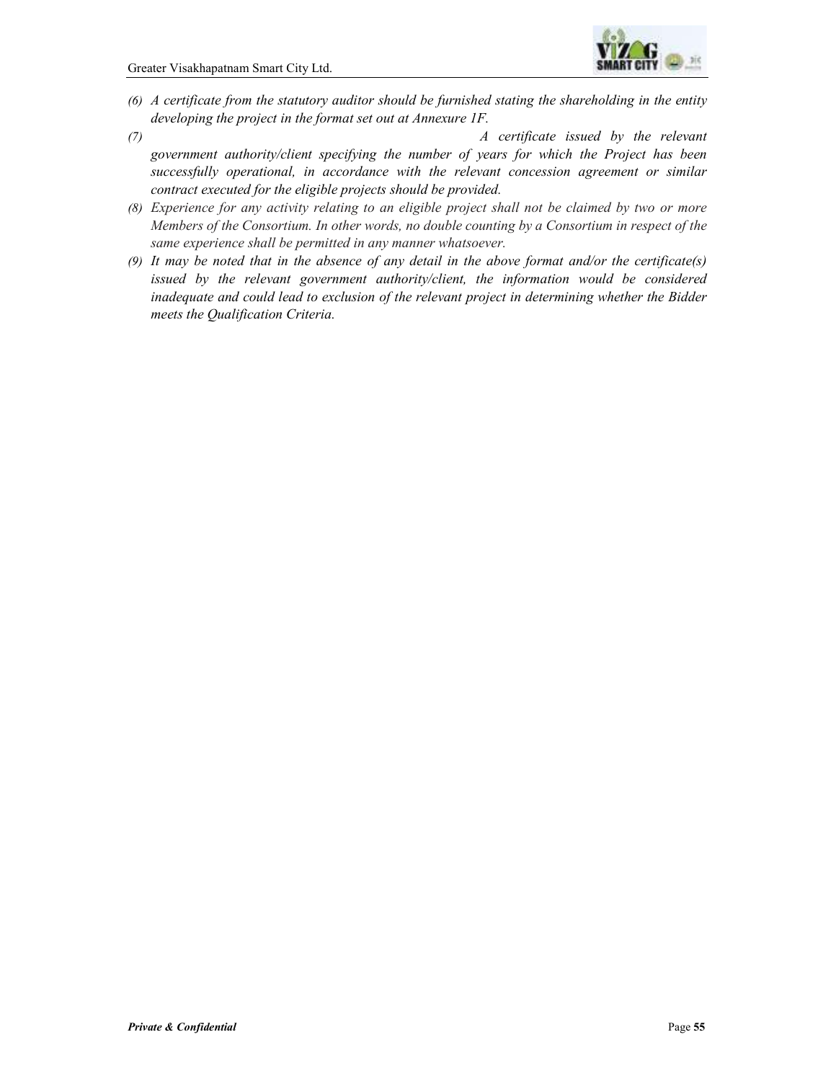

- *(6) A certificate from the statutory auditor should be furnished stating the shareholding in the entity developing the project in the format set out at Annexure 1F.*
- *(7) A certificate issued by the relevant government authority/client specifying the number of years for which the Project has been successfully operational, in accordance with the relevant concession agreement or similar contract executed for the eligible projects should be provided.*
- *(8) Experience for any activity relating to an eligible project shall not be claimed by two or more Members of the Consortium. In other words, no double counting by a Consortium in respect of the same experience shall be permitted in any manner whatsoever.*
- *(9) It may be noted that in the absence of any detail in the above format and/or the certificate(s)*  issued by the relevant government authority/client, the information would be considered *inadequate and could lead to exclusion of the relevant project in determining whether the Bidder meets the Qualification Criteria.*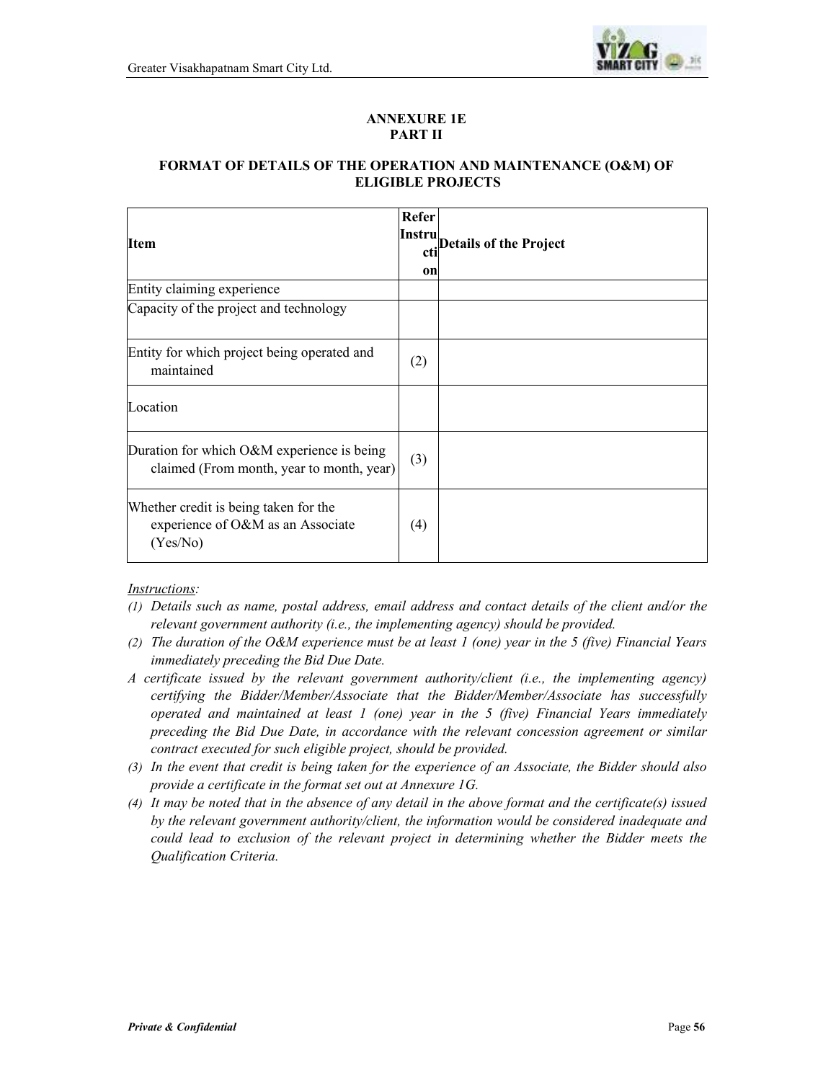

#### **ANNEXURE 1E PART II**

#### **FORMAT OF DETAILS OF THE OPERATION AND MAINTENANCE (O&M) OF ELIGIBLE PROJECTS**

| <b>Item</b>                                                                             | Refer<br>Instru<br>on | cti Details of the Project |
|-----------------------------------------------------------------------------------------|-----------------------|----------------------------|
| Entity claiming experience                                                              |                       |                            |
| Capacity of the project and technology                                                  |                       |                            |
| Entity for which project being operated and<br>maintained                               | (2)                   |                            |
| Location                                                                                |                       |                            |
| Duration for which O&M experience is being<br>claimed (From month, year to month, year) | (3)                   |                            |
| Whether credit is being taken for the<br>experience of O&M as an Associate<br>(Yes/No)  | (4)                   |                            |

## *Instructions:*

- *(1) Details such as name, postal address, email address and contact details of the client and/or the relevant government authority (i.e., the implementing agency) should be provided.*
- *(2) The duration of the O&M experience must be at least 1 (one) year in the 5 (five) Financial Years immediately preceding the Bid Due Date.*
- *A certificate issued by the relevant government authority/client (i.e., the implementing agency) certifying the Bidder/Member/Associate that the Bidder/Member/Associate has successfully operated and maintained at least 1 (one) year in the 5 (five) Financial Years immediately preceding the Bid Due Date, in accordance with the relevant concession agreement or similar contract executed for such eligible project, should be provided.*
- *(3) In the event that credit is being taken for the experience of an Associate, the Bidder should also provide a certificate in the format set out at Annexure 1G.*
- *(4) It may be noted that in the absence of any detail in the above format and the certificate(s) issued by the relevant government authority/client, the information would be considered inadequate and could lead to exclusion of the relevant project in determining whether the Bidder meets the Qualification Criteria.*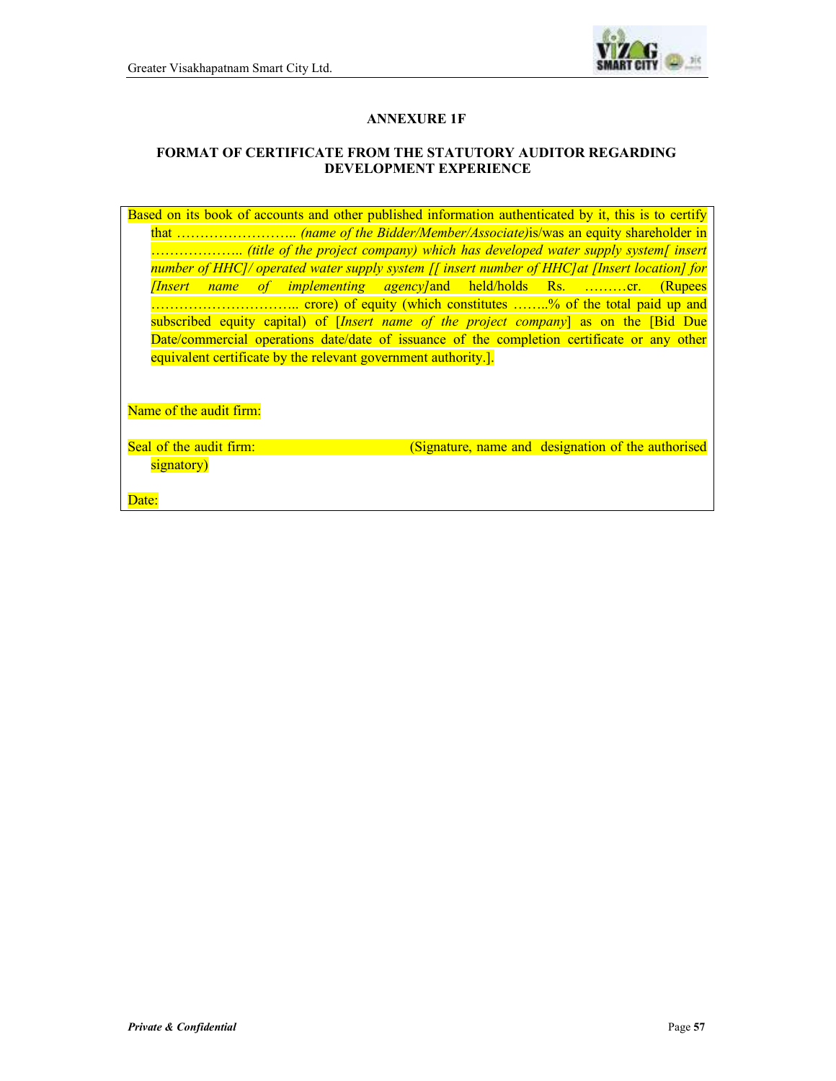

## **ANNEXURE 1F**

## **FORMAT OF CERTIFICATE FROM THE STATUTORY AUDITOR REGARDING DEVELOPMENT EXPERIENCE**

Based on its book of accounts and other published information authenticated by it, this is to certify that …………………….. *(name of the Bidder/Member/Associate)*is/was an equity shareholder in ……………….. *(title of the project company) which has developed water supply system[ insert number of HHC]/ operated water supply system [[ insert number of HHC]at [Insert location] for [Insert name of implementing agency]*and held/holds Rs. ………cr. (Rupees ………………………….. crore) of equity (which constitutes ……..% of the total paid up and subscribed equity capital) of [*Insert name of the project company*] as on the [Bid Due Date/commercial operations date/date of issuance of the completion certificate or any other equivalent certificate by the relevant government authority.].

Name of the audit firm:

Seal of the audit firm: (Signature, name and designation of the authorised signatory)

Date: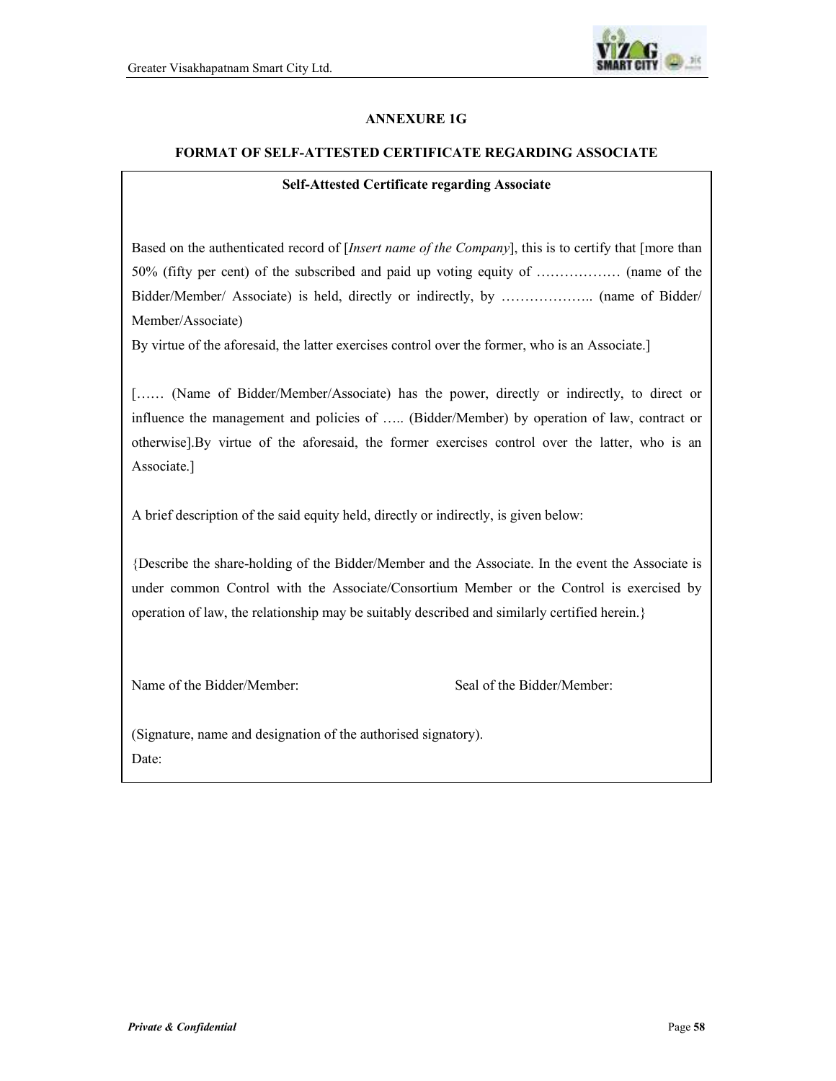

#### **ANNEXURE 1G**

#### **FORMAT OF SELF-ATTESTED CERTIFICATE REGARDING ASSOCIATE**

#### **Self-Attested Certificate regarding Associate**

Based on the authenticated record of [*Insert name of the Company*], this is to certify that [more than 50% (fifty per cent) of the subscribed and paid up voting equity of ……………… (name of the Bidder/Member/ Associate) is held, directly or indirectly, by ……………….. (name of Bidder/ Member/Associate)

By virtue of the aforesaid, the latter exercises control over the former, who is an Associate.]

[…… (Name of Bidder/Member/Associate) has the power, directly or indirectly, to direct or influence the management and policies of ….. (Bidder/Member) by operation of law, contract or otherwise].By virtue of the aforesaid, the former exercises control over the latter, who is an Associate.]

A brief description of the said equity held, directly or indirectly, is given below:

{Describe the share-holding of the Bidder/Member and the Associate. In the event the Associate is under common Control with the Associate/Consortium Member or the Control is exercised by operation of law, the relationship may be suitably described and similarly certified herein.}

Name of the Bidder/Member: Seal of the Bidder/Member:

(Signature, name and designation of the authorised signatory). Date: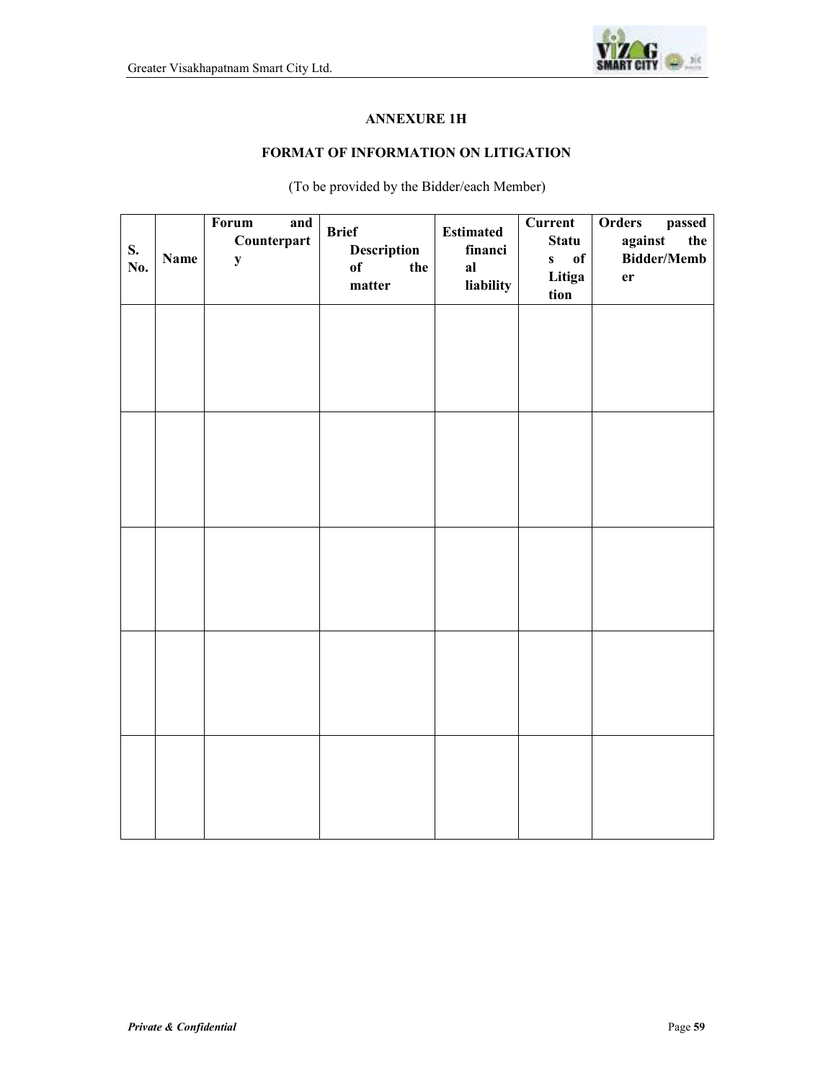

# **ANNEXURE 1H**

## **FORMAT OF INFORMATION ON LITIGATION**

(To be provided by the Bidder/each Member)

| S.<br>No. | <b>Name</b> | Forum<br>and<br>Counterpart<br>${\bf y}$ | <b>Brief</b><br>Description<br>of<br>the<br>matter | <b>Estimated</b><br>financi<br>al<br>liability | Current<br><b>Statu</b><br>of<br>$\mathbf{s}$<br>Litiga<br>tion | Orders passed<br>against<br>the<br><b>Bidder/Memb</b><br>er |
|-----------|-------------|------------------------------------------|----------------------------------------------------|------------------------------------------------|-----------------------------------------------------------------|-------------------------------------------------------------|
|           |             |                                          |                                                    |                                                |                                                                 |                                                             |
|           |             |                                          |                                                    |                                                |                                                                 |                                                             |
|           |             |                                          |                                                    |                                                |                                                                 |                                                             |
|           |             |                                          |                                                    |                                                |                                                                 |                                                             |
|           |             |                                          |                                                    |                                                |                                                                 |                                                             |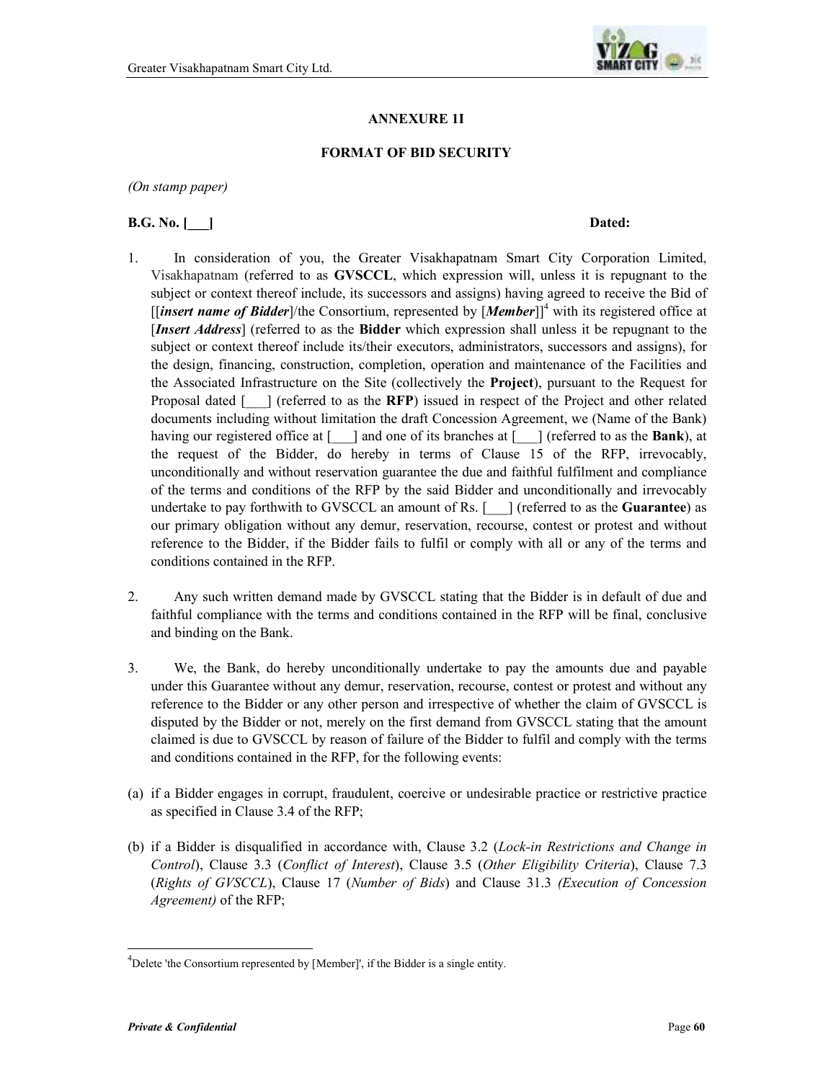

#### **ANNEXURE 1I**

#### **FORMAT OF BID SECURITY**

*(On stamp paper)* 

#### **B.G. No.** [\_\_] Dated:

- 1. In consideration of you, the Greater Visakhapatnam Smart City Corporation Limited, Visakhapatnam (referred to as **GVSCCL**, which expression will, unless it is repugnant to the subject or context thereof include, its successors and assigns) having agreed to receive the Bid of [[*insert name of Bidder*]/the Consortium, represented by [*Member*]]<sup>4</sup> with its registered office at [*Insert Address*] (referred to as the **Bidder** which expression shall unless it be repugnant to the subject or context thereof include its/their executors, administrators, successors and assigns), for the design, financing, construction, completion, operation and maintenance of the Facilities and the Associated Infrastructure on the Site (collectively the **Project**), pursuant to the Request for Proposal dated [\_\_\_] (referred to as the **RFP**) issued in respect of the Project and other related documents including without limitation the draft Concession Agreement, we (Name of the Bank) having our registered office at  $\begin{bmatrix} \quad \\ \quad \end{bmatrix}$  and one of its branches at  $\begin{bmatrix} \quad \\ \quad \end{bmatrix}$  (referred to as the **Bank**), at the request of the Bidder, do hereby in terms of Clause 15 of the RFP, irrevocably, unconditionally and without reservation guarantee the due and faithful fulfilment and compliance of the terms and conditions of the RFP by the said Bidder and unconditionally and irrevocably undertake to pay forthwith to GVSCCL an amount of Rs. [\_\_\_] (referred to as the **Guarantee**) as our primary obligation without any demur, reservation, recourse, contest or protest and without reference to the Bidder, if the Bidder fails to fulfil or comply with all or any of the terms and conditions contained in the RFP.
- 2. Any such written demand made by GVSCCL stating that the Bidder is in default of due and faithful compliance with the terms and conditions contained in the RFP will be final, conclusive and binding on the Bank.
- 3. We, the Bank, do hereby unconditionally undertake to pay the amounts due and payable under this Guarantee without any demur, reservation, recourse, contest or protest and without any reference to the Bidder or any other person and irrespective of whether the claim of GVSCCL is disputed by the Bidder or not, merely on the first demand from GVSCCL stating that the amount claimed is due to GVSCCL by reason of failure of the Bidder to fulfil and comply with the terms and conditions contained in the RFP, for the following events:
- (a) if a Bidder engages in corrupt, fraudulent, coercive or undesirable practice or restrictive practice as specified in Clause 3.4 of the RFP;
- (b) if a Bidder is disqualified in accordance with, Clause 3.2 (*Lock-in Restrictions and Change in Control*), Clause 3.3 (*Conflict of Interest*), Clause 3.5 (*Other Eligibility Criteria*), Clause 7.3 (*Rights of GVSCCL*), Clause 17 (*Number of Bids*) and Clause 31.3 *(Execution of Concession Agreement)* of the RFP;

<u>.</u>

 $^{4}$ Delete 'the Consortium represented by [Member]', if the Bidder is a single entity.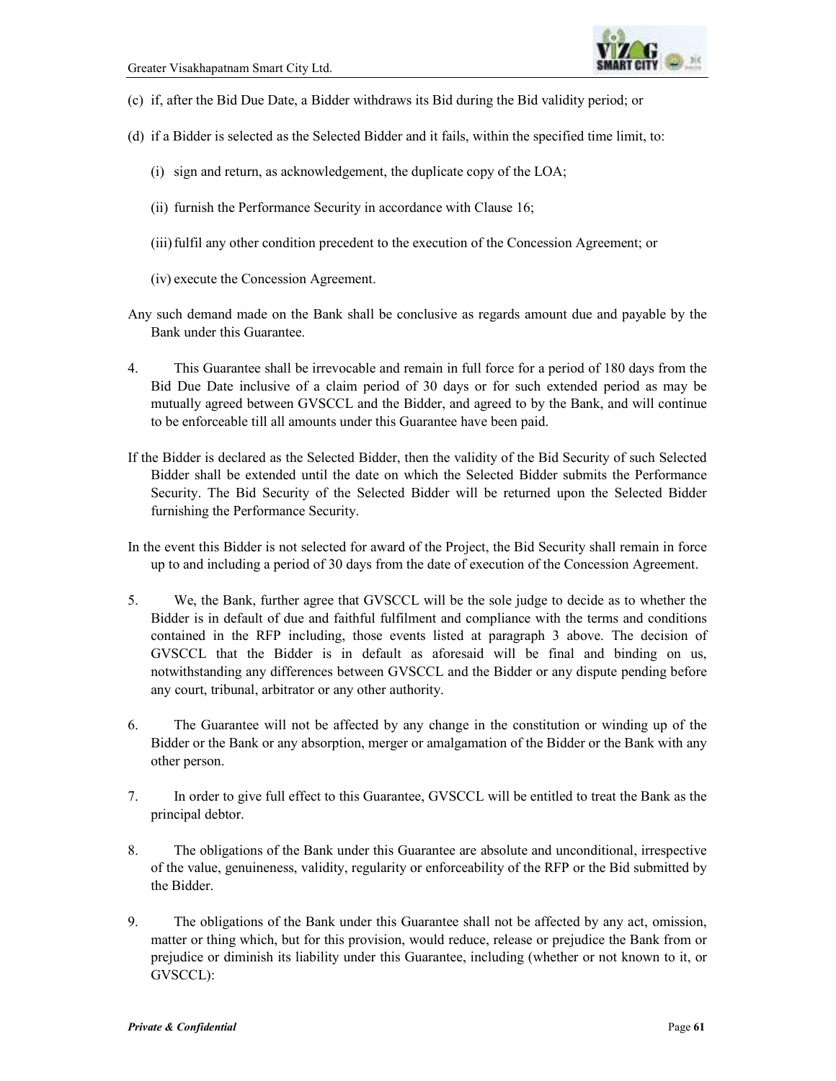

- (c) if, after the Bid Due Date, a Bidder withdraws its Bid during the Bid validity period; or
- (d) if a Bidder is selected as the Selected Bidder and it fails, within the specified time limit, to:
	- (i) sign and return, as acknowledgement, the duplicate copy of the LOA;
	- (ii) furnish the Performance Security in accordance with Clause 16;
	- (iii)fulfil any other condition precedent to the execution of the Concession Agreement; or
	- (iv) execute the Concession Agreement.
- Any such demand made on the Bank shall be conclusive as regards amount due and payable by the Bank under this Guarantee.
- 4. This Guarantee shall be irrevocable and remain in full force for a period of 180 days from the Bid Due Date inclusive of a claim period of 30 days or for such extended period as may be mutually agreed between GVSCCL and the Bidder, and agreed to by the Bank, and will continue to be enforceable till all amounts under this Guarantee have been paid.
- If the Bidder is declared as the Selected Bidder, then the validity of the Bid Security of such Selected Bidder shall be extended until the date on which the Selected Bidder submits the Performance Security. The Bid Security of the Selected Bidder will be returned upon the Selected Bidder furnishing the Performance Security.
- In the event this Bidder is not selected for award of the Project, the Bid Security shall remain in force up to and including a period of 30 days from the date of execution of the Concession Agreement.
- 5. We, the Bank, further agree that GVSCCL will be the sole judge to decide as to whether the Bidder is in default of due and faithful fulfilment and compliance with the terms and conditions contained in the RFP including, those events listed at paragraph 3 above. The decision of GVSCCL that the Bidder is in default as aforesaid will be final and binding on us, notwithstanding any differences between GVSCCL and the Bidder or any dispute pending before any court, tribunal, arbitrator or any other authority.
- 6. The Guarantee will not be affected by any change in the constitution or winding up of the Bidder or the Bank or any absorption, merger or amalgamation of the Bidder or the Bank with any other person.
- 7. In order to give full effect to this Guarantee, GVSCCL will be entitled to treat the Bank as the principal debtor.
- 8. The obligations of the Bank under this Guarantee are absolute and unconditional, irrespective of the value, genuineness, validity, regularity or enforceability of the RFP or the Bid submitted by the Bidder.
- 9. The obligations of the Bank under this Guarantee shall not be affected by any act, omission, matter or thing which, but for this provision, would reduce, release or prejudice the Bank from or prejudice or diminish its liability under this Guarantee, including (whether or not known to it, or GVSCCL):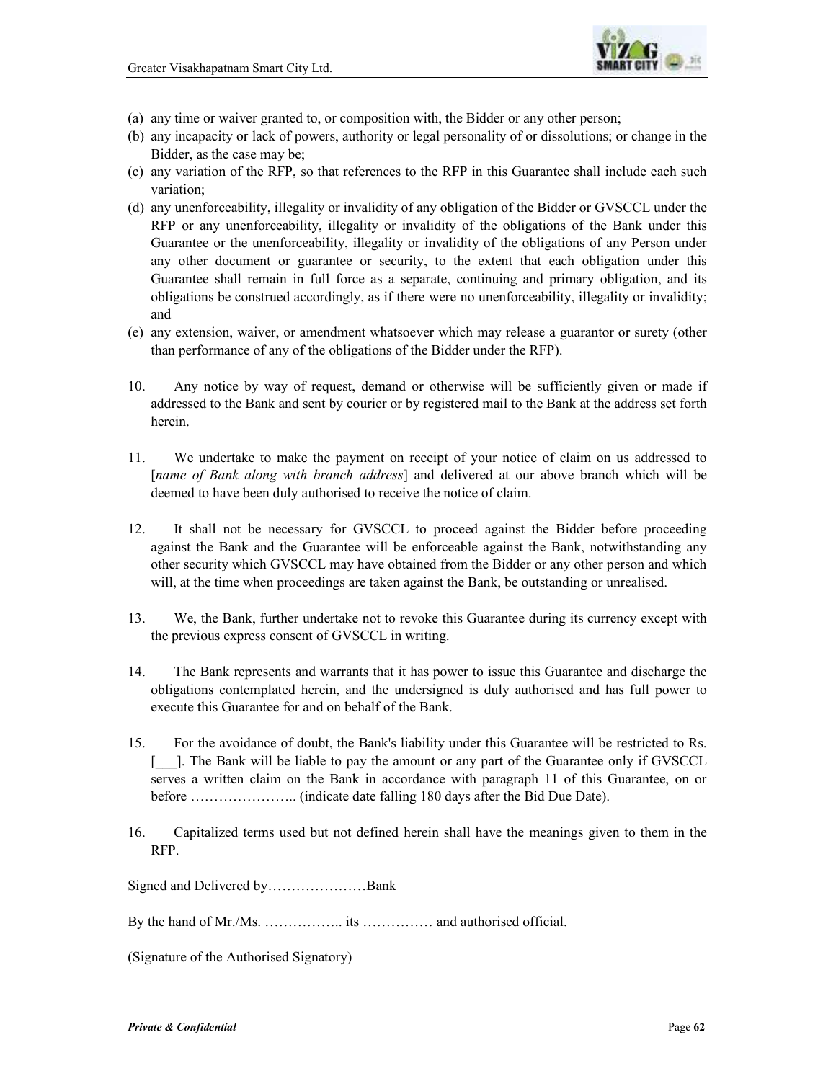

- (a) any time or waiver granted to, or composition with, the Bidder or any other person;
- (b) any incapacity or lack of powers, authority or legal personality of or dissolutions; or change in the Bidder, as the case may be;
- (c) any variation of the RFP, so that references to the RFP in this Guarantee shall include each such variation;
- (d) any unenforceability, illegality or invalidity of any obligation of the Bidder or GVSCCL under the RFP or any unenforceability, illegality or invalidity of the obligations of the Bank under this Guarantee or the unenforceability, illegality or invalidity of the obligations of any Person under any other document or guarantee or security, to the extent that each obligation under this Guarantee shall remain in full force as a separate, continuing and primary obligation, and its obligations be construed accordingly, as if there were no unenforceability, illegality or invalidity; and
- (e) any extension, waiver, or amendment whatsoever which may release a guarantor or surety (other than performance of any of the obligations of the Bidder under the RFP).
- 10. Any notice by way of request, demand or otherwise will be sufficiently given or made if addressed to the Bank and sent by courier or by registered mail to the Bank at the address set forth herein.
- 11. We undertake to make the payment on receipt of your notice of claim on us addressed to [*name of Bank along with branch address*] and delivered at our above branch which will be deemed to have been duly authorised to receive the notice of claim.
- 12. It shall not be necessary for GVSCCL to proceed against the Bidder before proceeding against the Bank and the Guarantee will be enforceable against the Bank, notwithstanding any other security which GVSCCL may have obtained from the Bidder or any other person and which will, at the time when proceedings are taken against the Bank, be outstanding or unrealised.
- 13. We, the Bank, further undertake not to revoke this Guarantee during its currency except with the previous express consent of GVSCCL in writing.
- 14. The Bank represents and warrants that it has power to issue this Guarantee and discharge the obligations contemplated herein, and the undersigned is duly authorised and has full power to execute this Guarantee for and on behalf of the Bank.
- 15. For the avoidance of doubt, the Bank's liability under this Guarantee will be restricted to Rs. [. ]. The Bank will be liable to pay the amount or any part of the Guarantee only if GVSCCL serves a written claim on the Bank in accordance with paragraph 11 of this Guarantee, on or before ………………….. (indicate date falling 180 days after the Bid Due Date).
- 16. Capitalized terms used but not defined herein shall have the meanings given to them in the RFP.

Signed and Delivered by…………………Bank

By the hand of Mr./Ms. …………….. its …………… and authorised official.

(Signature of the Authorised Signatory)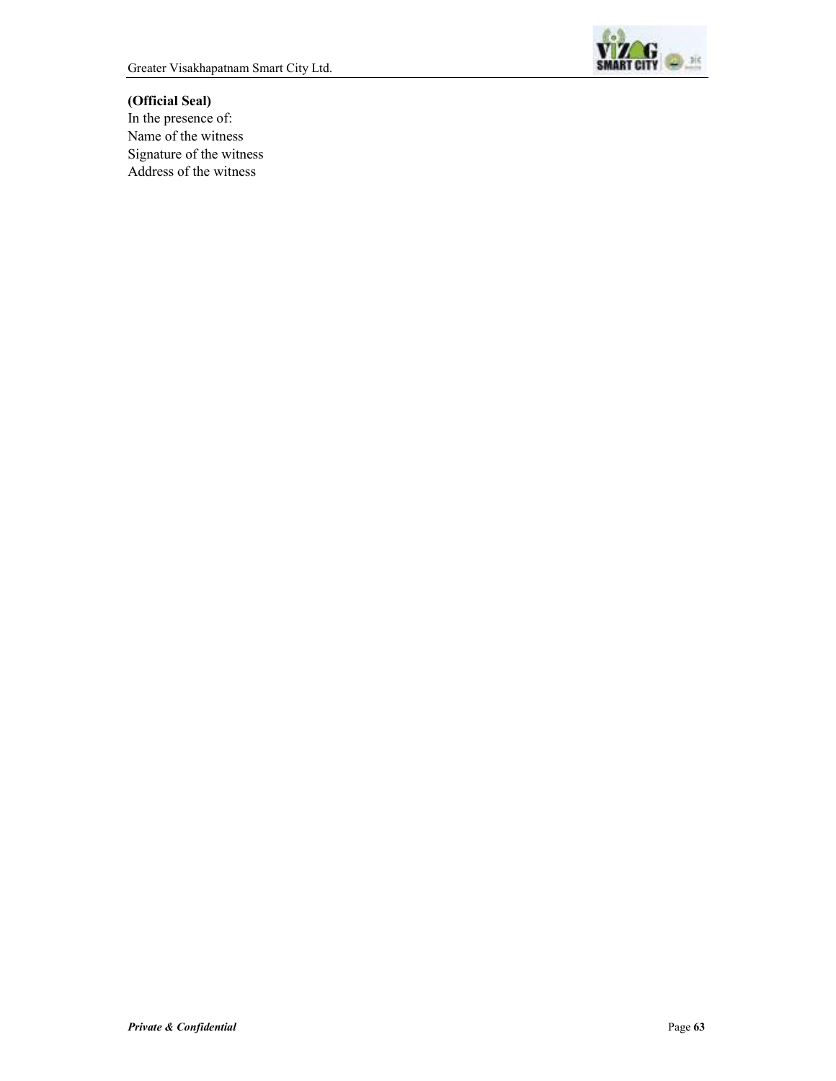

# **(Official Seal)**

In the presence of: Name of the witness Signature of the witness Address of the witness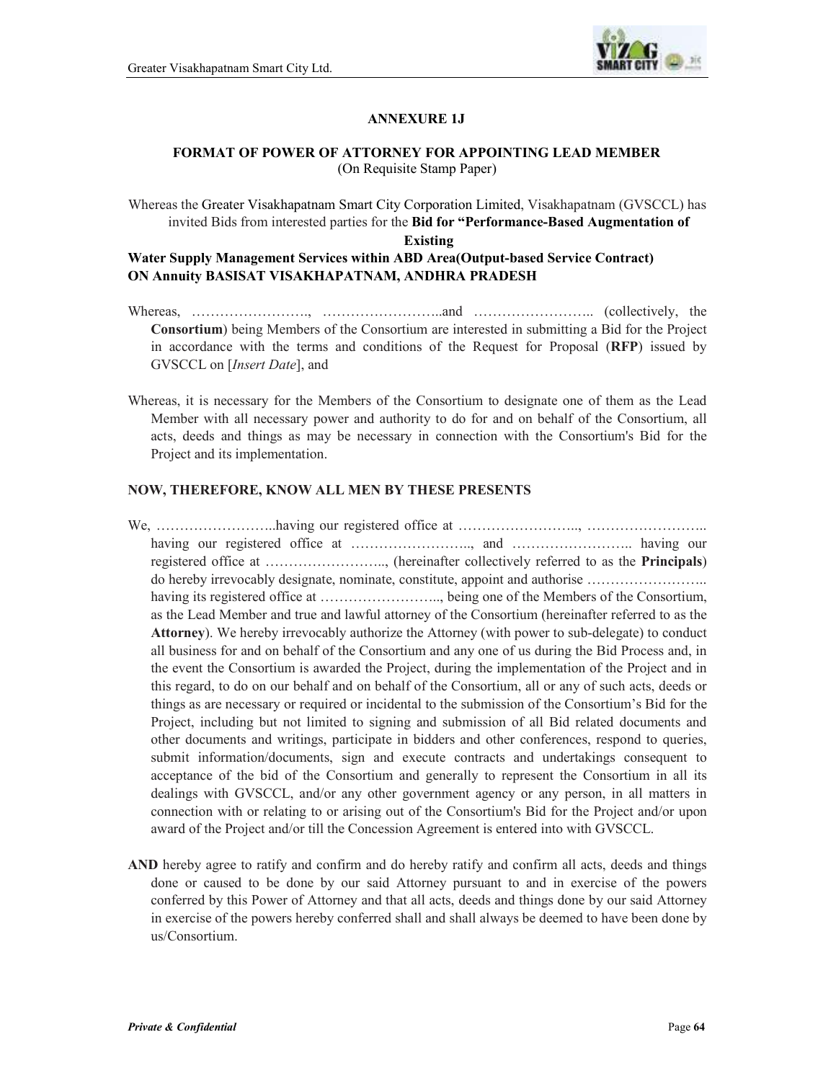

#### **ANNEXURE 1J**

#### **FORMAT OF POWER OF ATTORNEY FOR APPOINTING LEAD MEMBER**  (On Requisite Stamp Paper)

Whereas the Greater Visakhapatnam Smart City Corporation Limited, Visakhapatnam (GVSCCL) has invited Bids from interested parties for the **Bid for "Performance-Based Augmentation of Existing** 

## **Water Supply Management Services within ABD Area(Output-based Service Contract) ON Annuity BASISAT VISAKHAPATNAM, ANDHRA PRADESH**

- Whereas, ……………………., ……………………..and …………………….. (collectively, the **Consortium**) being Members of the Consortium are interested in submitting a Bid for the Project in accordance with the terms and conditions of the Request for Proposal (**RFP**) issued by GVSCCL on [*Insert Date*], and
- Whereas, it is necessary for the Members of the Consortium to designate one of them as the Lead Member with all necessary power and authority to do for and on behalf of the Consortium, all acts, deeds and things as may be necessary in connection with the Consortium's Bid for the Project and its implementation.

#### **NOW, THEREFORE, KNOW ALL MEN BY THESE PRESENTS**

- We, …………………………having our registered office at ………………………………………………………………………………………… having our registered office at …………………….., and …………………….. having our registered office at …………………….., (hereinafter collectively referred to as the **Principals**) do hereby irrevocably designate, nominate, constitute, appoint and authorise …………………….. having its registered office at …………………….., being one of the Members of the Consortium, as the Lead Member and true and lawful attorney of the Consortium (hereinafter referred to as the **Attorney**). We hereby irrevocably authorize the Attorney (with power to sub-delegate) to conduct all business for and on behalf of the Consortium and any one of us during the Bid Process and, in the event the Consortium is awarded the Project, during the implementation of the Project and in this regard, to do on our behalf and on behalf of the Consortium, all or any of such acts, deeds or things as are necessary or required or incidental to the submission of the Consortium's Bid for the Project, including but not limited to signing and submission of all Bid related documents and other documents and writings, participate in bidders and other conferences, respond to queries, submit information/documents, sign and execute contracts and undertakings consequent to acceptance of the bid of the Consortium and generally to represent the Consortium in all its dealings with GVSCCL, and/or any other government agency or any person, in all matters in connection with or relating to or arising out of the Consortium's Bid for the Project and/or upon award of the Project and/or till the Concession Agreement is entered into with GVSCCL.
- **AND** hereby agree to ratify and confirm and do hereby ratify and confirm all acts, deeds and things done or caused to be done by our said Attorney pursuant to and in exercise of the powers conferred by this Power of Attorney and that all acts, deeds and things done by our said Attorney in exercise of the powers hereby conferred shall and shall always be deemed to have been done by us/Consortium.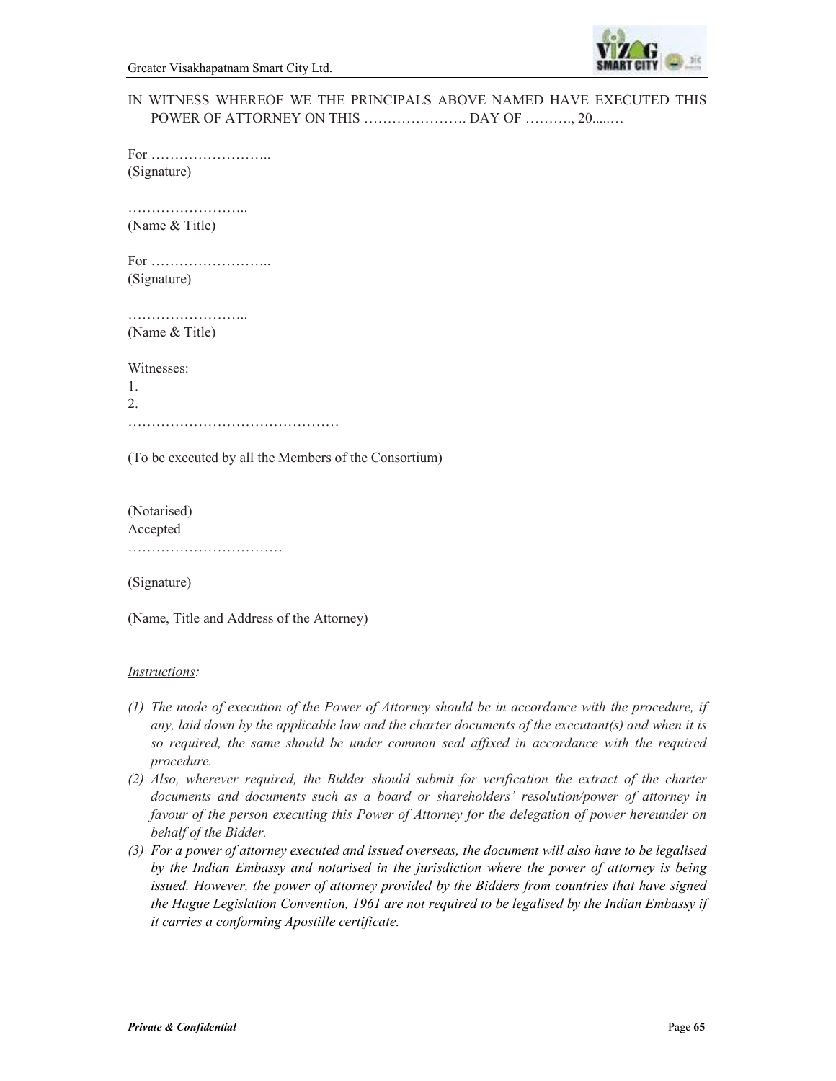

## IN WITNESS WHEREOF WE THE PRINCIPALS ABOVE NAMED HAVE EXECUTED THIS POWER OF ATTORNEY ON THIS ...................... DAY OF .........., 20........

For …………………….. (Signature)

…………………….. (Name & Title)

For …………………….. (Signature)

…………………….. (Name & Title)

Witnesses:

1. 2. ………………………………………

(To be executed by all the Members of the Consortium)

(Notarised) Accepted …………………………………………

(Signature)

(Name, Title and Address of the Attorney)

#### *Instructions:*

- *(1) The mode of execution of the Power of Attorney should be in accordance with the procedure, if any, laid down by the applicable law and the charter documents of the executant(s) and when it is*  so required, the same should be under common seal affixed in accordance with the required *procedure.*
- *(2) Also, wherever required, the Bidder should submit for verification the extract of the charter documents and documents such as a board or shareholders' resolution/power of attorney in favour of the person executing this Power of Attorney for the delegation of power hereunder on behalf of the Bidder.*
- *(3) For a power of attorney executed and issued overseas, the document will also have to be legalised by the Indian Embassy and notarised in the jurisdiction where the power of attorney is being issued. However, the power of attorney provided by the Bidders from countries that have signed the Hague Legislation Convention, 1961 are not required to be legalised by the Indian Embassy if it carries a conforming Apostille certificate.*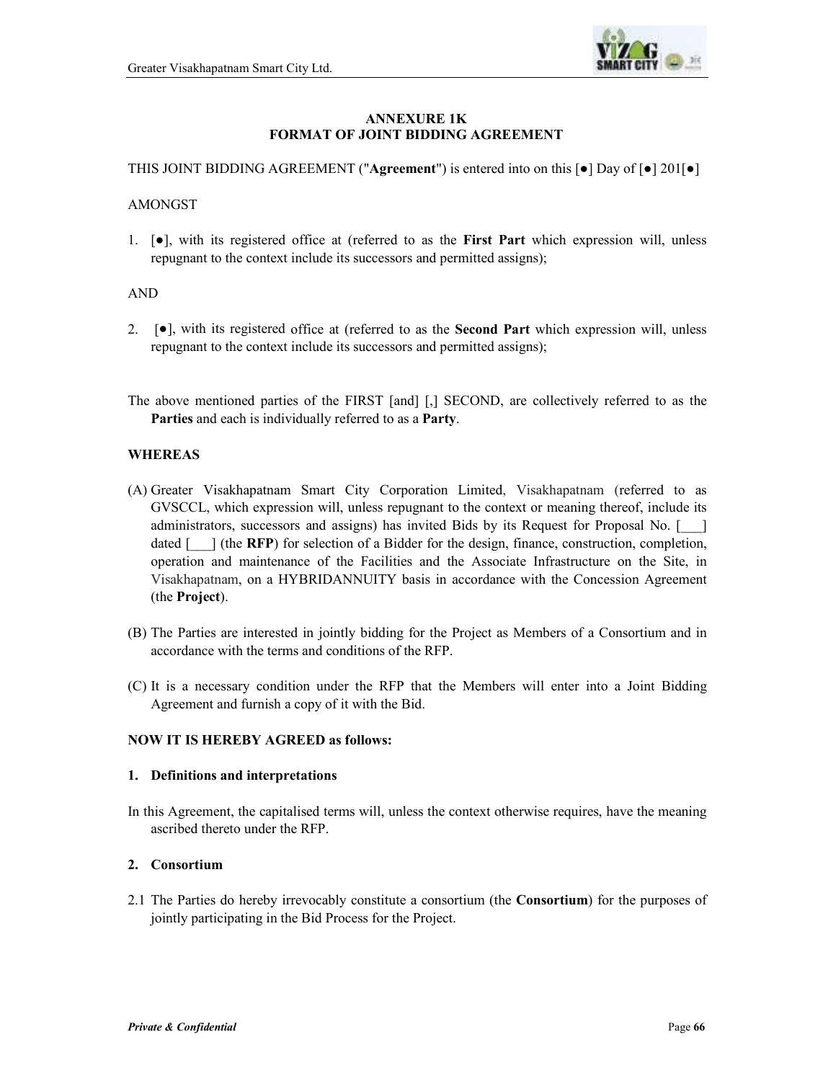

## **ANNEXURE 1K FORMAT OF JOINT BIDDING AGREEMENT**

#### THIS JOINT BIDDING AGREEMENT ("**Agreement**") is entered into on this [●] Day of [●] 201[●]

#### AMONGST

1. [●], with its registered office at (referred to as the **First Part** which expression will, unless repugnant to the context include its successors and permitted assigns);

## AND

- 2. [●], with its registered office at (referred to as the **Second Part** which expression will, unless repugnant to the context include its successors and permitted assigns);
- The above mentioned parties of the FIRST [and] [,] SECOND, are collectively referred to as the **Parties** and each is individually referred to as a **Party**.

#### **WHEREAS**

- (A) Greater Visakhapatnam Smart City Corporation Limited, Visakhapatnam (referred to as GVSCCL, which expression will, unless repugnant to the context or meaning thereof, include its administrators, successors and assigns) has invited Bids by its Request for Proposal No. [\_\_\_] dated  $\begin{bmatrix} \end{bmatrix}$  (the **RFP**) for selection of a Bidder for the design, finance, construction, completion, operation and maintenance of the Facilities and the Associate Infrastructure on the Site, in Visakhapatnam, on a HYBRIDANNUITY basis in accordance with the Concession Agreement (the **Project**).
- (B) The Parties are interested in jointly bidding for the Project as Members of a Consortium and in accordance with the terms and conditions of the RFP.
- (C) It is a necessary condition under the RFP that the Members will enter into a Joint Bidding Agreement and furnish a copy of it with the Bid.

#### **NOW IT IS HEREBY AGREED as follows:**

#### **1. Definitions and interpretations**

In this Agreement, the capitalised terms will, unless the context otherwise requires, have the meaning ascribed thereto under the RFP.

#### **2. Consortium**

2.1 The Parties do hereby irrevocably constitute a consortium (the **Consortium**) for the purposes of jointly participating in the Bid Process for the Project.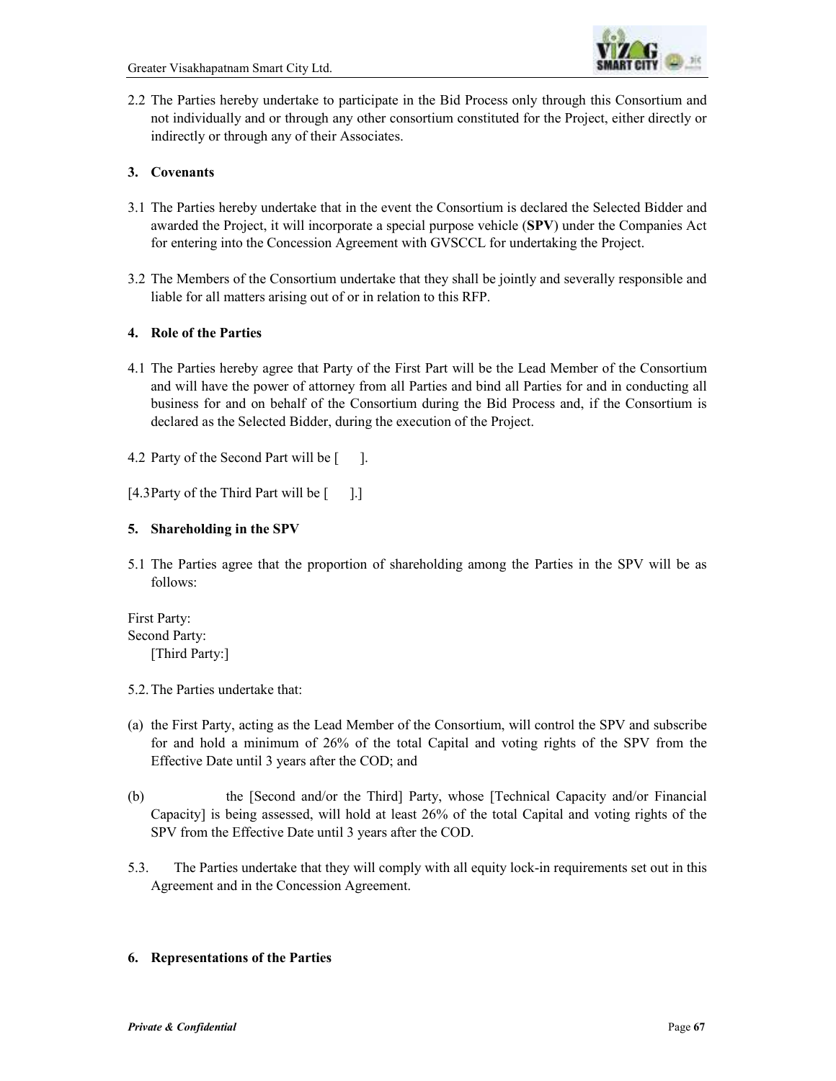

2.2 The Parties hereby undertake to participate in the Bid Process only through this Consortium and not individually and or through any other consortium constituted for the Project, either directly or indirectly or through any of their Associates.

## **3. Covenants**

- 3.1 The Parties hereby undertake that in the event the Consortium is declared the Selected Bidder and awarded the Project, it will incorporate a special purpose vehicle (**SPV**) under the Companies Act for entering into the Concession Agreement with GVSCCL for undertaking the Project.
- 3.2 The Members of the Consortium undertake that they shall be jointly and severally responsible and liable for all matters arising out of or in relation to this RFP.

## **4. Role of the Parties**

4.1 The Parties hereby agree that Party of the First Part will be the Lead Member of the Consortium and will have the power of attorney from all Parties and bind all Parties for and in conducting all business for and on behalf of the Consortium during the Bid Process and, if the Consortium is declared as the Selected Bidder, during the execution of the Project.

4.2 Party of the Second Part will be [ ].

 $[4.3$  Party of the Third Part will be  $[$   $]$ .]

#### **5. Shareholding in the SPV**

5.1 The Parties agree that the proportion of shareholding among the Parties in the SPV will be as follows:

First Party: Second Party: [Third Party:]

- 5.2. The Parties undertake that:
- (a) the First Party, acting as the Lead Member of the Consortium, will control the SPV and subscribe for and hold a minimum of 26% of the total Capital and voting rights of the SPV from the Effective Date until 3 years after the COD; and
- (b) the [Second and/or the Third] Party, whose [Technical Capacity and/or Financial Capacity] is being assessed, will hold at least 26% of the total Capital and voting rights of the SPV from the Effective Date until 3 years after the COD.
- 5.3. The Parties undertake that they will comply with all equity lock-in requirements set out in this Agreement and in the Concession Agreement.

#### **6. Representations of the Parties**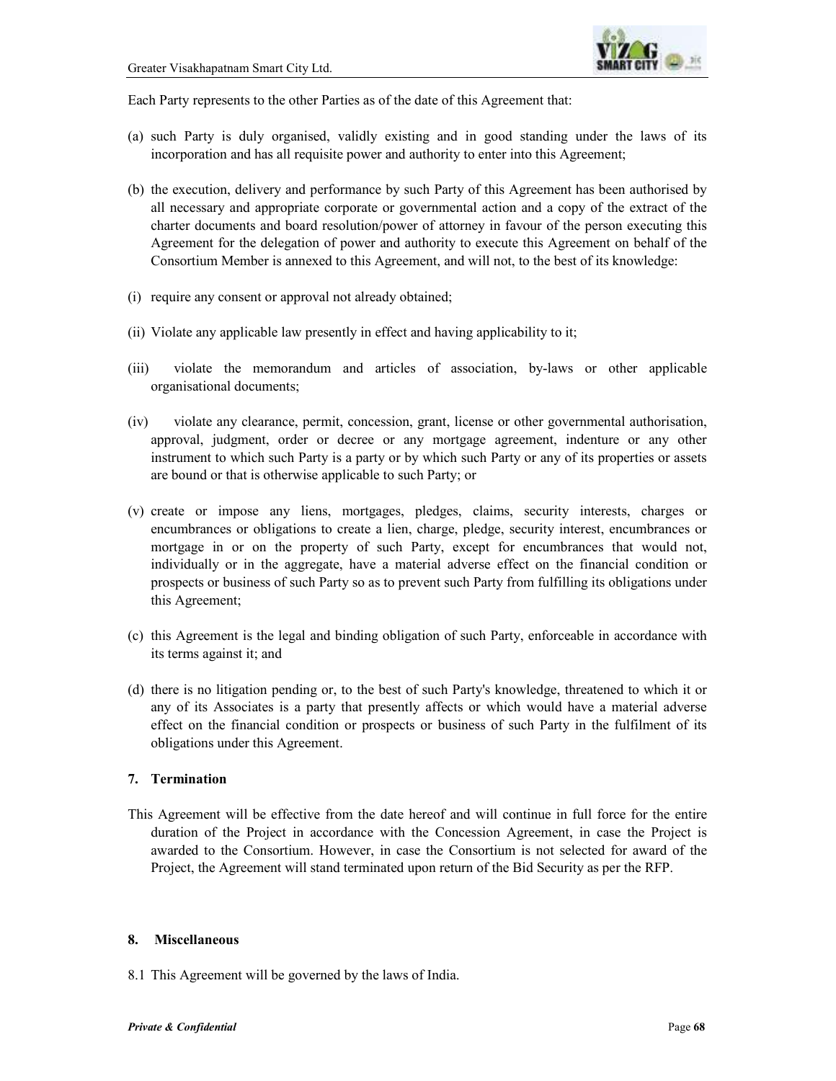

Each Party represents to the other Parties as of the date of this Agreement that:

- (a) such Party is duly organised, validly existing and in good standing under the laws of its incorporation and has all requisite power and authority to enter into this Agreement;
- (b) the execution, delivery and performance by such Party of this Agreement has been authorised by all necessary and appropriate corporate or governmental action and a copy of the extract of the charter documents and board resolution/power of attorney in favour of the person executing this Agreement for the delegation of power and authority to execute this Agreement on behalf of the Consortium Member is annexed to this Agreement, and will not, to the best of its knowledge:
- (i) require any consent or approval not already obtained;
- (ii) Violate any applicable law presently in effect and having applicability to it;
- (iii) violate the memorandum and articles of association, by-laws or other applicable organisational documents;
- (iv) violate any clearance, permit, concession, grant, license or other governmental authorisation, approval, judgment, order or decree or any mortgage agreement, indenture or any other instrument to which such Party is a party or by which such Party or any of its properties or assets are bound or that is otherwise applicable to such Party; or
- (v) create or impose any liens, mortgages, pledges, claims, security interests, charges or encumbrances or obligations to create a lien, charge, pledge, security interest, encumbrances or mortgage in or on the property of such Party, except for encumbrances that would not, individually or in the aggregate, have a material adverse effect on the financial condition or prospects or business of such Party so as to prevent such Party from fulfilling its obligations under this Agreement;
- (c) this Agreement is the legal and binding obligation of such Party, enforceable in accordance with its terms against it; and
- (d) there is no litigation pending or, to the best of such Party's knowledge, threatened to which it or any of its Associates is a party that presently affects or which would have a material adverse effect on the financial condition or prospects or business of such Party in the fulfilment of its obligations under this Agreement.

#### **7. Termination**

This Agreement will be effective from the date hereof and will continue in full force for the entire duration of the Project in accordance with the Concession Agreement, in case the Project is awarded to the Consortium. However, in case the Consortium is not selected for award of the Project, the Agreement will stand terminated upon return of the Bid Security as per the RFP.

#### **8. Miscellaneous**

8.1 This Agreement will be governed by the laws of India.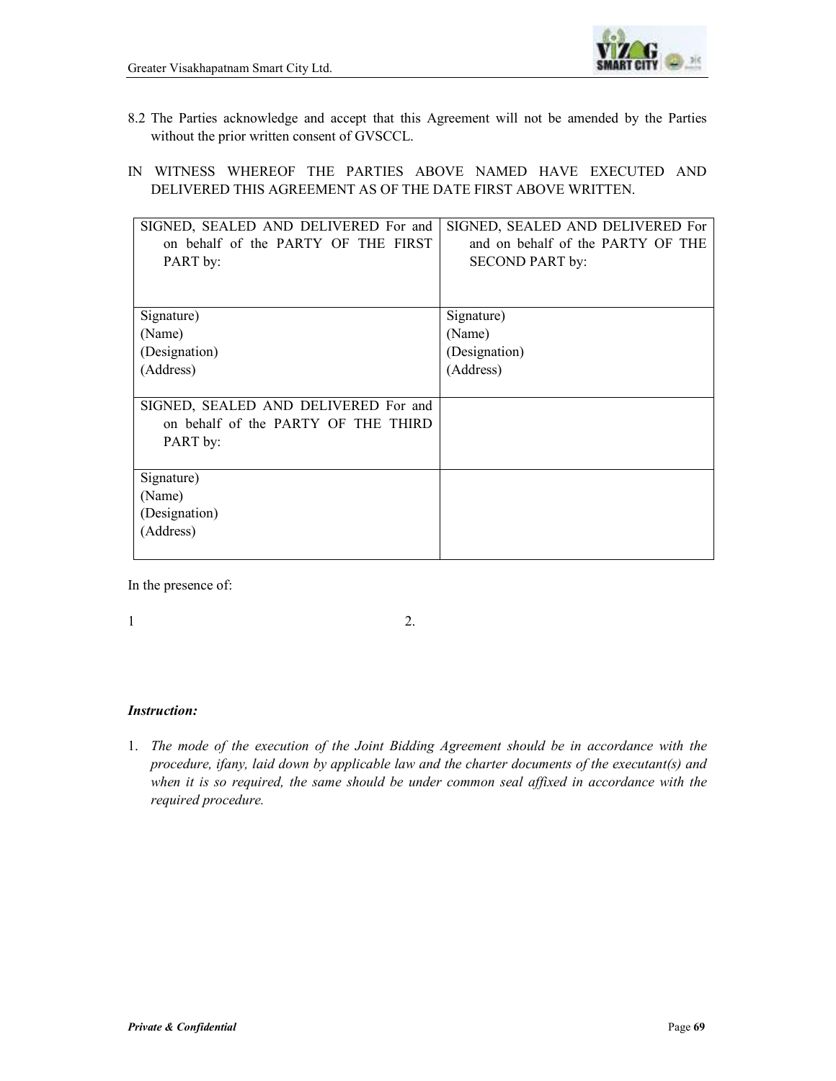

- 8.2 The Parties acknowledge and accept that this Agreement will not be amended by the Parties without the prior written consent of GVSCCL.
- IN WITNESS WHEREOF THE PARTIES ABOVE NAMED HAVE EXECUTED AND DELIVERED THIS AGREEMENT AS OF THE DATE FIRST ABOVE WRITTEN.

| SIGNED, SEALED AND DELIVERED For and<br>on behalf of the PARTY OF THE FIRST<br>PART by: | SIGNED, SEALED AND DELIVERED For<br>and on behalf of the PARTY OF THE<br><b>SECOND PART by:</b> |
|-----------------------------------------------------------------------------------------|-------------------------------------------------------------------------------------------------|
| Signature)                                                                              | Signature)                                                                                      |
| (Name)                                                                                  | (Name)                                                                                          |
| (Designation)                                                                           | (Designation)                                                                                   |
| (Address)                                                                               | (Address)                                                                                       |
|                                                                                         |                                                                                                 |
| SIGNED, SEALED AND DELIVERED For and                                                    |                                                                                                 |
| on behalf of the PARTY OF THE THIRD                                                     |                                                                                                 |
| PART by:                                                                                |                                                                                                 |
|                                                                                         |                                                                                                 |
| Signature)                                                                              |                                                                                                 |
| (Name)                                                                                  |                                                                                                 |
| (Designation)                                                                           |                                                                                                 |
| (Address)                                                                               |                                                                                                 |
|                                                                                         |                                                                                                 |

In the presence of:

1 2.

#### *Instruction:*

1. *The mode of the execution of the Joint Bidding Agreement should be in accordance with the procedure, ifany, laid down by applicable law and the charter documents of the executant(s) and when it is so required, the same should be under common seal affixed in accordance with the required procedure.*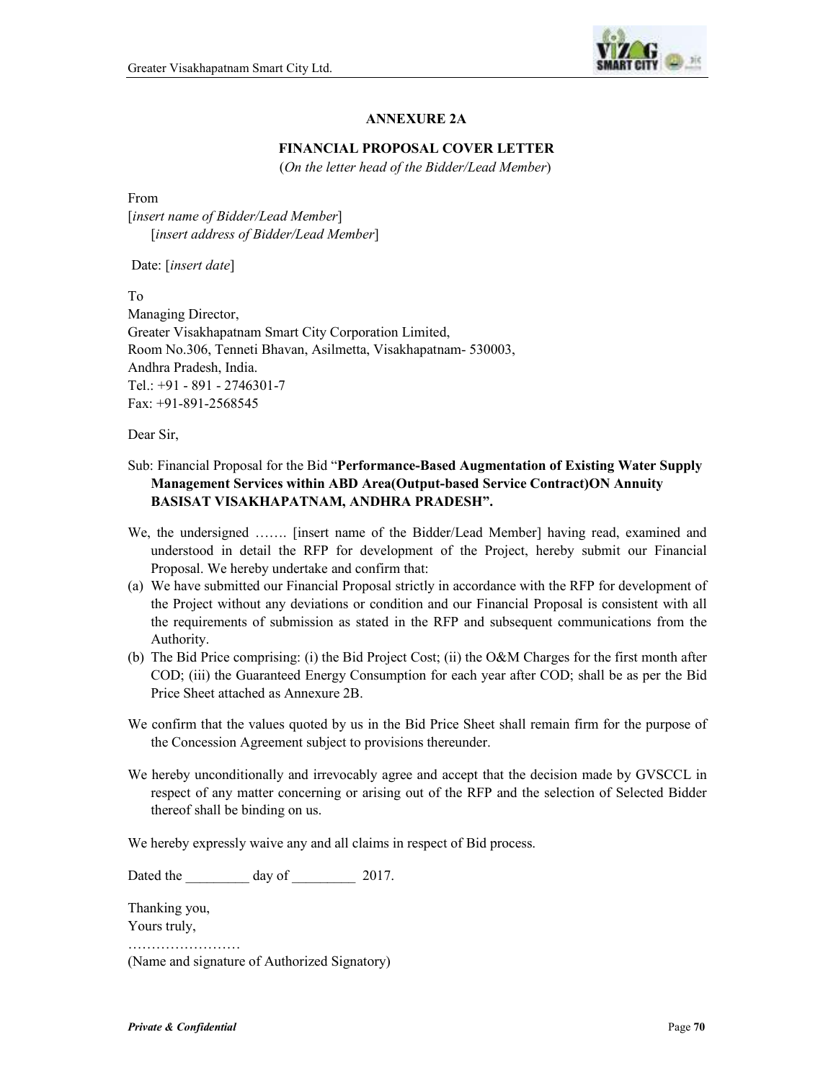

#### **ANNEXURE 2A**

#### **FINANCIAL PROPOSAL COVER LETTER**

(*On the letter head of the Bidder/Lead Member*)

From

[*insert name of Bidder/Lead Member*] [*insert address of Bidder/Lead Member*]

Date: [*insert date*]

To

Managing Director, Greater Visakhapatnam Smart City Corporation Limited, Room No.306, Tenneti Bhavan, Asilmetta, Visakhapatnam- 530003, Andhra Pradesh, India. Tel.: +91 - 891 - 2746301-7 Fax: +91-891-2568545

Dear Sir,

## Sub: Financial Proposal for the Bid "**Performance-Based Augmentation of Existing Water Supply Management Services within ABD Area(Output-based Service Contract)ON Annuity BASISAT VISAKHAPATNAM, ANDHRA PRADESH".**

- We, the undersigned ……. [insert name of the Bidder/Lead Member] having read, examined and understood in detail the RFP for development of the Project, hereby submit our Financial Proposal. We hereby undertake and confirm that:
- (a) We have submitted our Financial Proposal strictly in accordance with the RFP for development of the Project without any deviations or condition and our Financial Proposal is consistent with all the requirements of submission as stated in the RFP and subsequent communications from the Authority.
- (b) The Bid Price comprising: (i) the Bid Project Cost; (ii) the O&M Charges for the first month after COD; (iii) the Guaranteed Energy Consumption for each year after COD; shall be as per the Bid Price Sheet attached as Annexure 2B.
- We confirm that the values quoted by us in the Bid Price Sheet shall remain firm for the purpose of the Concession Agreement subject to provisions thereunder.
- We hereby unconditionally and irrevocably agree and accept that the decision made by GVSCCL in respect of any matter concerning or arising out of the RFP and the selection of Selected Bidder thereof shall be binding on us.

We hereby expressly waive any and all claims in respect of Bid process.

Dated the day of 2017.

Thanking you, Yours truly,

……………… (Name and signature of Authorized Signatory)